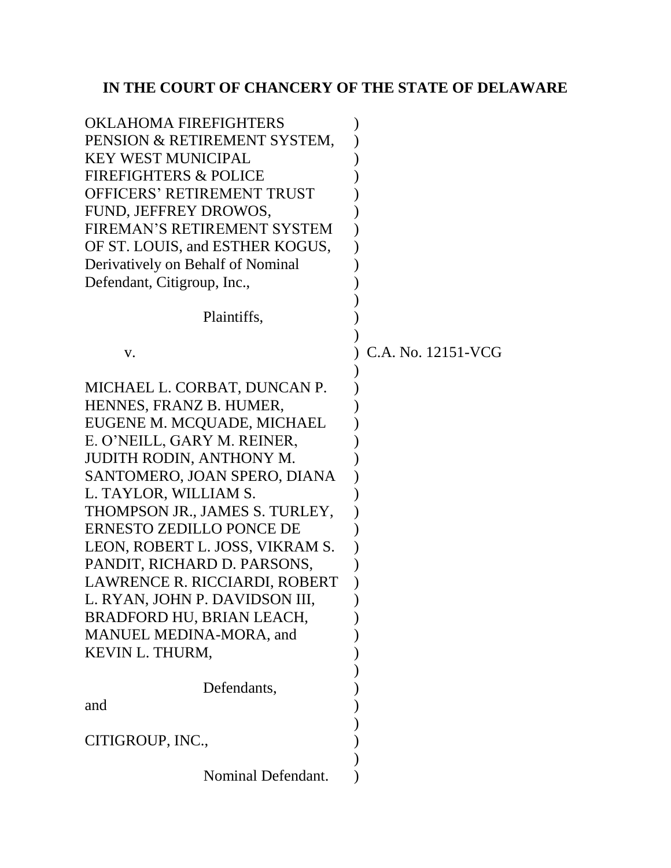# **IN THE COURT OF CHANCERY OF THE STATE OF DELAWARE**

| <b>OKLAHOMA FIREFIGHTERS</b>                            |                    |
|---------------------------------------------------------|--------------------|
| PENSION & RETIREMENT SYSTEM,                            |                    |
| <b>KEY WEST MUNICIPAL</b>                               |                    |
| <b>FIREFIGHTERS &amp; POLICE</b>                        |                    |
| <b>OFFICERS' RETIREMENT TRUST</b>                       |                    |
| FUND, JEFFREY DROWOS,                                   |                    |
| FIREMAN'S RETIREMENT SYSTEM                             |                    |
| OF ST. LOUIS, and ESTHER KOGUS,                         |                    |
| Derivatively on Behalf of Nominal                       |                    |
| Defendant, Citigroup, Inc.,                             |                    |
|                                                         |                    |
| Plaintiffs,                                             |                    |
|                                                         |                    |
| V.                                                      | C.A. No. 12151-VCG |
|                                                         |                    |
| MICHAEL L. CORBAT, DUNCAN P.<br>HENNES, FRANZ B. HUMER, |                    |
| EUGENE M. MCQUADE, MICHAEL                              |                    |
| E. O'NEILL, GARY M. REINER,                             |                    |
| <b>JUDITH RODIN, ANTHONY M.</b>                         |                    |
| SANTOMERO, JOAN SPERO, DIANA                            |                    |
| L. TAYLOR, WILLIAM S.                                   |                    |
| THOMPSON JR., JAMES S. TURLEY,                          |                    |
| ERNESTO ZEDILLO PONCE DE                                |                    |
| LEON, ROBERT L. JOSS, VIKRAM S.                         |                    |
| PANDIT, RICHARD D. PARSONS,                             |                    |
| LAWRENCE R. RICCIARDI, ROBERT                           |                    |
| L. RYAN, JOHN P. DAVIDSON III,                          |                    |
| BRADFORD HU, BRIAN LEACH,                               |                    |
| MANUEL MEDINA-MORA, and                                 |                    |
| KEVIN L. THURM,                                         |                    |
|                                                         |                    |
| Defendants,                                             |                    |
| and                                                     |                    |
|                                                         |                    |
| CITIGROUP, INC.,                                        |                    |
|                                                         |                    |
| Nominal Defendant.                                      |                    |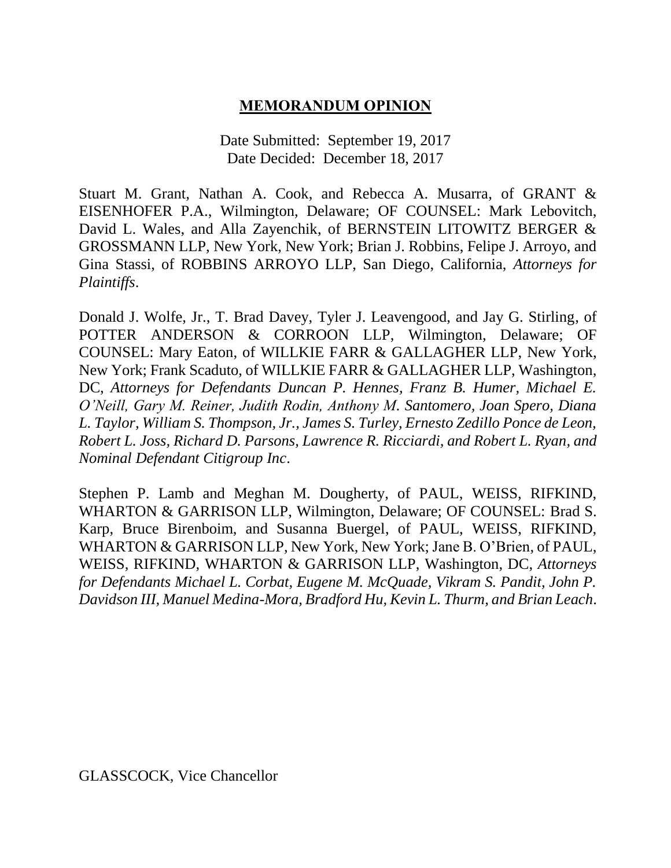### **MEMORANDUM OPINION**

Date Submitted: September 19, 2017 Date Decided: December 18, 2017

Stuart M. Grant, Nathan A. Cook, and Rebecca A. Musarra, of GRANT & EISENHOFER P.A., Wilmington, Delaware; OF COUNSEL: Mark Lebovitch, David L. Wales, and Alla Zayenchik, of BERNSTEIN LITOWITZ BERGER & GROSSMANN LLP, New York, New York; Brian J. Robbins, Felipe J. Arroyo, and Gina Stassi, of ROBBINS ARROYO LLP, San Diego, California, *Attorneys for Plaintiffs*.

Donald J. Wolfe, Jr., T. Brad Davey, Tyler J. Leavengood, and Jay G. Stirling, of POTTER ANDERSON & CORROON LLP, Wilmington, Delaware; OF COUNSEL: Mary Eaton, of WILLKIE FARR & GALLAGHER LLP, New York, New York; Frank Scaduto, of WILLKIE FARR & GALLAGHER LLP, Washington, DC, *Attorneys for Defendants Duncan P. Hennes, Franz B. Humer, Michael E. O'Neill, Gary M. Reiner, Judith Rodin, Anthony M. Santomero, Joan Spero, Diana L. Taylor, William S. Thompson, Jr., James S. Turley, Ernesto Zedillo Ponce de Leon, Robert L. Joss, Richard D. Parsons, Lawrence R. Ricciardi, and Robert L. Ryan, and Nominal Defendant Citigroup Inc*.

Stephen P. Lamb and Meghan M. Dougherty, of PAUL, WEISS, RIFKIND, WHARTON & GARRISON LLP, Wilmington, Delaware; OF COUNSEL: Brad S. Karp, Bruce Birenboim, and Susanna Buergel, of PAUL, WEISS, RIFKIND, WHARTON & GARRISON LLP, New York, New York; Jane B. O'Brien, of PAUL, WEISS, RIFKIND, WHARTON & GARRISON LLP, Washington, DC, *Attorneys for Defendants Michael L. Corbat, Eugene M. McQuade, Vikram S. Pandit, John P. Davidson III, Manuel Medina-Mora, Bradford Hu, Kevin L. Thurm, and Brian Leach*.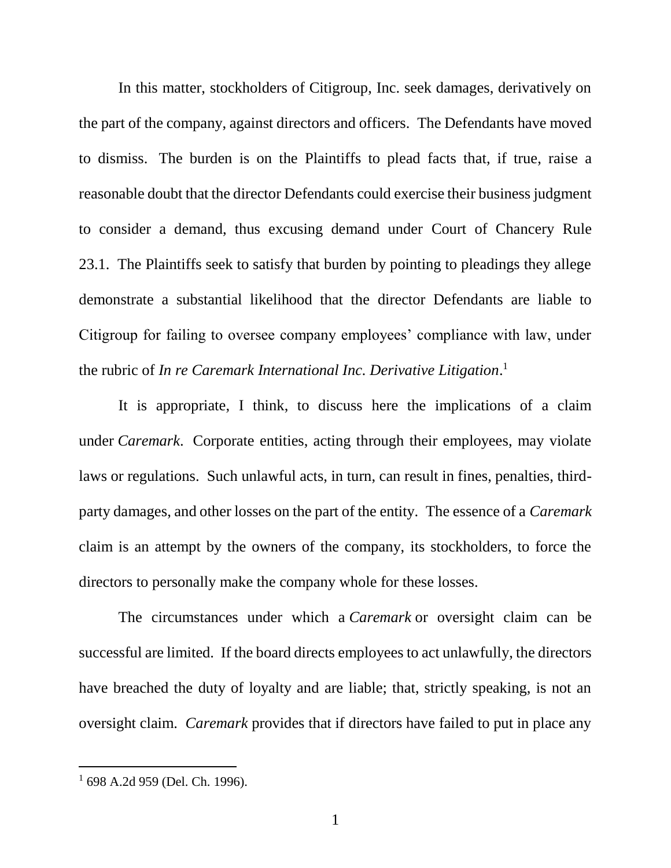In this matter, stockholders of Citigroup, Inc. seek damages, derivatively on the part of the company, against directors and officers. The Defendants have moved to dismiss. The burden is on the Plaintiffs to plead facts that, if true, raise a reasonable doubt that the director Defendants could exercise their business judgment to consider a demand, thus excusing demand under Court of Chancery Rule 23.1. The Plaintiffs seek to satisfy that burden by pointing to pleadings they allege demonstrate a substantial likelihood that the director Defendants are liable to Citigroup for failing to oversee company employees' compliance with law, under the rubric of *In re Caremark International Inc. Derivative Litigation*. 1

It is appropriate, I think, to discuss here the implications of a claim under *Caremark*. Corporate entities, acting through their employees, may violate laws or regulations. Such unlawful acts, in turn, can result in fines, penalties, thirdparty damages, and other losses on the part of the entity. The essence of a *Caremark* claim is an attempt by the owners of the company, its stockholders, to force the directors to personally make the company whole for these losses.

The circumstances under which a *Caremark* or oversight claim can be successful are limited. If the board directs employees to act unlawfully, the directors have breached the duty of loyalty and are liable; that, strictly speaking, is not an oversight claim. *Caremark* provides that if directors have failed to put in place any

<sup>1</sup> 698 A.2d 959 (Del. Ch. 1996).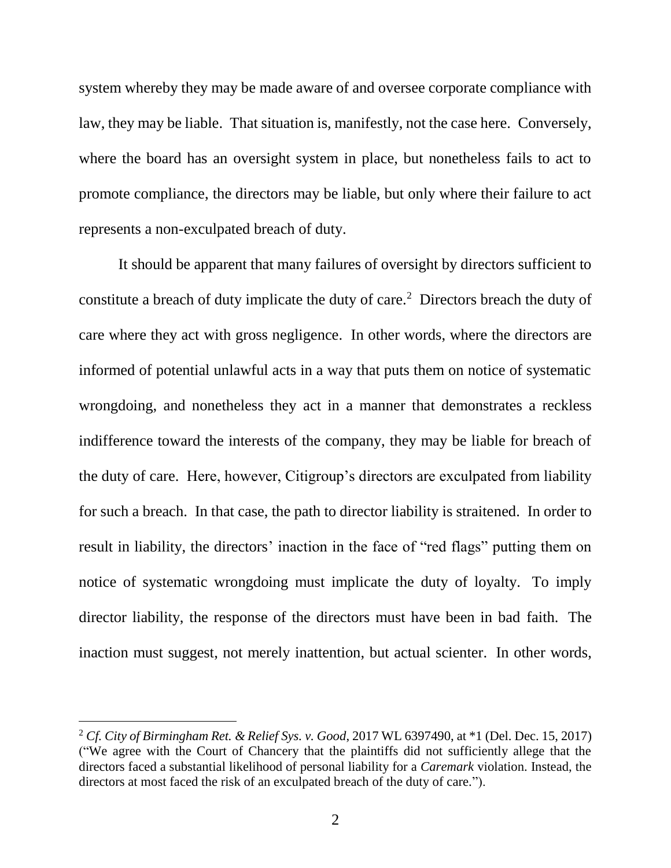system whereby they may be made aware of and oversee corporate compliance with law, they may be liable. That situation is, manifestly, not the case here. Conversely, where the board has an oversight system in place, but nonetheless fails to act to promote compliance, the directors may be liable, but only where their failure to act represents a non-exculpated breach of duty.

It should be apparent that many failures of oversight by directors sufficient to constitute a breach of duty implicate the duty of care.<sup>2</sup> Directors breach the duty of care where they act with gross negligence. In other words, where the directors are informed of potential unlawful acts in a way that puts them on notice of systematic wrongdoing, and nonetheless they act in a manner that demonstrates a reckless indifference toward the interests of the company, they may be liable for breach of the duty of care. Here, however, Citigroup's directors are exculpated from liability for such a breach. In that case, the path to director liability is straitened. In order to result in liability, the directors' inaction in the face of "red flags" putting them on notice of systematic wrongdoing must implicate the duty of loyalty. To imply director liability, the response of the directors must have been in bad faith. The inaction must suggest, not merely inattention, but actual scienter. In other words,

<sup>2</sup> *Cf. City of Birmingham Ret. & Relief Sys. v. Good*, 2017 WL 6397490, at \*1 (Del. Dec. 15, 2017) ("We agree with the Court of Chancery that the plaintiffs did not sufficiently allege that the directors faced a substantial likelihood of personal liability for a *Caremark* violation. Instead, the directors at most faced the risk of an exculpated breach of the duty of care.").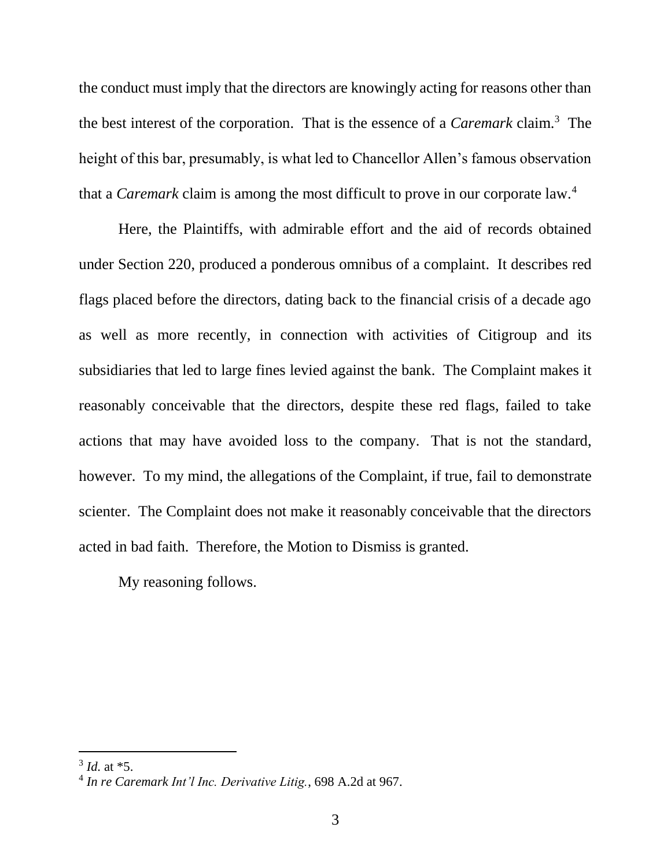the conduct must imply that the directors are knowingly acting for reasons other than the best interest of the corporation. That is the essence of a *Caremark* claim.<sup>3</sup> The height of this bar, presumably, is what led to Chancellor Allen's famous observation that a *Caremark* claim is among the most difficult to prove in our corporate law.<sup>4</sup>

Here, the Plaintiffs, with admirable effort and the aid of records obtained under Section 220, produced a ponderous omnibus of a complaint. It describes red flags placed before the directors, dating back to the financial crisis of a decade ago as well as more recently, in connection with activities of Citigroup and its subsidiaries that led to large fines levied against the bank. The Complaint makes it reasonably conceivable that the directors, despite these red flags, failed to take actions that may have avoided loss to the company. That is not the standard, however. To my mind, the allegations of the Complaint, if true, fail to demonstrate scienter. The Complaint does not make it reasonably conceivable that the directors acted in bad faith. Therefore, the Motion to Dismiss is granted.

My reasoning follows.

<sup>3</sup> *Id.* at \*5.

<sup>4</sup> *In re Caremark Int'l Inc. Derivative Litig.*, 698 A.2d at 967.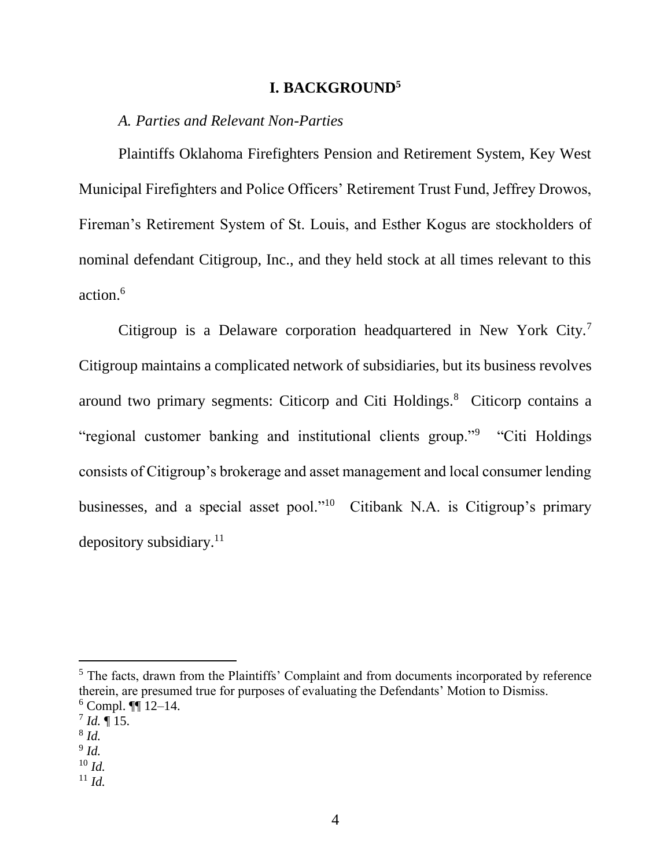### **I. BACKGROUND<sup>5</sup>**

#### *A. Parties and Relevant Non-Parties*

Plaintiffs Oklahoma Firefighters Pension and Retirement System, Key West Municipal Firefighters and Police Officers' Retirement Trust Fund, Jeffrey Drowos, Fireman's Retirement System of St. Louis, and Esther Kogus are stockholders of nominal defendant Citigroup, Inc., and they held stock at all times relevant to this action.<sup>6</sup>

Citigroup is a Delaware corporation headquartered in New York City.<sup>7</sup> Citigroup maintains a complicated network of subsidiaries, but its business revolves around two primary segments: Citicorp and Citi Holdings.<sup>8</sup> Citicorp contains a "regional customer banking and institutional clients group."<sup>9</sup> "Citi Holdings consists of Citigroup's brokerage and asset management and local consumer lending businesses, and a special asset pool."<sup>10</sup> Citibank N.A. is Citigroup's primary depository subsidiary. $11$ 

<sup>5</sup> The facts, drawn from the Plaintiffs' Complaint and from documents incorporated by reference therein, are presumed true for purposes of evaluating the Defendants' Motion to Dismiss.  $6$  Compl.  $\P\P$  12–14.

 $^{7}$  *Id.*  $\P$  15.

<sup>8</sup> *Id.*

<sup>9</sup> *Id.*

<sup>10</sup> *Id.*

 $11 \, Id.$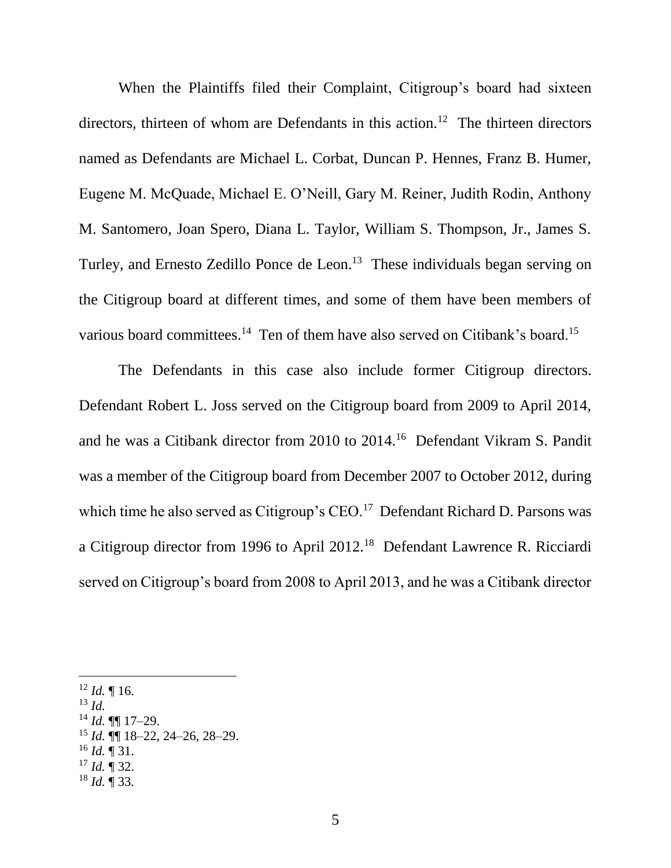When the Plaintiffs filed their Complaint, Citigroup's board had sixteen directors, thirteen of whom are Defendants in this action.<sup>12</sup> The thirteen directors named as Defendants are Michael L. Corbat, Duncan P. Hennes, Franz B. Humer, Eugene M. McQuade, Michael E. O'Neill, Gary M. Reiner, Judith Rodin, Anthony M. Santomero, Joan Spero, Diana L. Taylor, William S. Thompson, Jr., James S. Turley, and Ernesto Zedillo Ponce de Leon.<sup>13</sup> These individuals began serving on the Citigroup board at different times, and some of them have been members of various board committees.<sup>14</sup> Ten of them have also served on Citibank's board.<sup>15</sup>

The Defendants in this case also include former Citigroup directors. Defendant Robert L. Joss served on the Citigroup board from 2009 to April 2014, and he was a Citibank director from 2010 to 2014.<sup>16</sup> Defendant Vikram S. Pandit was a member of the Citigroup board from December 2007 to October 2012, during which time he also served as Citigroup's  $CEO<sup>17</sup>$  Defendant Richard D. Parsons was a Citigroup director from 1996 to April 2012.<sup>18</sup> Defendant Lawrence R. Ricciardi served on Citigroup's board from 2008 to April 2013, and he was a Citibank director

<sup>13</sup> *Id.*

- <sup>14</sup> *Id.* ¶¶ 17–29.
- <sup>15</sup> *Id.* ¶¶ 18–22, 24–26, 28–29.
- $^{16}$  *Id.* ¶ 31.
- $17$  *Id.*  $\P$  32.
- <sup>18</sup> *Id.* ¶ 33.

 $12$  *Id.* | 16.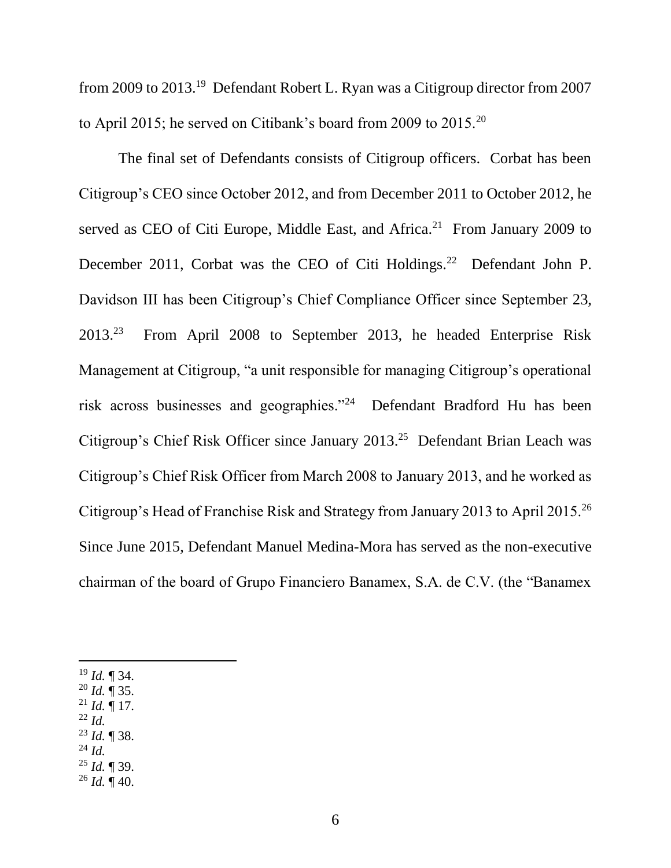from 2009 to 2013.<sup>19</sup> Defendant Robert L. Ryan was a Citigroup director from 2007 to April 2015; he served on Citibank's board from 2009 to 2015.<sup>20</sup>

The final set of Defendants consists of Citigroup officers. Corbat has been Citigroup's CEO since October 2012, and from December 2011 to October 2012, he served as CEO of Citi Europe, Middle East, and Africa.<sup>21</sup> From January 2009 to December 2011, Corbat was the CEO of Citi Holdings.<sup>22</sup> Defendant John P. Davidson III has been Citigroup's Chief Compliance Officer since September 23, 2013.<sup>23</sup> From April 2008 to September 2013, he headed Enterprise Risk Management at Citigroup, "a unit responsible for managing Citigroup's operational risk across businesses and geographies."<sup>24</sup> Defendant Bradford Hu has been Citigroup's Chief Risk Officer since January 2013.<sup>25</sup> Defendant Brian Leach was Citigroup's Chief Risk Officer from March 2008 to January 2013, and he worked as Citigroup's Head of Franchise Risk and Strategy from January 2013 to April 2015.<sup>26</sup> Since June 2015, Defendant Manuel Medina-Mora has served as the non-executive chairman of the board of Grupo Financiero Banamex, S.A. de C.V. (the "Banamex

<sup>19</sup> *Id.* ¶ 34.

- <sup>20</sup> *Id.* ¶ 35.
- $^{21}$  *Id.* ¶ 17.
- <sup>22</sup> *Id.*
- <sup>23</sup> *Id.* ¶ 38.
- <sup>24</sup> *Id.* <sup>25</sup> *Id.* ¶ 39.
- <sup>26</sup> *Id.* ¶ 40.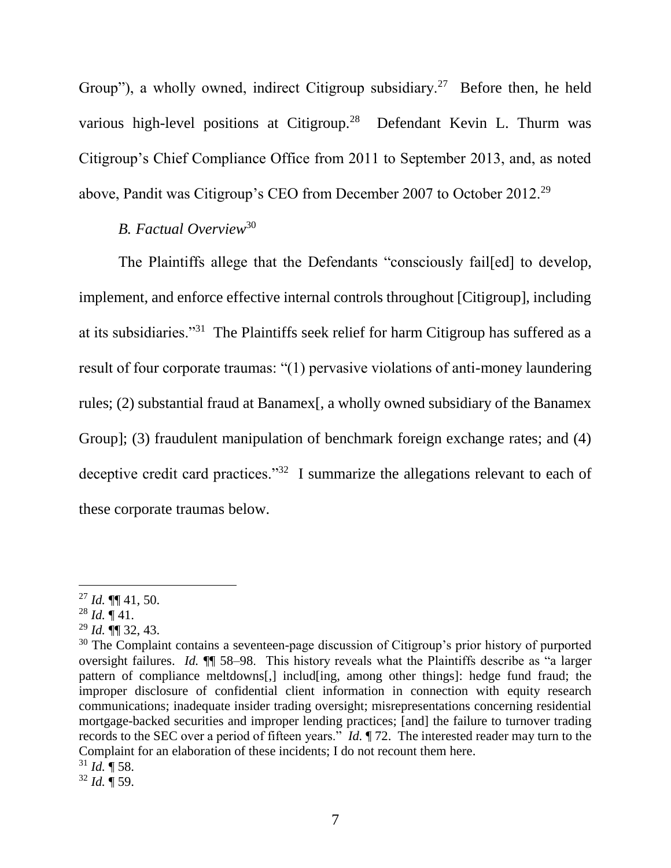Group"), a wholly owned, indirect Citigroup subsidiary.<sup>27</sup> Before then, he held various high-level positions at Citigroup.<sup>28</sup> Defendant Kevin L. Thurm was Citigroup's Chief Compliance Office from 2011 to September 2013, and, as noted above, Pandit was Citigroup's CEO from December 2007 to October 2012.<sup>29</sup>

### *B. Factual Overview*<sup>30</sup>

The Plaintiffs allege that the Defendants "consciously fail[ed] to develop, implement, and enforce effective internal controls throughout [Citigroup], including at its subsidiaries."<sup>31</sup> The Plaintiffs seek relief for harm Citigroup has suffered as a result of four corporate traumas: "(1) pervasive violations of anti-money laundering rules; (2) substantial fraud at Banamex[, a wholly owned subsidiary of the Banamex Group]; (3) fraudulent manipulation of benchmark foreign exchange rates; and (4) deceptive credit card practices."<sup>32</sup> I summarize the allegations relevant to each of these corporate traumas below.

<sup>27</sup> *Id.* ¶¶ 41, 50.

 $^{28}$  *Id.*  $\P$  41.

 $^{29}$  *Id.*  $\overline{}}$  32, 43.

 $30$  The Complaint contains a seventeen-page discussion of Citigroup's prior history of purported oversight failures. *Id.* ¶¶ 58–98. This history reveals what the Plaintiffs describe as "a larger pattern of compliance meltdowns[,] includ[ing, among other things]: hedge fund fraud; the improper disclosure of confidential client information in connection with equity research communications; inadequate insider trading oversight; misrepresentations concerning residential mortgage-backed securities and improper lending practices; [and] the failure to turnover trading records to the SEC over a period of fifteen years." *Id.* ¶ 72. The interested reader may turn to the Complaint for an elaboration of these incidents; I do not recount them here.

 $31$  *Id.*  $\P$  58.

<sup>32</sup> *Id.* ¶ 59.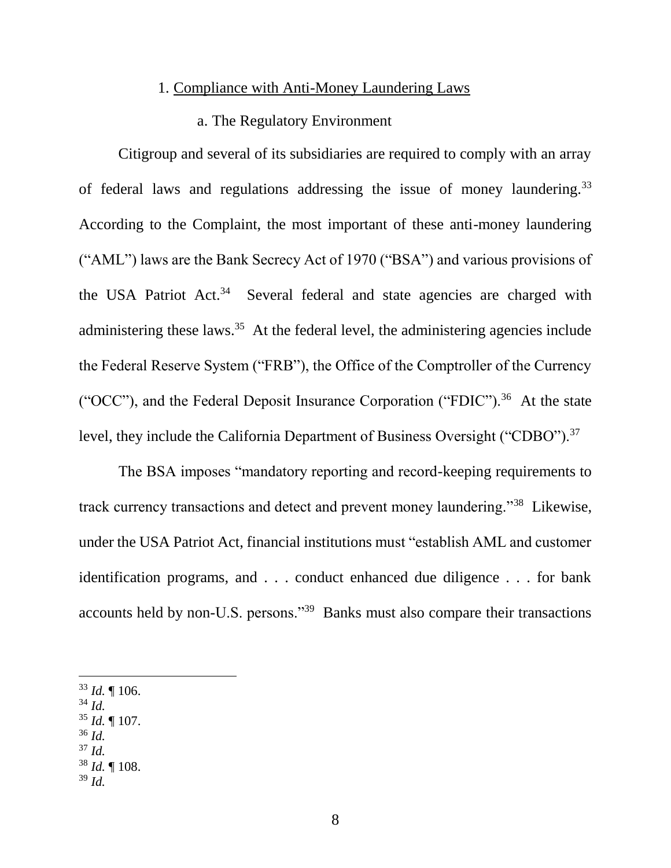#### 1. Compliance with Anti-Money Laundering Laws

#### a. The Regulatory Environment

Citigroup and several of its subsidiaries are required to comply with an array of federal laws and regulations addressing the issue of money laundering.<sup>33</sup> According to the Complaint, the most important of these anti-money laundering ("AML") laws are the Bank Secrecy Act of 1970 ("BSA") and various provisions of the USA Patriot Act.<sup>34</sup> Several federal and state agencies are charged with administering these laws.<sup>35</sup> At the federal level, the administering agencies include the Federal Reserve System ("FRB"), the Office of the Comptroller of the Currency ("OCC"), and the Federal Deposit Insurance Corporation ("FDIC").<sup>36</sup> At the state level, they include the California Department of Business Oversight ("CDBO").<sup>37</sup>

The BSA imposes "mandatory reporting and record-keeping requirements to track currency transactions and detect and prevent money laundering."<sup>38</sup> Likewise, under the USA Patriot Act, financial institutions must "establish AML and customer identification programs, and . . . conduct enhanced due diligence . . . for bank accounts held by non-U.S. persons."<sup>39</sup> Banks must also compare their transactions

- <sup>34</sup> *Id.*
- <sup>35</sup> *Id.* ¶ 107.
- <sup>36</sup> *Id.*

- <sup>37</sup> *Id.*
- <sup>38</sup> *Id.* ¶ 108.
- <sup>39</sup> *Id.*

 $33$  *Id.*  $\llbracket 106$ .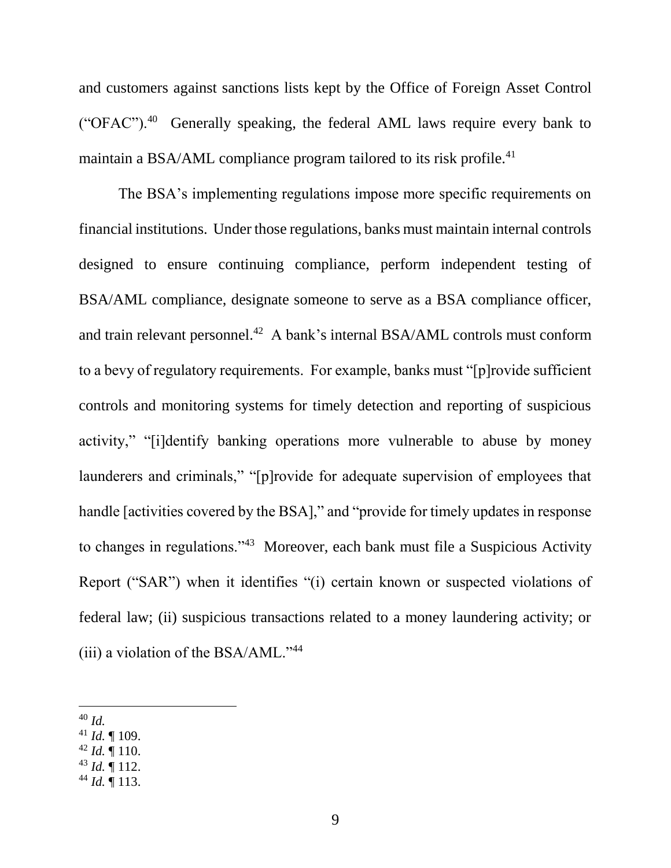and customers against sanctions lists kept by the Office of Foreign Asset Control ("OFAC").<sup>40</sup> Generally speaking, the federal AML laws require every bank to maintain a BSA/AML compliance program tailored to its risk profile.<sup>41</sup>

The BSA's implementing regulations impose more specific requirements on financial institutions. Under those regulations, banks must maintain internal controls designed to ensure continuing compliance, perform independent testing of BSA/AML compliance, designate someone to serve as a BSA compliance officer, and train relevant personnel.<sup>42</sup> A bank's internal BSA/AML controls must conform to a bevy of regulatory requirements. For example, banks must "[p]rovide sufficient controls and monitoring systems for timely detection and reporting of suspicious activity," "[i]dentify banking operations more vulnerable to abuse by money launderers and criminals," "[p]rovide for adequate supervision of employees that handle [activities covered by the BSA]," and "provide for timely updates in response to changes in regulations."<sup>43</sup> Moreover, each bank must file a Suspicious Activity Report ("SAR") when it identifies "(i) certain known or suspected violations of federal law; (ii) suspicious transactions related to a money laundering activity; or (iii) a violation of the BSA/AML."<sup>44</sup>

- <sup>41</sup> *Id.* ¶ 109.
- $42$  *Id.*  $\blacksquare$  110.
- <sup>43</sup> *Id.* ¶ 112.
- <sup>44</sup> *Id.* ¶ 113.

 $\overline{a}$ <sup>40</sup> *Id.*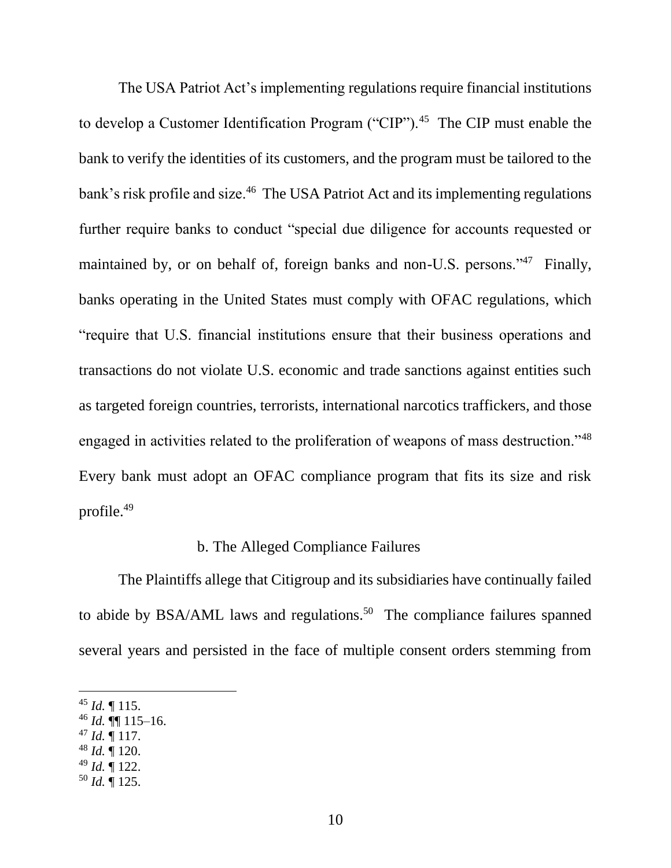The USA Patriot Act's implementing regulations require financial institutions to develop a Customer Identification Program ("CIP").<sup>45</sup> The CIP must enable the bank to verify the identities of its customers, and the program must be tailored to the bank's risk profile and size.<sup>46</sup> The USA Patriot Act and its implementing regulations further require banks to conduct "special due diligence for accounts requested or maintained by, or on behalf of, foreign banks and non-U.S. persons."<sup>47</sup> Finally, banks operating in the United States must comply with OFAC regulations, which "require that U.S. financial institutions ensure that their business operations and transactions do not violate U.S. economic and trade sanctions against entities such as targeted foreign countries, terrorists, international narcotics traffickers, and those engaged in activities related to the proliferation of weapons of mass destruction."<sup>48</sup> Every bank must adopt an OFAC compliance program that fits its size and risk profile.<sup>49</sup>

#### b. The Alleged Compliance Failures

The Plaintiffs allege that Citigroup and its subsidiaries have continually failed to abide by BSA/AML laws and regulations.<sup>50</sup> The compliance failures spanned several years and persisted in the face of multiple consent orders stemming from

- $46$  *Id.*  $\P\P$  115–16.
- $47$  *Id.*  $\frac{1}{117}$ .
- <sup>48</sup> *Id.* ¶ 120.
- <sup>49</sup> *Id.* ¶ 122.
- <sup>50</sup> *Id.* ¶ 125.

<sup>45</sup> *Id.* ¶ 115.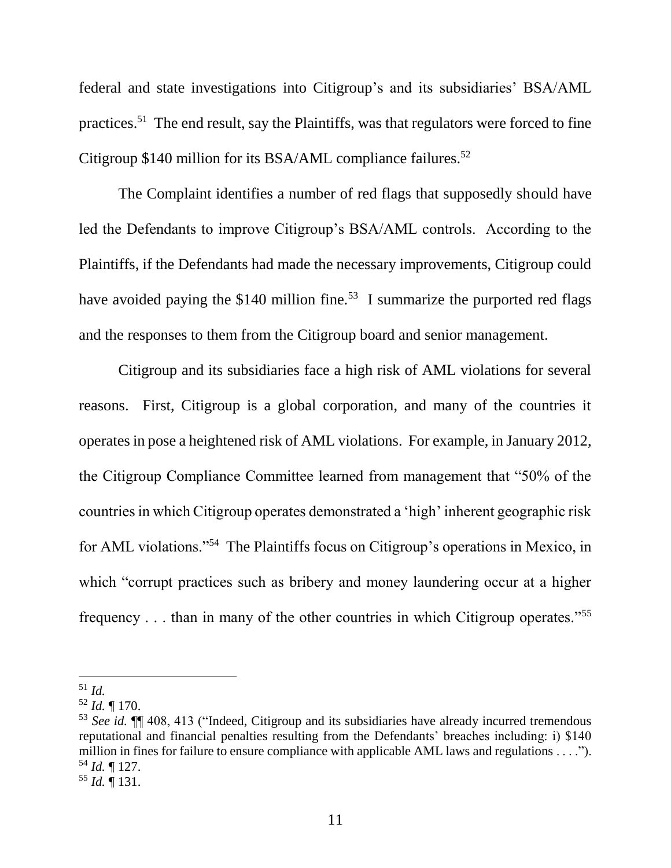federal and state investigations into Citigroup's and its subsidiaries' BSA/AML practices.<sup>51</sup> The end result, say the Plaintiffs, was that regulators were forced to fine Citigroup \$140 million for its BSA/AML compliance failures.<sup>52</sup>

The Complaint identifies a number of red flags that supposedly should have led the Defendants to improve Citigroup's BSA/AML controls. According to the Plaintiffs, if the Defendants had made the necessary improvements, Citigroup could have avoided paying the \$140 million fine.<sup>53</sup> I summarize the purported red flags and the responses to them from the Citigroup board and senior management.

Citigroup and its subsidiaries face a high risk of AML violations for several reasons. First, Citigroup is a global corporation, and many of the countries it operates in pose a heightened risk of AML violations. For example, in January 2012, the Citigroup Compliance Committee learned from management that "50% of the countries in which Citigroup operates demonstrated a 'high' inherent geographic risk for AML violations."<sup>54</sup> The Plaintiffs focus on Citigroup's operations in Mexico, in which "corrupt practices such as bribery and money laundering occur at a higher frequency . . . than in many of the other countries in which Citigroup operates."<sup>55</sup>

<sup>51</sup> *Id.*

<sup>52</sup> *Id.* ¶ 170.

<sup>53</sup> *See id.* ¶¶ 408, 413 ("Indeed, Citigroup and its subsidiaries have already incurred tremendous reputational and financial penalties resulting from the Defendants' breaches including: i) \$140 million in fines for failure to ensure compliance with applicable AML laws and regulations . . . ."). <sup>54</sup> *Id.* ¶ 127.

<sup>55</sup> *Id.* ¶ 131.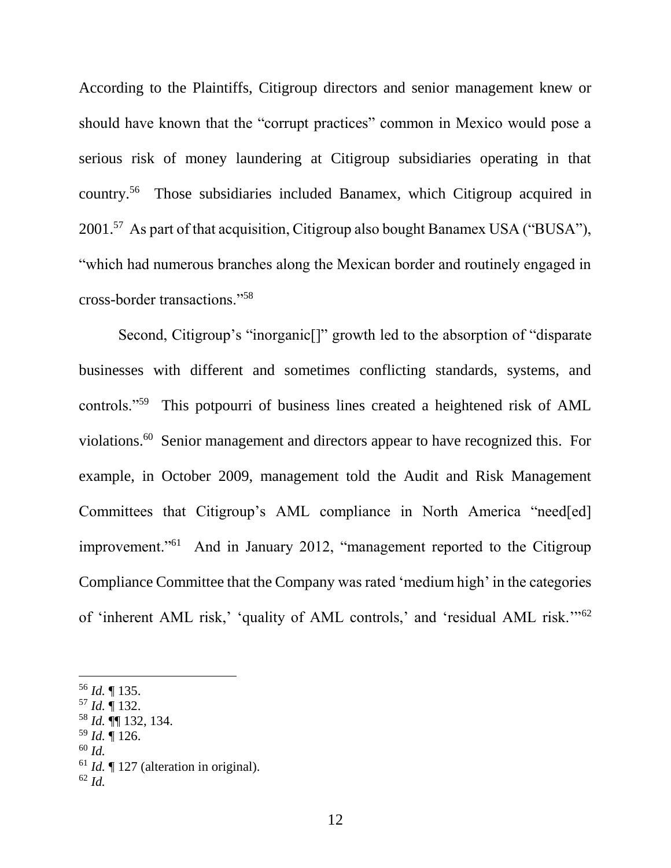According to the Plaintiffs, Citigroup directors and senior management knew or should have known that the "corrupt practices" common in Mexico would pose a serious risk of money laundering at Citigroup subsidiaries operating in that country.<sup>56</sup> Those subsidiaries included Banamex, which Citigroup acquired in 2001.<sup>57</sup> As part of that acquisition, Citigroup also bought Banamex USA ("BUSA"), "which had numerous branches along the Mexican border and routinely engaged in cross-border transactions."<sup>58</sup>

Second, Citigroup's "inorganic[]" growth led to the absorption of "disparate businesses with different and sometimes conflicting standards, systems, and controls."<sup>59</sup> This potpourri of business lines created a heightened risk of AML violations.<sup>60</sup> Senior management and directors appear to have recognized this. For example, in October 2009, management told the Audit and Risk Management Committees that Citigroup's AML compliance in North America "need[ed] improvement."<sup>61</sup> And in January 2012, "management reported to the Citigroup Compliance Committee that the Company was rated 'medium high' in the categories of 'inherent AML risk,' 'quality of AML controls,' and 'residual AML risk.'"<sup>62</sup>

- <sup>59</sup> *Id.* ¶ 126.
- <sup>60</sup> *Id.*

<sup>56</sup> *Id.* ¶ 135.

<sup>57</sup> *Id.* ¶ 132.

<sup>58</sup> *Id.* ¶¶ 132, 134.

<sup>61</sup> *Id.* ¶ 127 (alteration in original).

<sup>62</sup> *Id.*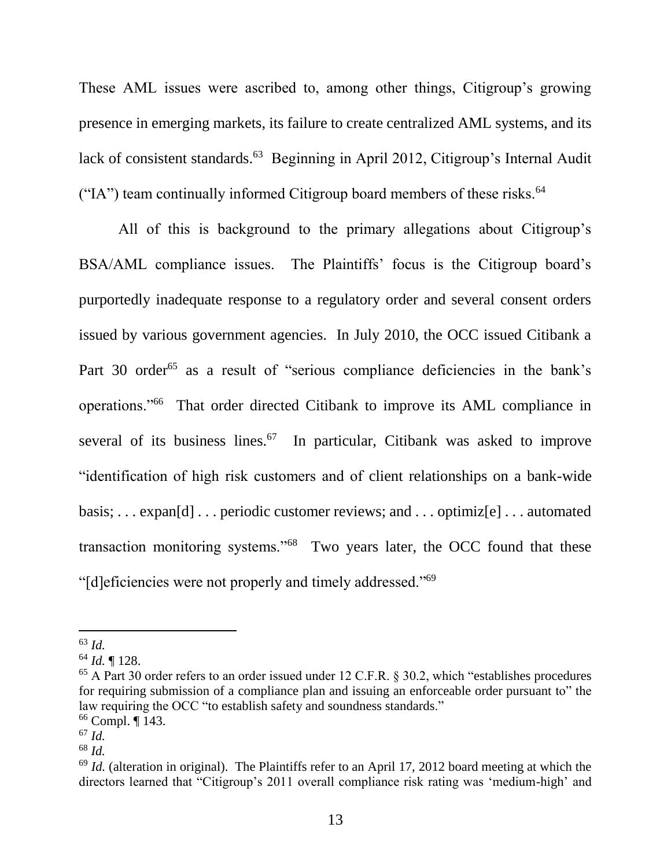These AML issues were ascribed to, among other things, Citigroup's growing presence in emerging markets, its failure to create centralized AML systems, and its lack of consistent standards.<sup>63</sup> Beginning in April 2012, Citigroup's Internal Audit ("IA") team continually informed Citigroup board members of these risks. $<sup>64</sup>$ </sup>

All of this is background to the primary allegations about Citigroup's BSA/AML compliance issues. The Plaintiffs' focus is the Citigroup board's purportedly inadequate response to a regulatory order and several consent orders issued by various government agencies. In July 2010, the OCC issued Citibank a Part 30 order<sup>65</sup> as a result of "serious compliance deficiencies in the bank's operations."<sup>66</sup> That order directed Citibank to improve its AML compliance in several of its business lines. $67$  In particular, Citibank was asked to improve "identification of high risk customers and of client relationships on a bank-wide basis; . . . expan[d] . . . periodic customer reviews; and . . . optimiz[e] . . . automated transaction monitoring systems."<sup>68</sup> Two years later, the OCC found that these "[d]eficiencies were not properly and timely addressed."<sup>69</sup>

<sup>63</sup> *Id.*

<sup>64</sup> *Id.* ¶ 128.

<sup>&</sup>lt;sup>65</sup> A Part 30 order refers to an order issued under 12 C.F.R. § 30.2, which "establishes procedures for requiring submission of a compliance plan and issuing an enforceable order pursuant to" the law requiring the OCC "to establish safety and soundness standards."

<sup>66</sup> Compl. ¶ 143.

<sup>67</sup> *Id.*

<sup>68</sup> *Id.*

<sup>&</sup>lt;sup>69</sup> *Id.* (alteration in original). The Plaintiffs refer to an April 17, 2012 board meeting at which the directors learned that "Citigroup's 2011 overall compliance risk rating was 'medium-high' and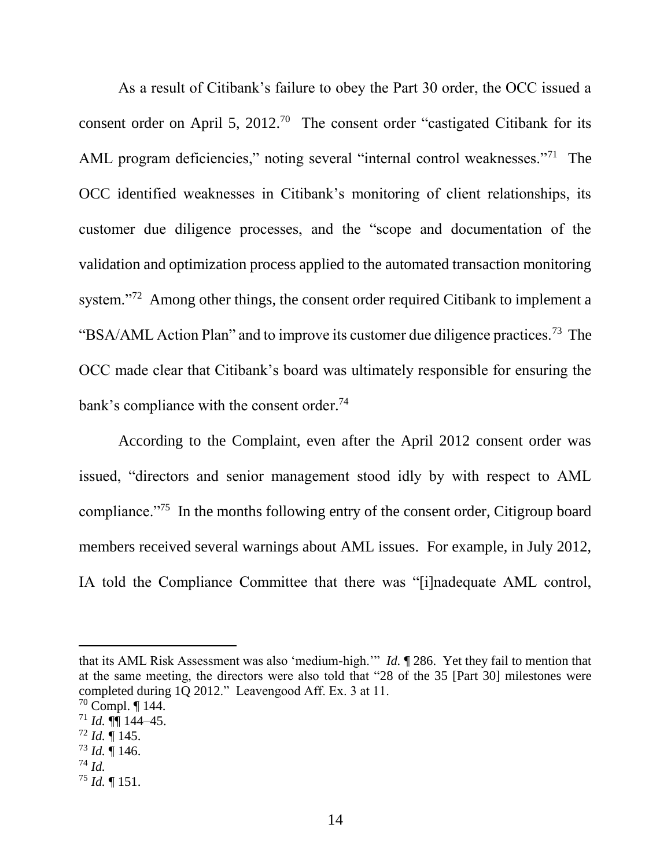As a result of Citibank's failure to obey the Part 30 order, the OCC issued a consent order on April 5,  $2012<sup>70</sup>$  The consent order "castigated Citibank for its AML program deficiencies," noting several "internal control weaknesses."<sup>71</sup> The OCC identified weaknesses in Citibank's monitoring of client relationships, its customer due diligence processes, and the "scope and documentation of the validation and optimization process applied to the automated transaction monitoring system."<sup>72</sup> Among other things, the consent order required Citibank to implement a "BSA/AML Action Plan" and to improve its customer due diligence practices.<sup>73</sup> The OCC made clear that Citibank's board was ultimately responsible for ensuring the bank's compliance with the consent order.<sup>74</sup>

According to the Complaint, even after the April 2012 consent order was issued, "directors and senior management stood idly by with respect to AML compliance."<sup>75</sup> In the months following entry of the consent order, Citigroup board members received several warnings about AML issues. For example, in July 2012, IA told the Compliance Committee that there was "[i]nadequate AML control,

that its AML Risk Assessment was also 'medium-high.'" *Id.* ¶ 286. Yet they fail to mention that at the same meeting, the directors were also told that "28 of the 35 [Part 30] milestones were completed during 1Q 2012." Leavengood Aff. Ex. 3 at 11.

- $^{72}$  *Id.*  $\sqrt{\phantom{a}}$  145.
- $^{73}$  *Id.*  $\overline{$  146.
- <sup>74</sup> *Id.*

l

<sup>75</sup> *Id.* ¶ 151.

 $70$  Compl.  $\P$  144.

 $^{71}$  *Id.*  $\P$  $\overline{\phantom{1}}$  144–45.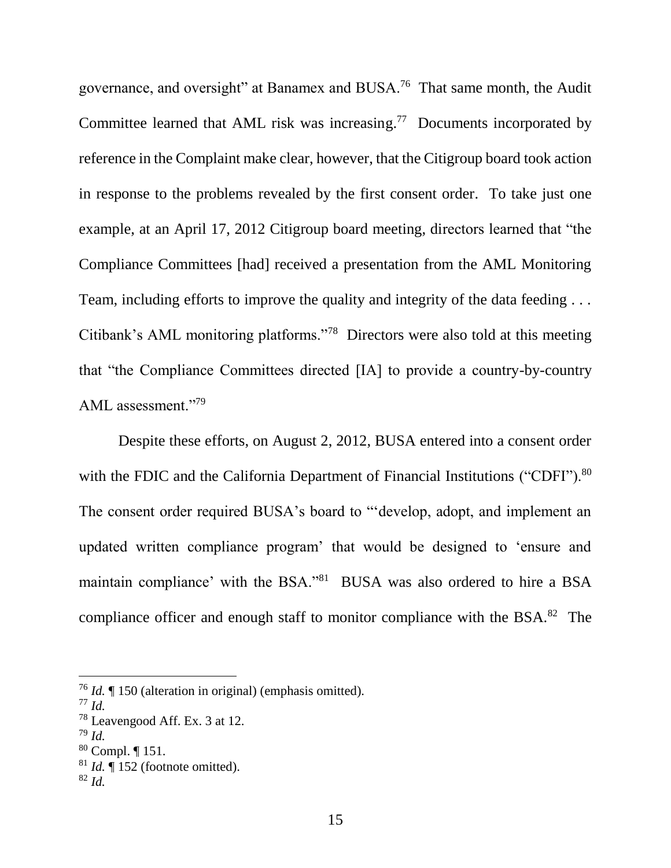governance, and oversight" at Banamex and BUSA.<sup>76</sup> That same month, the Audit Committee learned that AML risk was increasing.<sup>77</sup> Documents incorporated by reference in the Complaint make clear, however, that the Citigroup board took action in response to the problems revealed by the first consent order. To take just one example, at an April 17, 2012 Citigroup board meeting, directors learned that "the Compliance Committees [had] received a presentation from the AML Monitoring Team, including efforts to improve the quality and integrity of the data feeding . . . Citibank's AML monitoring platforms."<sup>78</sup> Directors were also told at this meeting that "the Compliance Committees directed [IA] to provide a country-by-country AML assessment."<sup>79</sup>

Despite these efforts, on August 2, 2012, BUSA entered into a consent order with the FDIC and the California Department of Financial Institutions ("CDFI").<sup>80</sup> The consent order required BUSA's board to "'develop, adopt, and implement an updated written compliance program' that would be designed to 'ensure and maintain compliance' with the BSA."<sup>81</sup> BUSA was also ordered to hire a BSA compliance officer and enough staff to monitor compliance with the BSA.<sup>82</sup> The

<sup>76</sup> *Id.* ¶ 150 (alteration in original) (emphasis omitted).

<sup>77</sup> *Id.*

<sup>78</sup> Leavengood Aff. Ex. 3 at 12.

<sup>79</sup> *Id.*

 $80$  Compl.  $\P$  151.

<sup>81</sup> *Id.* ¶ 152 (footnote omitted).

<sup>82</sup> *Id.*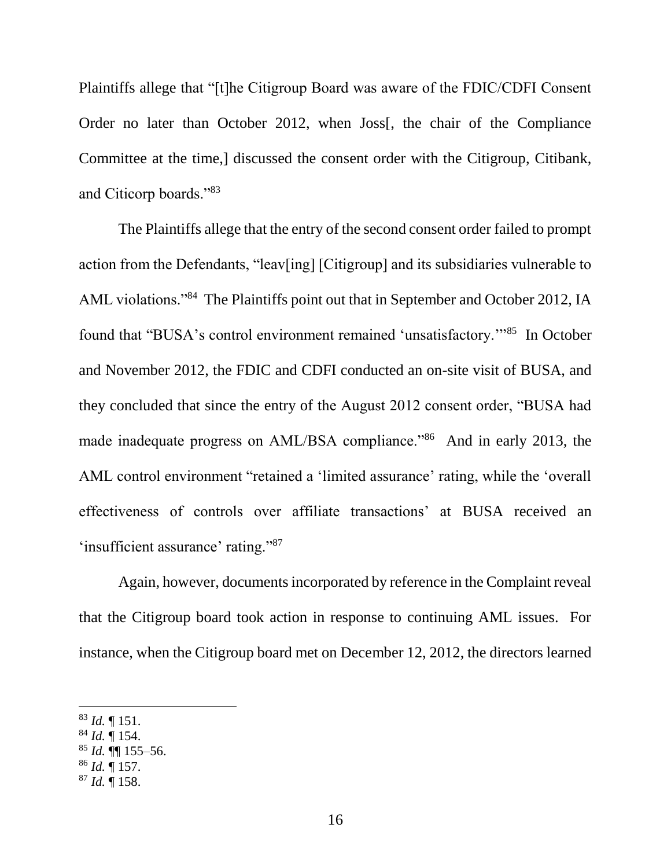Plaintiffs allege that "[t]he Citigroup Board was aware of the FDIC/CDFI Consent Order no later than October 2012, when Joss[, the chair of the Compliance Committee at the time,] discussed the consent order with the Citigroup, Citibank, and Citicorp boards."<sup>83</sup>

The Plaintiffs allege that the entry of the second consent order failed to prompt action from the Defendants, "leav[ing] [Citigroup] and its subsidiaries vulnerable to AML violations."<sup>84</sup> The Plaintiffs point out that in September and October 2012, IA found that "BUSA's control environment remained 'unsatisfactory."<sup>85</sup> In October and November 2012, the FDIC and CDFI conducted an on-site visit of BUSA, and they concluded that since the entry of the August 2012 consent order, "BUSA had made inadequate progress on AML/BSA compliance."<sup>86</sup> And in early 2013, the AML control environment "retained a 'limited assurance' rating, while the 'overall effectiveness of controls over affiliate transactions' at BUSA received an 'insufficient assurance' rating."87

Again, however, documents incorporated by reference in the Complaint reveal that the Citigroup board took action in response to continuing AML issues. For instance, when the Citigroup board met on December 12, 2012, the directors learned

<sup>83</sup> *Id.* ¶ 151.

<sup>84</sup> *Id.* ¶ 154.

<sup>85</sup> *Id.* ¶¶ 155–56.

<sup>86</sup> *Id.* ¶ 157.

<sup>87</sup> *Id.* ¶ 158.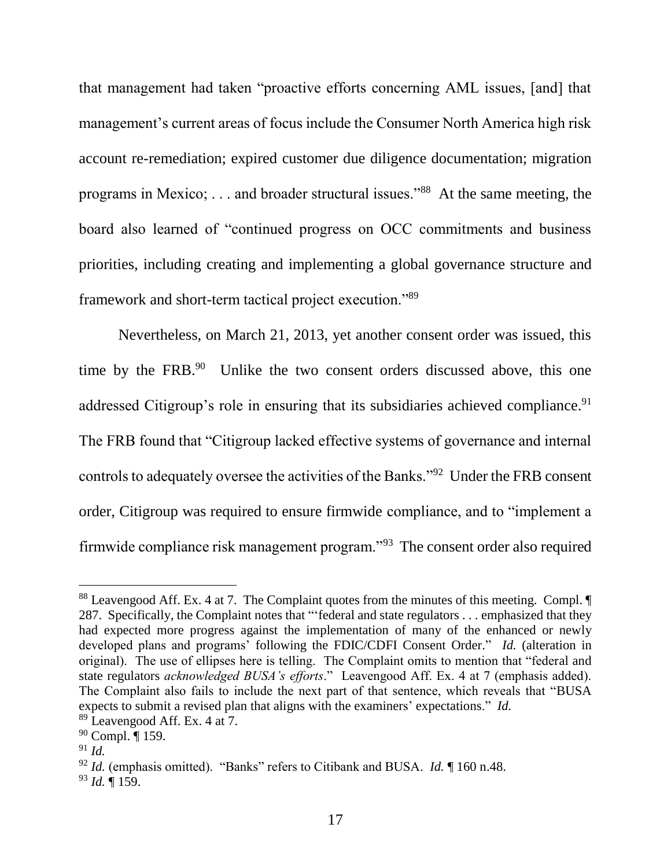that management had taken "proactive efforts concerning AML issues, [and] that management's current areas of focus include the Consumer North America high risk account re-remediation; expired customer due diligence documentation; migration programs in Mexico; . . . and broader structural issues."<sup>88</sup> At the same meeting, the board also learned of "continued progress on OCC commitments and business priorities, including creating and implementing a global governance structure and framework and short-term tactical project execution."<sup>89</sup>

Nevertheless, on March 21, 2013, yet another consent order was issued, this time by the FRB.<sup>90</sup> Unlike the two consent orders discussed above, this one addressed Citigroup's role in ensuring that its subsidiaries achieved compliance.<sup>91</sup> The FRB found that "Citigroup lacked effective systems of governance and internal controls to adequately oversee the activities of the Banks."<sup>92</sup> Under the FRB consent order, Citigroup was required to ensure firmwide compliance, and to "implement a firmwide compliance risk management program."<sup>93</sup> The consent order also required

<sup>88</sup> Leavengood Aff. Ex. 4 at 7. The Complaint quotes from the minutes of this meeting. Compl. 287. Specifically, the Complaint notes that "'federal and state regulators . . . emphasized that they had expected more progress against the implementation of many of the enhanced or newly developed plans and programs' following the FDIC/CDFI Consent Order." *Id.* (alteration in original). The use of ellipses here is telling. The Complaint omits to mention that "federal and state regulators *acknowledged BUSA's efforts*." Leavengood Aff. Ex. 4 at 7 (emphasis added). The Complaint also fails to include the next part of that sentence, which reveals that "BUSA expects to submit a revised plan that aligns with the examiners' expectations." *Id.*

<sup>89</sup> Leavengood Aff. Ex. 4 at 7.

<sup>90</sup> Compl. ¶ 159.

<sup>91</sup> *Id.*

<sup>92</sup> *Id.* (emphasis omitted). "Banks" refers to Citibank and BUSA. *Id.* ¶ 160 n.48.

<sup>93</sup> *Id.* ¶ 159.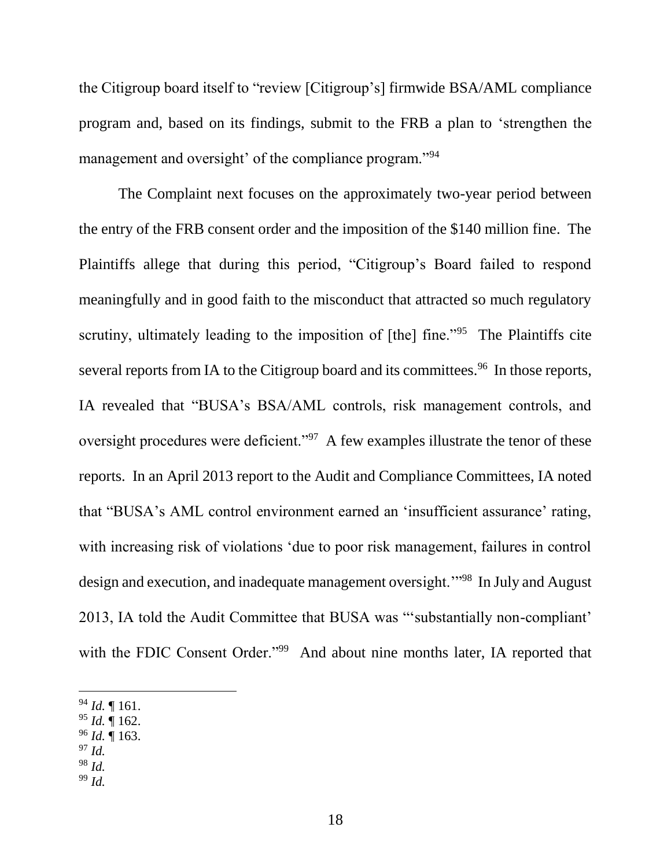the Citigroup board itself to "review [Citigroup's] firmwide BSA/AML compliance program and, based on its findings, submit to the FRB a plan to 'strengthen the management and oversight' of the compliance program."<sup>94</sup>

The Complaint next focuses on the approximately two-year period between the entry of the FRB consent order and the imposition of the \$140 million fine. The Plaintiffs allege that during this period, "Citigroup's Board failed to respond meaningfully and in good faith to the misconduct that attracted so much regulatory scrutiny, ultimately leading to the imposition of [the] fine."<sup>95</sup> The Plaintiffs cite several reports from IA to the Citigroup board and its committees.<sup>96</sup> In those reports, IA revealed that "BUSA's BSA/AML controls, risk management controls, and oversight procedures were deficient."<sup>97</sup> A few examples illustrate the tenor of these reports. In an April 2013 report to the Audit and Compliance Committees, IA noted that "BUSA's AML control environment earned an 'insufficient assurance' rating, with increasing risk of violations 'due to poor risk management, failures in control design and execution, and inadequate management oversight."<sup>98</sup> In July and August 2013, IA told the Audit Committee that BUSA was "'substantially non-compliant' with the FDIC Consent Order."<sup>99</sup> And about nine months later, IA reported that

- <sup>95</sup> *Id.* ¶ 162.
- <sup>96</sup> *Id.* ¶ 163.
- <sup>97</sup> *Id.*
- <sup>98</sup> *Id.*

 $\overline{a}$ 

<sup>99</sup> *Id.*

<sup>94</sup> *Id.* ¶ 161.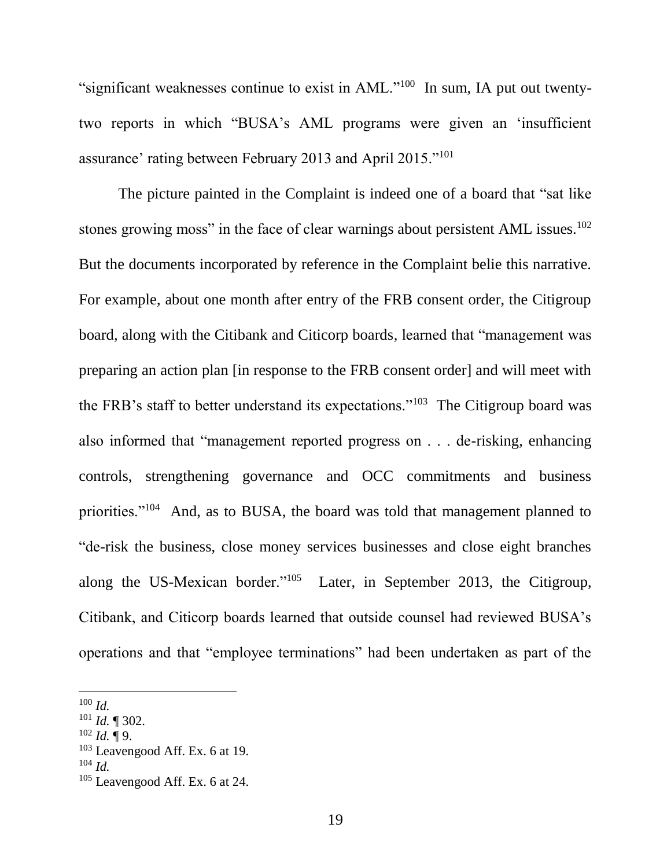"significant weaknesses continue to exist in  $AML$ ."<sup>100</sup> In sum, IA put out twentytwo reports in which "BUSA's AML programs were given an 'insufficient assurance' rating between February 2013 and April 2015."<sup>101</sup>

The picture painted in the Complaint is indeed one of a board that "sat like stones growing moss" in the face of clear warnings about persistent AML issues.<sup>102</sup> But the documents incorporated by reference in the Complaint belie this narrative. For example, about one month after entry of the FRB consent order, the Citigroup board, along with the Citibank and Citicorp boards, learned that "management was preparing an action plan [in response to the FRB consent order] and will meet with the FRB's staff to better understand its expectations."<sup>103</sup> The Citigroup board was also informed that "management reported progress on . . . de-risking, enhancing controls, strengthening governance and OCC commitments and business priorities."<sup>104</sup> And, as to BUSA, the board was told that management planned to "de-risk the business, close money services businesses and close eight branches along the US-Mexican border."<sup>105</sup> Later, in September 2013, the Citigroup, Citibank, and Citicorp boards learned that outside counsel had reviewed BUSA's operations and that "employee terminations" had been undertaken as part of the

<sup>100</sup> *Id.*

<sup>101</sup> *Id.* ¶ 302.

<sup>102</sup> *Id.* ¶ 9.

 $103$  Leavengood Aff. Ex. 6 at 19.

 $104$  *Id.* 

<sup>105</sup> Leavengood Aff. Ex. 6 at 24.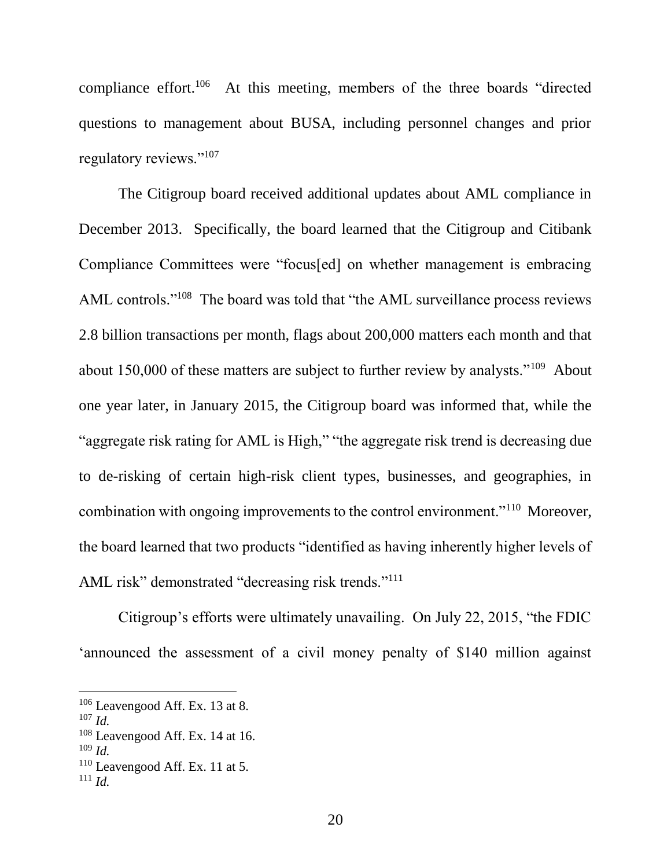compliance effort.<sup>106</sup> At this meeting, members of the three boards "directed questions to management about BUSA, including personnel changes and prior regulatory reviews."<sup>107</sup>

The Citigroup board received additional updates about AML compliance in December 2013. Specifically, the board learned that the Citigroup and Citibank Compliance Committees were "focus[ed] on whether management is embracing AML controls."<sup>108</sup> The board was told that "the AML surveillance process reviews 2.8 billion transactions per month, flags about 200,000 matters each month and that about  $150,000$  of these matters are subject to further review by analysts."<sup>109</sup> About one year later, in January 2015, the Citigroup board was informed that, while the "aggregate risk rating for AML is High," "the aggregate risk trend is decreasing due to de-risking of certain high-risk client types, businesses, and geographies, in combination with ongoing improvements to the control environment."<sup>110</sup> Moreover, the board learned that two products "identified as having inherently higher levels of AML risk" demonstrated "decreasing risk trends."<sup>111</sup>

Citigroup's efforts were ultimately unavailing. On July 22, 2015, "the FDIC 'announced the assessment of a civil money penalty of \$140 million against

<sup>106</sup> Leavengood Aff. Ex. 13 at 8.

<sup>107</sup> *Id.*

<sup>108</sup> Leavengood Aff. Ex. 14 at 16.

<sup>109</sup> *Id.*

 $110$  Leavengood Aff. Ex. 11 at 5.

 $111$  *Id.*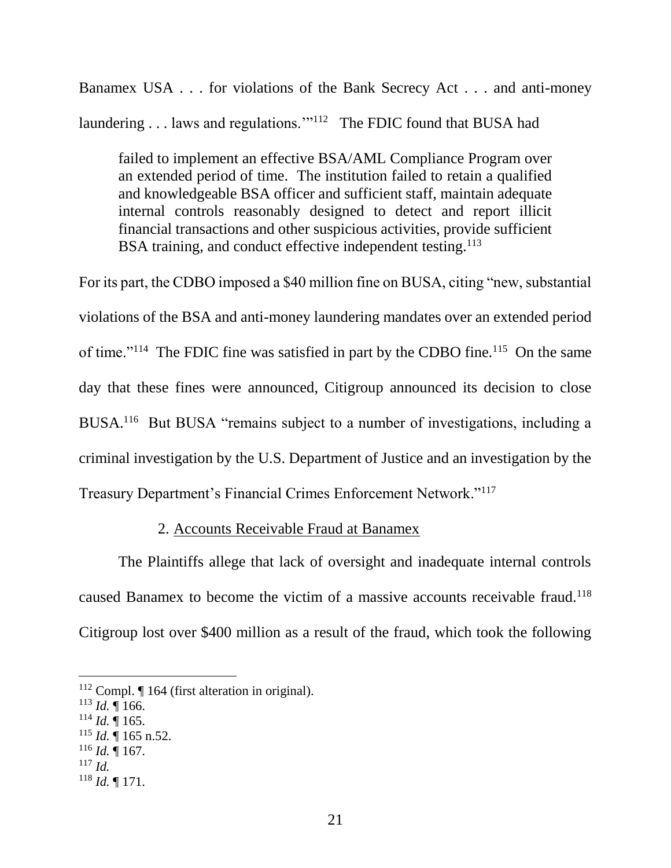Banamex USA . . . for violations of the Bank Secrecy Act . . . and anti-money laundering . . . laws and regulations."<sup>112</sup> The FDIC found that BUSA had

failed to implement an effective BSA/AML Compliance Program over an extended period of time. The institution failed to retain a qualified and knowledgeable BSA officer and sufficient staff, maintain adequate internal controls reasonably designed to detect and report illicit financial transactions and other suspicious activities, provide sufficient BSA training, and conduct effective independent testing.<sup>113</sup>

For its part, the CDBO imposed a \$40 million fine on BUSA, citing "new, substantial violations of the BSA and anti-money laundering mandates over an extended period of time."<sup>114</sup> The FDIC fine was satisfied in part by the CDBO fine.<sup>115</sup> On the same day that these fines were announced, Citigroup announced its decision to close BUSA.<sup>116</sup> But BUSA "remains subject to a number of investigations, including a criminal investigation by the U.S. Department of Justice and an investigation by the Treasury Department's Financial Crimes Enforcement Network."<sup>117</sup>

## 2. Accounts Receivable Fraud at Banamex

The Plaintiffs allege that lack of oversight and inadequate internal controls caused Banamex to become the victim of a massive accounts receivable fraud.<sup>118</sup> Citigroup lost over \$400 million as a result of the fraud, which took the following

- $114$  *Id.*  $\overline{9}$  165.
- $115$  *Id.*  $\overline{$  165 n.52.
- $116$  *Id.* 167.
- <sup>117</sup> *Id.*

l

<sup>118</sup> *Id.* ¶ 171.

<sup>112</sup> Compl. ¶ 164 (first alteration in original).

 $113$  *Id.* 166.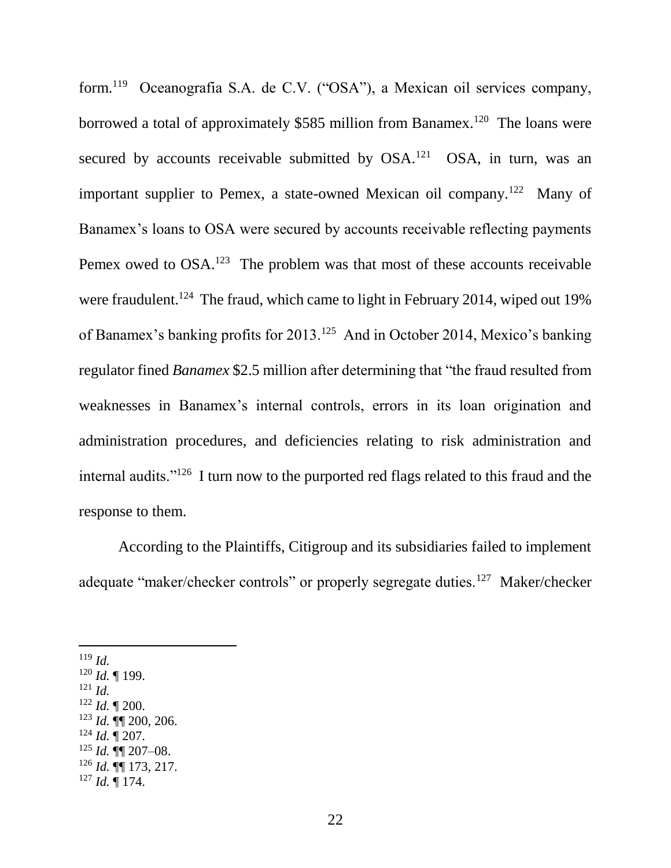form.<sup>119</sup> Oceanografia S.A. de C.V. ("OSA"), a Mexican oil services company, borrowed a total of approximately \$585 million from Banamex.<sup>120</sup> The loans were secured by accounts receivable submitted by  $OSA$ .<sup>121</sup>  $OSA$ , in turn, was an important supplier to Pemex, a state-owned Mexican oil company.<sup>122</sup> Many of Banamex's loans to OSA were secured by accounts receivable reflecting payments Pemex owed to  $OSA$ .<sup>123</sup> The problem was that most of these accounts receivable were fraudulent.<sup>124</sup> The fraud, which came to light in February 2014, wiped out 19% of Banamex's banking profits for 2013.<sup>125</sup> And in October 2014, Mexico's banking regulator fined *Banamex* \$2.5 million after determining that "the fraud resulted from weaknesses in Banamex's internal controls, errors in its loan origination and administration procedures, and deficiencies relating to risk administration and internal audits."<sup>126</sup> I turn now to the purported red flags related to this fraud and the response to them.

According to the Plaintiffs, Citigroup and its subsidiaries failed to implement adequate "maker/checker controls" or properly segregate duties.<sup>127</sup> Maker/checker

<sup>119</sup> *Id.*

l

<sup>120</sup> *Id.* ¶ 199.

<sup>121</sup> *Id.*

<sup>122</sup> *Id.* ¶ 200.

- <sup>123</sup> *Id.* ¶¶ 200, 206.
- $124$  *Id.*  $\sqrt{207}$ .
- $125$  *Id.*  $\P\P$  207–08.
- <sup>126</sup> *Id.* ¶¶ 173, 217.

<sup>127</sup> *Id.* ¶ 174.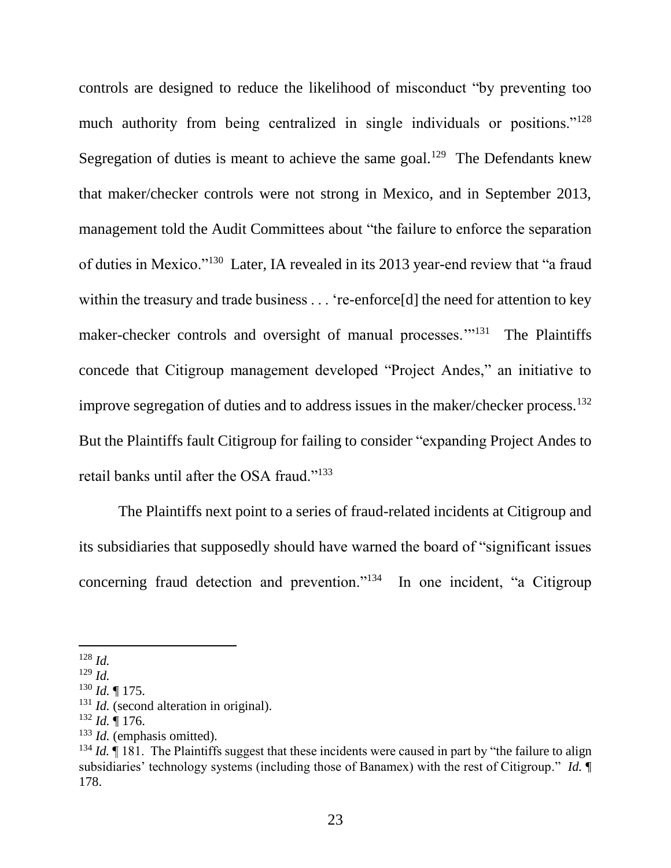controls are designed to reduce the likelihood of misconduct "by preventing too much authority from being centralized in single individuals or positions."<sup>128</sup> Segregation of duties is meant to achieve the same goal.<sup>129</sup> The Defendants knew that maker/checker controls were not strong in Mexico, and in September 2013, management told the Audit Committees about "the failure to enforce the separation of duties in Mexico."<sup>130</sup> Later, IA revealed in its 2013 year-end review that "a fraud within the treasury and trade business . . . 're-enforce[d] the need for attention to key maker-checker controls and oversight of manual processes."<sup>131</sup> The Plaintiffs concede that Citigroup management developed "Project Andes," an initiative to improve segregation of duties and to address issues in the maker/checker process.<sup>132</sup> But the Plaintiffs fault Citigroup for failing to consider "expanding Project Andes to retail banks until after the OSA fraud."<sup>133</sup>

The Plaintiffs next point to a series of fraud-related incidents at Citigroup and its subsidiaries that supposedly should have warned the board of "significant issues concerning fraud detection and prevention."<sup>134</sup> In one incident, "a Citigroup

<sup>128</sup> *Id.*

<sup>129</sup> *Id.*

 $130$  *Id.* | 175.

<sup>&</sup>lt;sup>131</sup> *Id.* (second alteration in original).

<sup>132</sup> *Id.* ¶ 176.

<sup>133</sup> *Id.* (emphasis omitted).

<sup>&</sup>lt;sup>134</sup> *Id.* If 181. The Plaintiffs suggest that these incidents were caused in part by "the failure to align subsidiaries' technology systems (including those of Banamex) with the rest of Citigroup." *Id.* ¶ 178.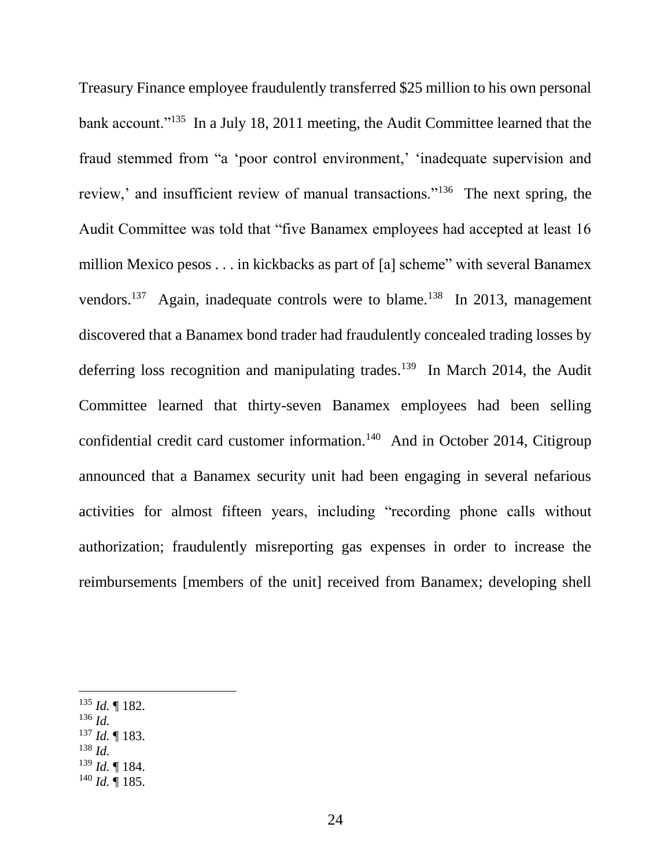Treasury Finance employee fraudulently transferred \$25 million to his own personal bank account."<sup>135</sup> In a July 18, 2011 meeting, the Audit Committee learned that the fraud stemmed from "a 'poor control environment,' 'inadequate supervision and review,' and insufficient review of manual transactions."<sup>136</sup> The next spring, the Audit Committee was told that "five Banamex employees had accepted at least 16 million Mexico pesos . . . in kickbacks as part of [a] scheme" with several Banamex vendors.<sup>137</sup> Again, inadequate controls were to blame.<sup>138</sup> In 2013, management discovered that a Banamex bond trader had fraudulently concealed trading losses by deferring loss recognition and manipulating trades.<sup>139</sup> In March 2014, the Audit Committee learned that thirty-seven Banamex employees had been selling confidential credit card customer information.<sup>140</sup> And in October 2014, Citigroup announced that a Banamex security unit had been engaging in several nefarious activities for almost fifteen years, including "recording phone calls without authorization; fraudulently misreporting gas expenses in order to increase the reimbursements [members of the unit] received from Banamex; developing shell

<sup>136</sup> *Id.*

- <sup>137</sup> *Id.* ¶ 183.
- <sup>138</sup> *Id.*
- <sup>139</sup> *Id.* ¶ 184.
- $140$  *Id.* 185.

<sup>135</sup> *Id.* ¶ 182.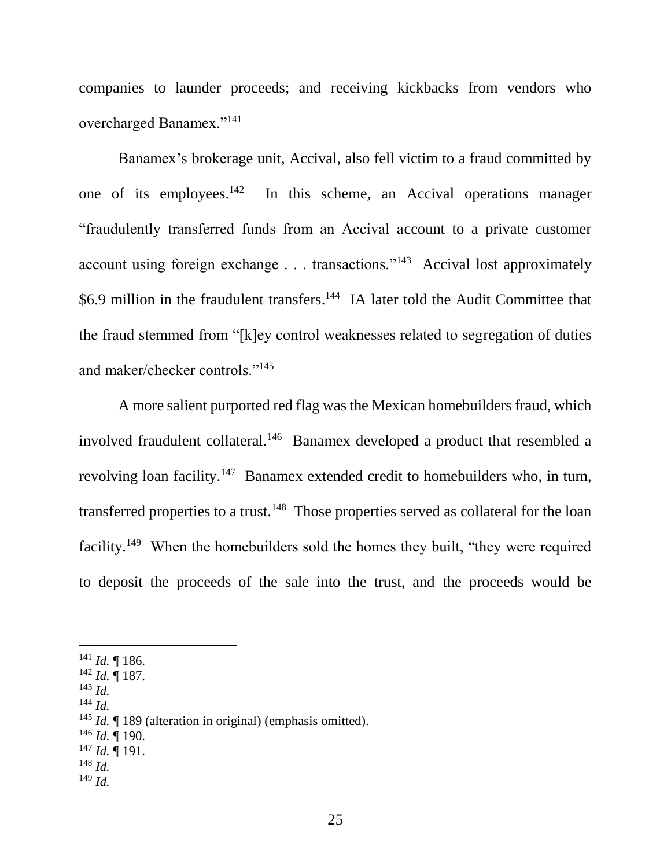companies to launder proceeds; and receiving kickbacks from vendors who overcharged Banamex."<sup>141</sup>

Banamex's brokerage unit, Accival, also fell victim to a fraud committed by one of its employees.<sup>142</sup> In this scheme, an Accival operations manager "fraudulently transferred funds from an Accival account to a private customer account using foreign exchange . . . transactions."<sup>143</sup> Accival lost approximately \$6.9 million in the fraudulent transfers.<sup>144</sup> IA later told the Audit Committee that the fraud stemmed from "[k]ey control weaknesses related to segregation of duties and maker/checker controls."<sup>145</sup>

A more salient purported red flag was the Mexican homebuilders fraud, which involved fraudulent collateral.<sup>146</sup> Banamex developed a product that resembled a revolving loan facility.<sup>147</sup> Banamex extended credit to homebuilders who, in turn, transferred properties to a trust.<sup>148</sup> Those properties served as collateral for the loan facility.<sup>149</sup> When the homebuilders sold the homes they built, "they were required to deposit the proceeds of the sale into the trust, and the proceeds would be

<sup>143</sup> *Id.*

l

<sup>144</sup> *Id.*

- <sup>146</sup> *Id.* ¶ 190.
- <sup>147</sup> *Id.* ¶ 191.
- <sup>148</sup> *Id.*
- <sup>149</sup> *Id.*

 $141$  *Id.* 186.

<sup>142</sup> *Id.* ¶ 187.

<sup>&</sup>lt;sup>145</sup> *Id.* 189 (alteration in original) (emphasis omitted).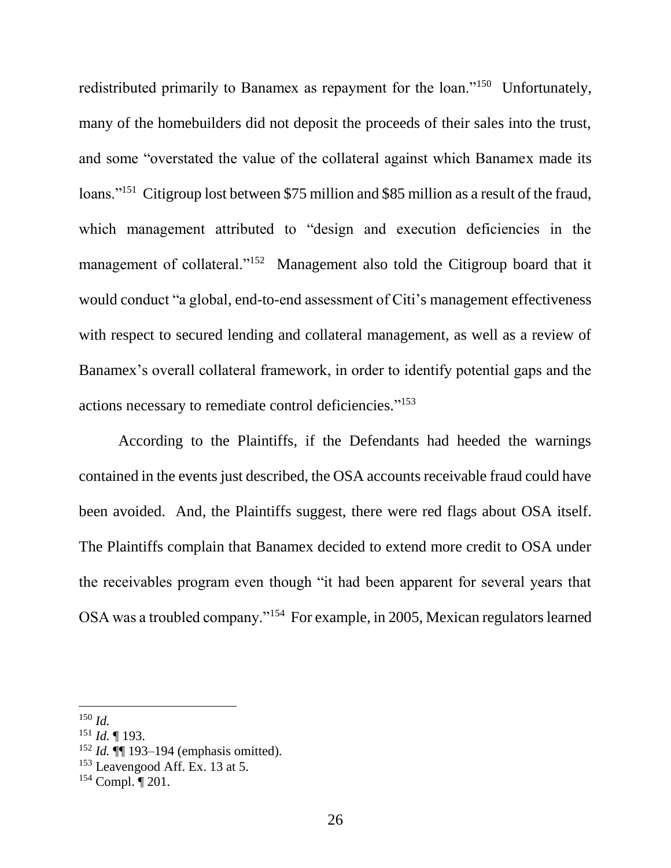redistributed primarily to Banamex as repayment for the loan."<sup>150</sup> Unfortunately, many of the homebuilders did not deposit the proceeds of their sales into the trust, and some "overstated the value of the collateral against which Banamex made its loans."<sup>151</sup> Citigroup lost between \$75 million and \$85 million as a result of the fraud, which management attributed to "design and execution deficiencies in the management of collateral."<sup>152</sup> Management also told the Citigroup board that it would conduct "a global, end-to-end assessment of Citi's management effectiveness with respect to secured lending and collateral management, as well as a review of Banamex's overall collateral framework, in order to identify potential gaps and the actions necessary to remediate control deficiencies." 153

According to the Plaintiffs, if the Defendants had heeded the warnings contained in the events just described, the OSA accounts receivable fraud could have been avoided. And, the Plaintiffs suggest, there were red flags about OSA itself. The Plaintiffs complain that Banamex decided to extend more credit to OSA under the receivables program even though "it had been apparent for several years that OSA was a troubled company."<sup>154</sup> For example, in 2005, Mexican regulators learned

<sup>152</sup> *Id.* **¶** 193–194 (emphasis omitted).

 $\overline{a}$ <sup>150</sup> *Id.*

<sup>151</sup> *Id.* ¶ 193.

<sup>&</sup>lt;sup>153</sup> Leavengood Aff. Ex. 13 at 5.

<sup>154</sup> Compl. ¶ 201.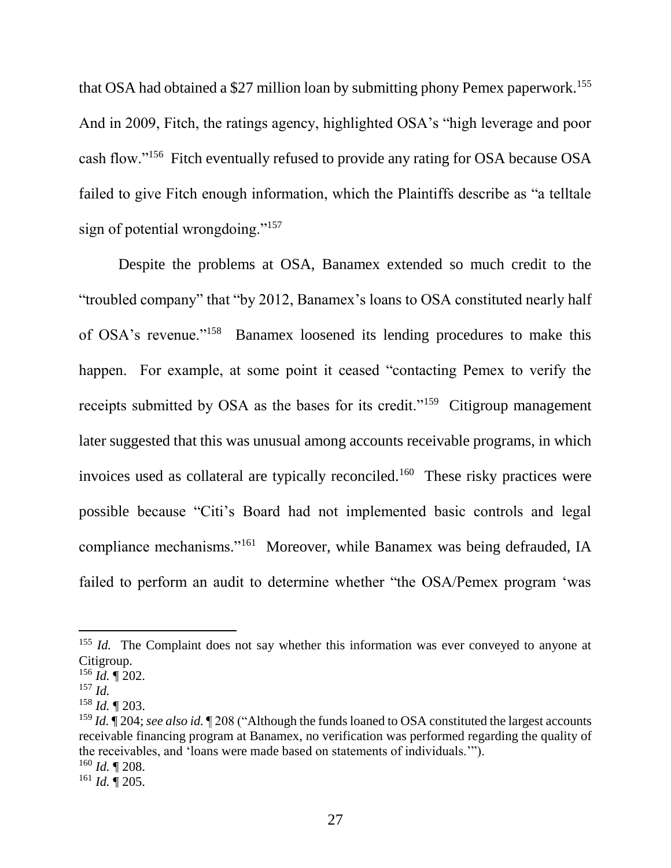that OSA had obtained a \$27 million loan by submitting phony Pemex paperwork.<sup>155</sup> And in 2009, Fitch, the ratings agency, highlighted OSA's "high leverage and poor cash flow."<sup>156</sup> Fitch eventually refused to provide any rating for OSA because OSA failed to give Fitch enough information, which the Plaintiffs describe as "a telltale sign of potential wrongdoing."<sup>157</sup>

Despite the problems at OSA, Banamex extended so much credit to the "troubled company" that "by 2012, Banamex's loans to OSA constituted nearly half of OSA's revenue."<sup>158</sup> Banamex loosened its lending procedures to make this happen. For example, at some point it ceased "contacting Pemex to verify the receipts submitted by OSA as the bases for its credit."<sup>159</sup> Citigroup management later suggested that this was unusual among accounts receivable programs, in which invoices used as collateral are typically reconciled.<sup>160</sup> These risky practices were possible because "Citi's Board had not implemented basic controls and legal compliance mechanisms."<sup>161</sup> Moreover, while Banamex was being defrauded, IA failed to perform an audit to determine whether "the OSA/Pemex program 'was

 $\overline{a}$ 

<sup>161</sup> *Id.* ¶ 205.

<sup>&</sup>lt;sup>155</sup> *Id.* The Complaint does not say whether this information was ever conveyed to anyone at Citigroup.

<sup>156</sup> *Id.* ¶ 202.

<sup>157</sup> *Id.*

<sup>158</sup> *Id.* ¶ 203.

<sup>159</sup> *Id.* ¶ 204; *see also id.* ¶ 208 ("Although the funds loaned to OSA constituted the largest accounts receivable financing program at Banamex, no verification was performed regarding the quality of the receivables, and 'loans were made based on statements of individuals.'"). <sup>160</sup> *Id.* ¶ 208.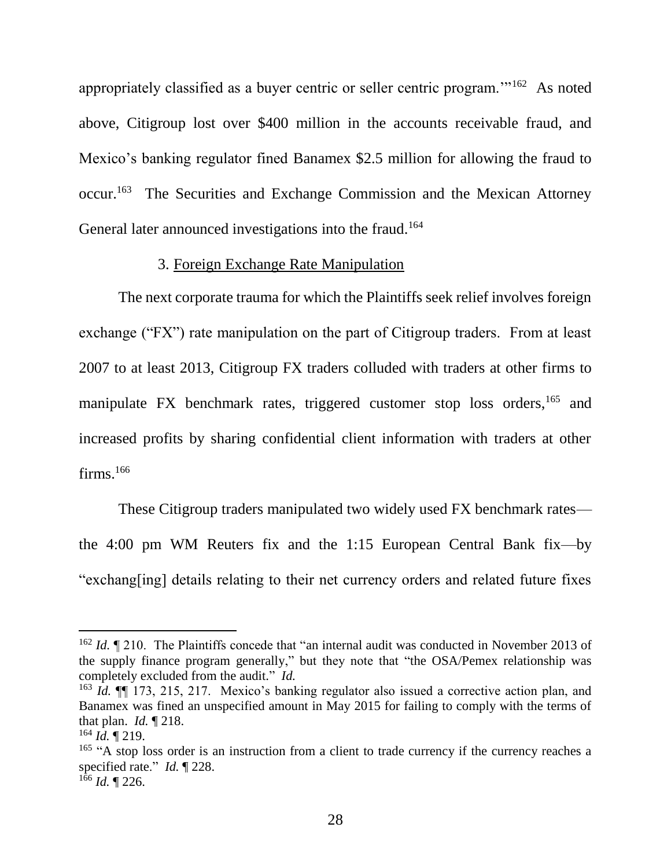appropriately classified as a buyer centric or seller centric program."<sup>162</sup> As noted above, Citigroup lost over \$400 million in the accounts receivable fraud, and Mexico's banking regulator fined Banamex \$2.5 million for allowing the fraud to occur.<sup>163</sup> The Securities and Exchange Commission and the Mexican Attorney General later announced investigations into the fraud.<sup>164</sup>

#### 3. Foreign Exchange Rate Manipulation

The next corporate trauma for which the Plaintiffs seek relief involves foreign exchange ("FX") rate manipulation on the part of Citigroup traders. From at least 2007 to at least 2013, Citigroup FX traders colluded with traders at other firms to manipulate FX benchmark rates, triggered customer stop loss orders,<sup>165</sup> and increased profits by sharing confidential client information with traders at other  $firms.^{166}$ 

These Citigroup traders manipulated two widely used FX benchmark rates the 4:00 pm WM Reuters fix and the 1:15 European Central Bank fix—by "exchang[ing] details relating to their net currency orders and related future fixes

<sup>&</sup>lt;sup>162</sup> *Id.* ¶ 210. The Plaintiffs concede that "an internal audit was conducted in November 2013 of the supply finance program generally," but they note that "the OSA/Pemex relationship was completely excluded from the audit." *Id.*

<sup>163</sup> *Id.* ¶¶ 173, 215, 217. Mexico's banking regulator also issued a corrective action plan, and Banamex was fined an unspecified amount in May 2015 for failing to comply with the terms of that plan. *Id.* ¶ 218.

<sup>164</sup> *Id.* ¶ 219.

<sup>&</sup>lt;sup>165</sup> "A stop loss order is an instruction from a client to trade currency if the currency reaches a specified rate." *Id.* ¶ 228.

 $166$  *Id.* 1226.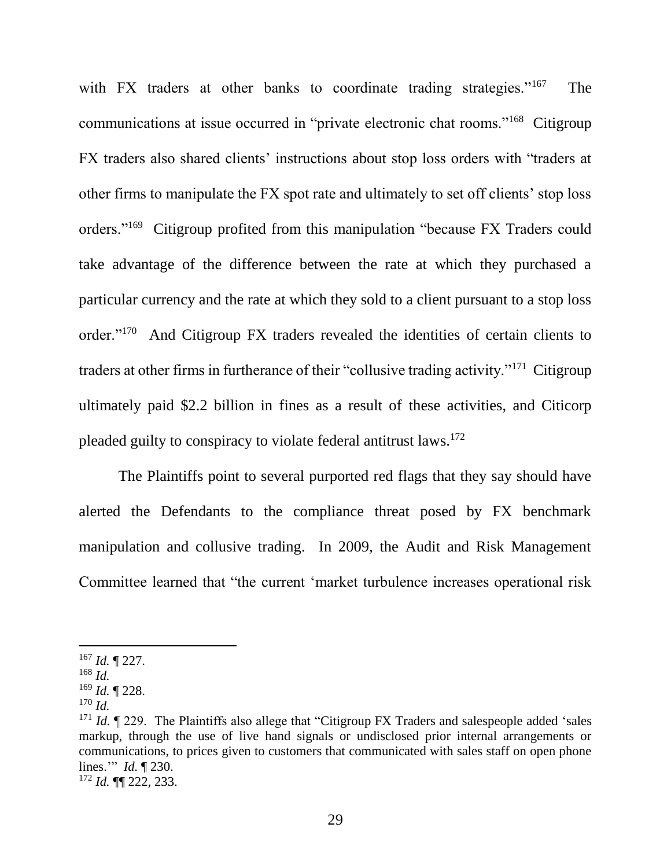with FX traders at other banks to coordinate trading strategies."<sup>167</sup> The communications at issue occurred in "private electronic chat rooms."<sup>168</sup> Citigroup FX traders also shared clients' instructions about stop loss orders with "traders at other firms to manipulate the FX spot rate and ultimately to set off clients' stop loss orders."<sup>169</sup> Citigroup profited from this manipulation "because FX Traders could take advantage of the difference between the rate at which they purchased a particular currency and the rate at which they sold to a client pursuant to a stop loss order."<sup>170</sup> And Citigroup FX traders revealed the identities of certain clients to traders at other firms in furtherance of their "collusive trading activity."<sup>171</sup> Citigroup ultimately paid \$2.2 billion in fines as a result of these activities, and Citicorp pleaded guilty to conspiracy to violate federal antitrust laws.<sup>172</sup>

The Plaintiffs point to several purported red flags that they say should have alerted the Defendants to the compliance threat posed by FX benchmark manipulation and collusive trading. In 2009, the Audit and Risk Management Committee learned that "the current 'market turbulence increases operational risk

<sup>167</sup> *Id.* ¶ 227.

<sup>168</sup> *Id.*

<sup>169</sup> *Id.* ¶ 228.

<sup>170</sup> *Id.*

<sup>&</sup>lt;sup>171</sup> *Id.*  $\parallel$  229. The Plaintiffs also allege that "Citigroup FX Traders and salespeople added 'sales markup, through the use of live hand signals or undisclosed prior internal arrangements or communications, to prices given to customers that communicated with sales staff on open phone lines.'" *Id.* ¶ 230.

<sup>172</sup> *Id.* ¶¶ 222, 233.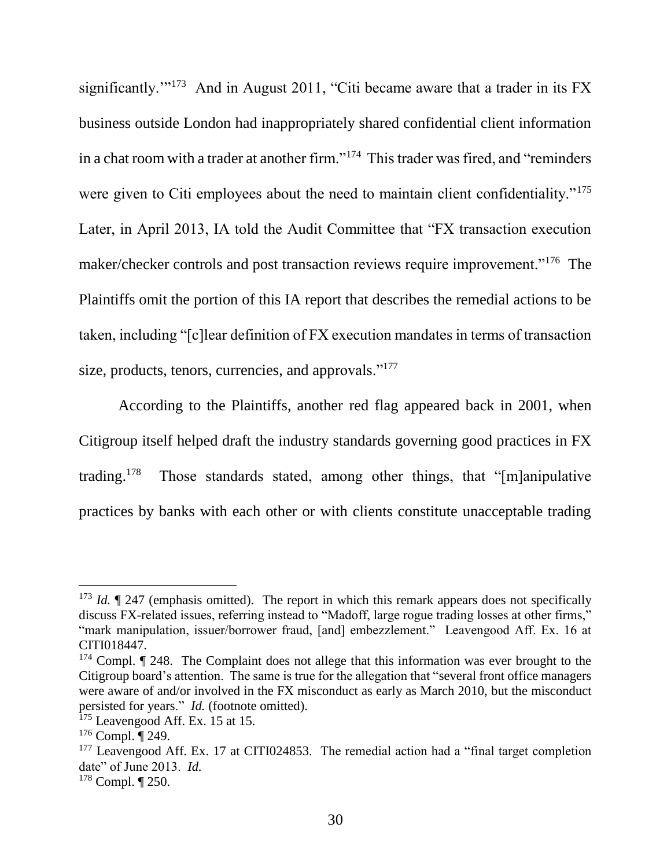significantly."<sup>173</sup> And in August 2011, "Citi became aware that a trader in its  $FX$ business outside London had inappropriately shared confidential client information in a chat room with a trader at another firm."<sup>174</sup> This trader was fired, and "reminders" were given to Citi employees about the need to maintain client confidentiality."<sup>175</sup> Later, in April 2013, IA told the Audit Committee that "FX transaction execution maker/checker controls and post transaction reviews require improvement."<sup>176</sup> The Plaintiffs omit the portion of this IA report that describes the remedial actions to be taken, including "[c]lear definition of FX execution mandates in terms of transaction size, products, tenors, currencies, and approvals."<sup>177</sup>

According to the Plaintiffs, another red flag appeared back in 2001, when Citigroup itself helped draft the industry standards governing good practices in FX trading.<sup>178</sup> Those standards stated, among other things, that "[m]anipulative practices by banks with each other or with clients constitute unacceptable trading

<sup>&</sup>lt;sup>173</sup> *Id.*  $\lll$  247 (emphasis omitted). The report in which this remark appears does not specifically discuss FX-related issues, referring instead to "Madoff, large rogue trading losses at other firms," "mark manipulation, issuer/borrower fraud, [and] embezzlement." Leavengood Aff. Ex. 16 at CITI018447.

 $174$  Compl.  $\P$  248. The Complaint does not allege that this information was ever brought to the Citigroup board's attention. The same is true for the allegation that "several front office managers were aware of and/or involved in the FX misconduct as early as March 2010, but the misconduct persisted for years." *Id.* (footnote omitted).

 $175$  Leavengood Aff. Ex. 15 at 15.

 $176$  Compl.  $\P$  249.

 $177$  Leavengood Aff. Ex. 17 at CITI024853. The remedial action had a "final target completion date" of June 2013. *Id.*

<sup>178</sup> Compl. ¶ 250.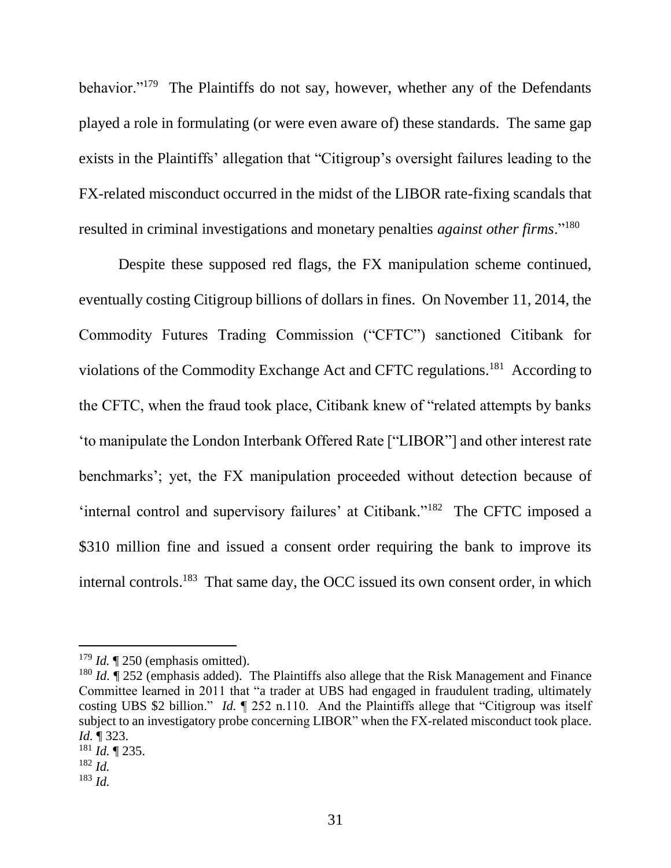behavior."<sup>179</sup> The Plaintiffs do not say, however, whether any of the Defendants played a role in formulating (or were even aware of) these standards. The same gap exists in the Plaintiffs' allegation that "Citigroup's oversight failures leading to the FX-related misconduct occurred in the midst of the LIBOR rate-fixing scandals that resulted in criminal investigations and monetary penalties *against other firms*."<sup>180</sup>

Despite these supposed red flags, the FX manipulation scheme continued, eventually costing Citigroup billions of dollars in fines. On November 11, 2014, the Commodity Futures Trading Commission ("CFTC") sanctioned Citibank for violations of the Commodity Exchange Act and CFTC regulations.<sup>181</sup> According to the CFTC, when the fraud took place, Citibank knew of "related attempts by banks 'to manipulate the London Interbank Offered Rate ["LIBOR"] and other interest rate benchmarks'; yet, the FX manipulation proceeded without detection because of 'internal control and supervisory failures' at Citibank."<sup>182</sup> The CFTC imposed a \$310 million fine and issued a consent order requiring the bank to improve its internal controls.<sup>183</sup> That same day, the OCC issued its own consent order, in which

 $179$  *Id.*  $\sqrt{\ }$  250 (emphasis omitted).

<sup>&</sup>lt;sup>180</sup> *Id.* If 252 (emphasis added). The Plaintiffs also allege that the Risk Management and Finance Committee learned in 2011 that "a trader at UBS had engaged in fraudulent trading, ultimately costing UBS \$2 billion." *Id.* ¶ 252 n.110. And the Plaintiffs allege that "Citigroup was itself subject to an investigatory probe concerning LIBOR" when the FX-related misconduct took place. *Id.* ¶ 323.

<sup>181</sup> *Id.* ¶ 235.

<sup>182</sup> *Id.*

<sup>183</sup> *Id.*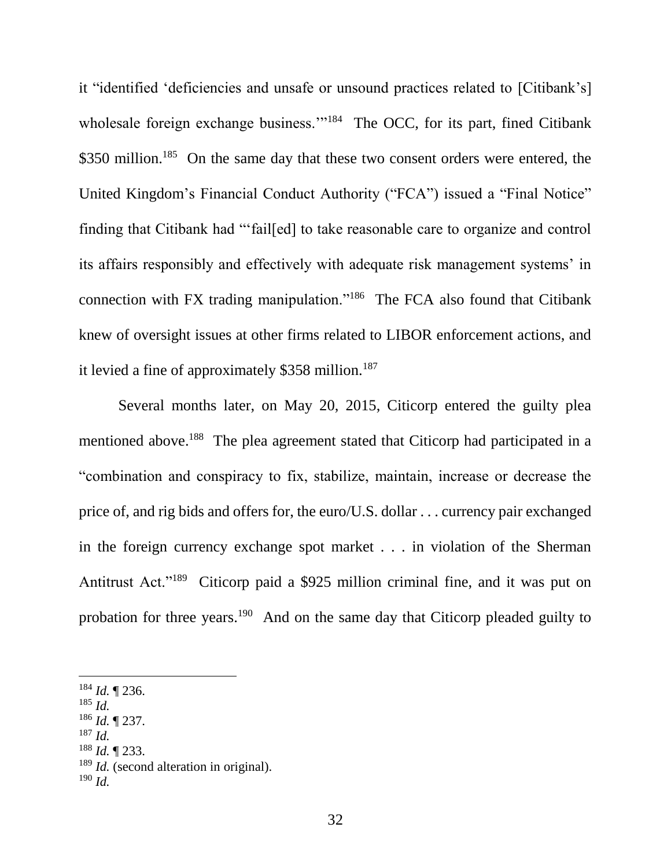it "identified 'deficiencies and unsafe or unsound practices related to [Citibank's] wholesale foreign exchange business."<sup>184</sup> The OCC, for its part, fined Citibank \$350 million.<sup>185</sup> On the same day that these two consent orders were entered, the United Kingdom's Financial Conduct Authority ("FCA") issued a "Final Notice" finding that Citibank had "'fail[ed] to take reasonable care to organize and control its affairs responsibly and effectively with adequate risk management systems' in connection with FX trading manipulation."<sup>186</sup> The FCA also found that Citibank knew of oversight issues at other firms related to LIBOR enforcement actions, and it levied a fine of approximately \$358 million.<sup>187</sup>

Several months later, on May 20, 2015, Citicorp entered the guilty plea mentioned above.<sup>188</sup> The plea agreement stated that Citicorp had participated in a "combination and conspiracy to fix, stabilize, maintain, increase or decrease the price of, and rig bids and offers for, the euro/U.S. dollar . . . currency pair exchanged in the foreign currency exchange spot market . . . in violation of the Sherman Antitrust Act."<sup>189</sup> Citicorp paid a \$925 million criminal fine, and it was put on probation for three years.<sup>190</sup> And on the same day that Citicorp pleaded guilty to

l

- <sup>186</sup> *Id.* ¶ 237.
- <sup>187</sup> *Id.*
- <sup>188</sup> *Id.* ¶ 233.

<sup>190</sup> *Id.*

<sup>184</sup> *Id.* ¶ 236.

<sup>185</sup> *Id.*

<sup>&</sup>lt;sup>189</sup> *Id.* (second alteration in original).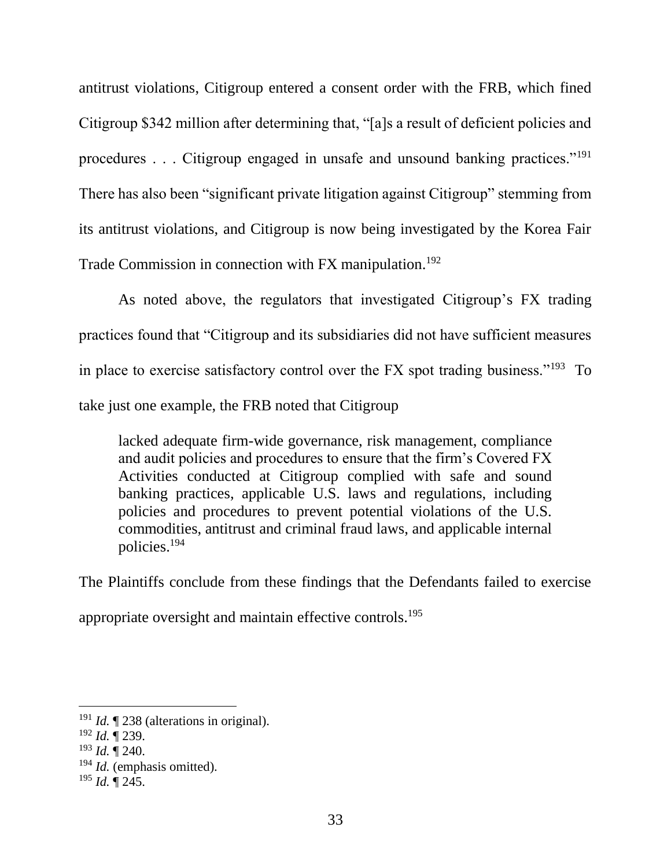antitrust violations, Citigroup entered a consent order with the FRB, which fined Citigroup \$342 million after determining that, "[a]s a result of deficient policies and procedures . . . Citigroup engaged in unsafe and unsound banking practices."<sup>191</sup> There has also been "significant private litigation against Citigroup" stemming from its antitrust violations, and Citigroup is now being investigated by the Korea Fair Trade Commission in connection with FX manipulation.<sup>192</sup>

As noted above, the regulators that investigated Citigroup's FX trading practices found that "Citigroup and its subsidiaries did not have sufficient measures in place to exercise satisfactory control over the FX spot trading business."<sup>193</sup> To take just one example, the FRB noted that Citigroup

lacked adequate firm-wide governance, risk management, compliance and audit policies and procedures to ensure that the firm's Covered FX Activities conducted at Citigroup complied with safe and sound banking practices, applicable U.S. laws and regulations, including policies and procedures to prevent potential violations of the U.S. commodities, antitrust and criminal fraud laws, and applicable internal policies.<sup>194</sup>

The Plaintiffs conclude from these findings that the Defendants failed to exercise

appropriate oversight and maintain effective controls.<sup>195</sup>

<sup>&</sup>lt;sup>191</sup> *Id.* 1238 (alterations in original).

<sup>192</sup> *Id.* ¶ 239.

 $^{193}$  *Id.*  $\mathring{\mathbb{I}}$  240.

<sup>194</sup> *Id.* (emphasis omitted).

<sup>195</sup> *Id.* ¶ 245.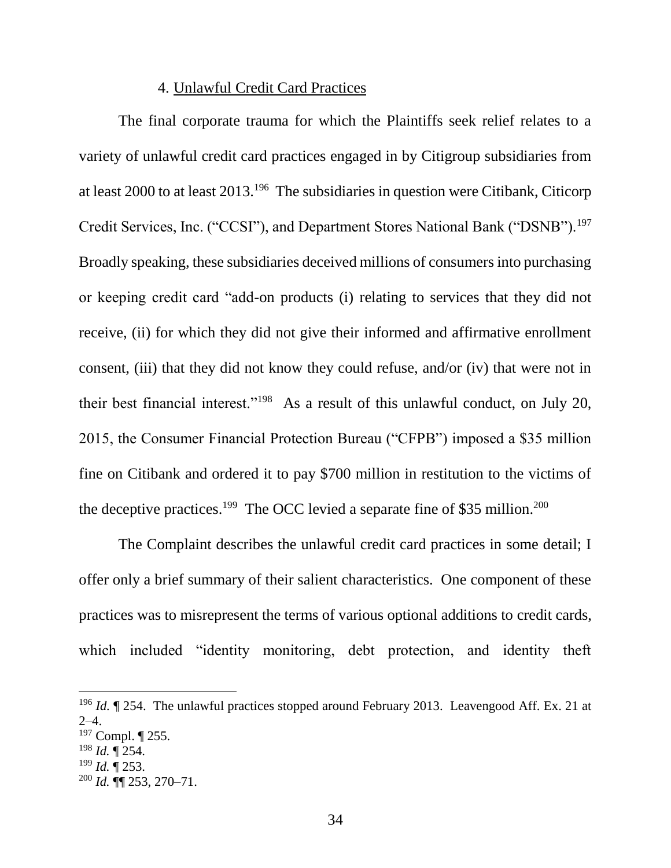#### 4. Unlawful Credit Card Practices

The final corporate trauma for which the Plaintiffs seek relief relates to a variety of unlawful credit card practices engaged in by Citigroup subsidiaries from at least 2000 to at least  $2013$ <sup>196</sup> The subsidiaries in question were Citibank, Citicorp Credit Services, Inc. ("CCSI"), and Department Stores National Bank ("DSNB").<sup>197</sup> Broadly speaking, these subsidiaries deceived millions of consumers into purchasing or keeping credit card "add-on products (i) relating to services that they did not receive, (ii) for which they did not give their informed and affirmative enrollment consent, (iii) that they did not know they could refuse, and/or (iv) that were not in their best financial interest."<sup>198</sup> As a result of this unlawful conduct, on July 20, 2015, the Consumer Financial Protection Bureau ("CFPB") imposed a \$35 million fine on Citibank and ordered it to pay \$700 million in restitution to the victims of the deceptive practices.<sup>199</sup> The OCC levied a separate fine of \$35 million.<sup>200</sup>

The Complaint describes the unlawful credit card practices in some detail; I offer only a brief summary of their salient characteristics. One component of these practices was to misrepresent the terms of various optional additions to credit cards, which included "identity monitoring, debt protection, and identity theft

<sup>&</sup>lt;sup>196</sup> *Id.*  $\parallel$  254. The unlawful practices stopped around February 2013. Leavengood Aff. Ex. 21 at 2–4.

<sup>197</sup> Compl. ¶ 255.

<sup>198</sup> *Id.* ¶ 254.

<sup>199</sup> *Id.* ¶ 253.

<sup>200</sup> *Id.* ¶¶ 253, 270–71.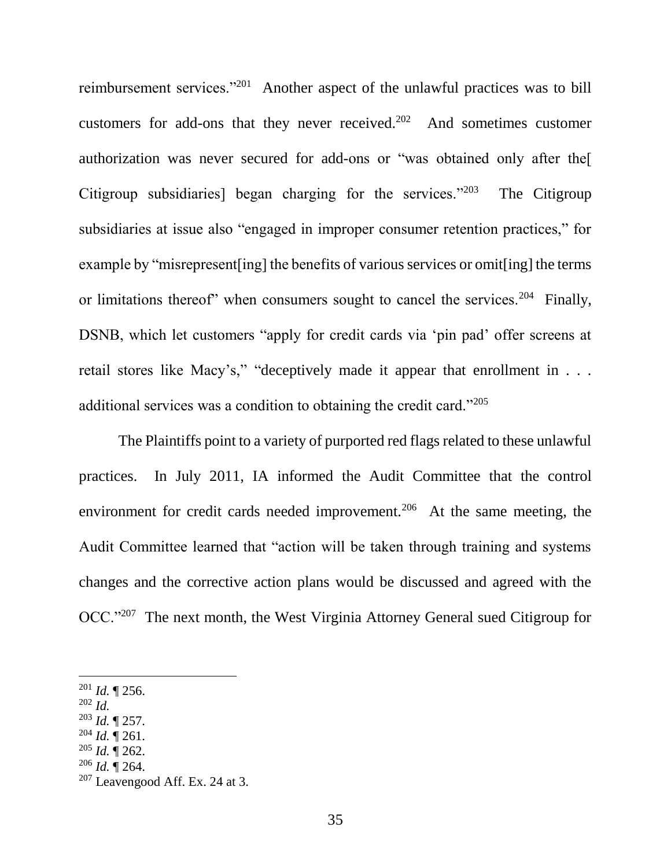reimbursement services."<sup>201</sup> Another aspect of the unlawful practices was to bill customers for add-ons that they never received.<sup>202</sup> And sometimes customer authorization was never secured for add-ons or "was obtained only after the[ Citigroup subsidiaries] began charging for the services."<sup>203</sup> The Citigroup subsidiaries at issue also "engaged in improper consumer retention practices," for example by "misrepresent[ing] the benefits of various services or omit[ing] the terms or limitations thereof" when consumers sought to cancel the services.<sup>204</sup> Finally, DSNB, which let customers "apply for credit cards via 'pin pad' offer screens at retail stores like Macy's," "deceptively made it appear that enrollment in . . . additional services was a condition to obtaining the credit card."<sup>205</sup>

The Plaintiffs point to a variety of purported red flags related to these unlawful practices. In July 2011, IA informed the Audit Committee that the control environment for credit cards needed improvement.<sup>206</sup> At the same meeting, the Audit Committee learned that "action will be taken through training and systems changes and the corrective action plans would be discussed and agreed with the OCC."<sup>207</sup> The next month, the West Virginia Attorney General sued Citigroup for

- <sup>203</sup> *Id.* ¶ 257.
- $^{204}$  *Id.*  $\sqrt{\ }$  261.
- <sup>205</sup> *Id.* ¶ 262.
- <sup>206</sup> *Id.* ¶ 264.

 $201$  *Id.* | 256.

<sup>202</sup> *Id.*

 $207$  Leavengood Aff. Ex. 24 at 3.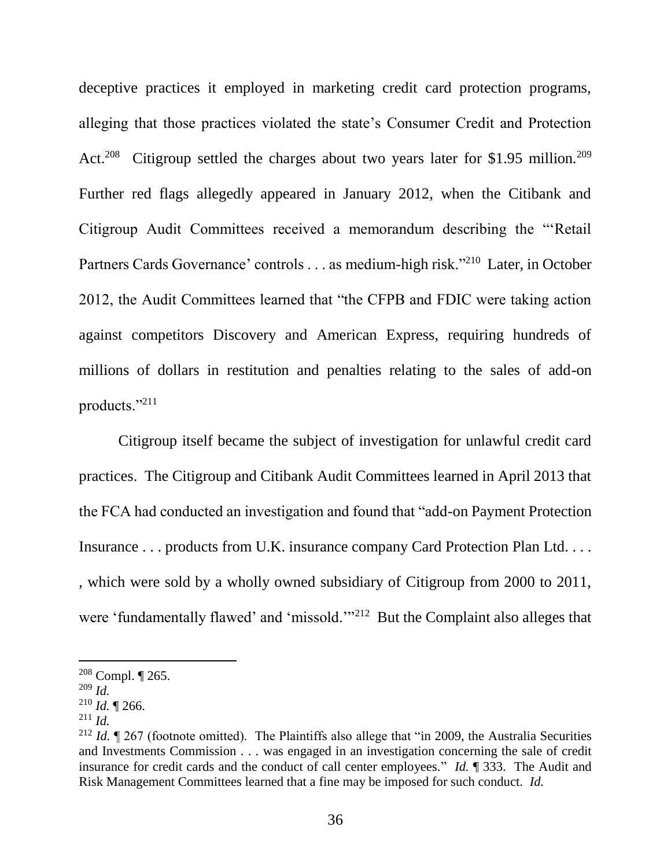deceptive practices it employed in marketing credit card protection programs, alleging that those practices violated the state's Consumer Credit and Protection Act.<sup>208</sup> Citigroup settled the charges about two years later for \$1.95 million.<sup>209</sup> Further red flags allegedly appeared in January 2012, when the Citibank and Citigroup Audit Committees received a memorandum describing the "'Retail Partners Cards Governance' controls . . . as medium-high risk."<sup>210</sup> Later, in October 2012, the Audit Committees learned that "the CFPB and FDIC were taking action against competitors Discovery and American Express, requiring hundreds of millions of dollars in restitution and penalties relating to the sales of add-on products."<sup>211</sup>

Citigroup itself became the subject of investigation for unlawful credit card practices. The Citigroup and Citibank Audit Committees learned in April 2013 that the FCA had conducted an investigation and found that "add-on Payment Protection Insurance . . . products from U.K. insurance company Card Protection Plan Ltd. . . . , which were sold by a wholly owned subsidiary of Citigroup from 2000 to 2011, were 'fundamentally flawed' and 'missold."<sup>212</sup> But the Complaint also alleges that

<sup>208</sup> Compl. ¶ 265.

<sup>209</sup> *Id.*

 $210$  *Id.* 1 266.

<sup>211</sup> *Id.*

<sup>&</sup>lt;sup>212</sup> *Id.*  $\parallel$  267 (footnote omitted). The Plaintiffs also allege that "in 2009, the Australia Securities and Investments Commission . . . was engaged in an investigation concerning the sale of credit insurance for credit cards and the conduct of call center employees." *Id.* ¶ 333. The Audit and Risk Management Committees learned that a fine may be imposed for such conduct. *Id.*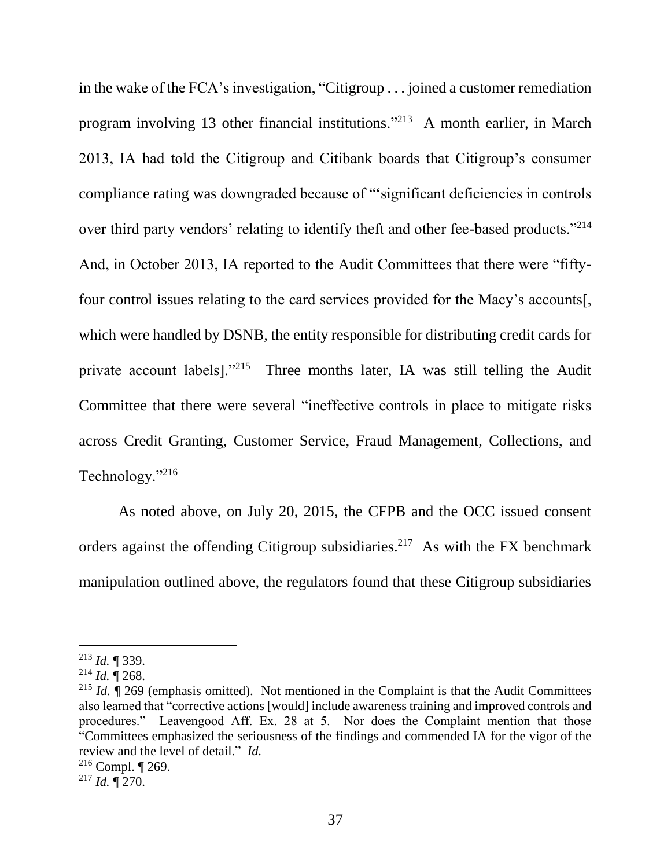in the wake of the FCA's investigation, "Citigroup . . . joined a customer remediation program involving 13 other financial institutions."<sup>213</sup> A month earlier, in March 2013, IA had told the Citigroup and Citibank boards that Citigroup's consumer compliance rating was downgraded because of "'significant deficiencies in controls over third party vendors' relating to identify theft and other fee-based products."<sup>214</sup> And, in October 2013, IA reported to the Audit Committees that there were "fiftyfour control issues relating to the card services provided for the Macy's accounts[, which were handled by DSNB, the entity responsible for distributing credit cards for private account labels]."<sup>215</sup> Three months later, IA was still telling the Audit Committee that there were several "ineffective controls in place to mitigate risks across Credit Granting, Customer Service, Fraud Management, Collections, and Technology."<sup>216</sup>

As noted above, on July 20, 2015, the CFPB and the OCC issued consent orders against the offending Citigroup subsidiaries.<sup>217</sup> As with the FX benchmark manipulation outlined above, the regulators found that these Citigroup subsidiaries

<sup>213</sup> *Id.* ¶ 339.

 $^{214}$  *Id.*  $\mathring{\mathbb{I}}$  268.

<sup>215</sup> *Id.* ¶ 269 (emphasis omitted). Not mentioned in the Complaint is that the Audit Committees also learned that "corrective actions [would] include awareness training and improved controls and procedures." Leavengood Aff. Ex. 28 at 5. Nor does the Complaint mention that those "Committees emphasized the seriousness of the findings and commended IA for the vigor of the review and the level of detail." *Id.*

<sup>&</sup>lt;sup>216</sup> Compl.  $\P$  269.

 $^{217}$  *Id.*  $\sqrt{270}$ .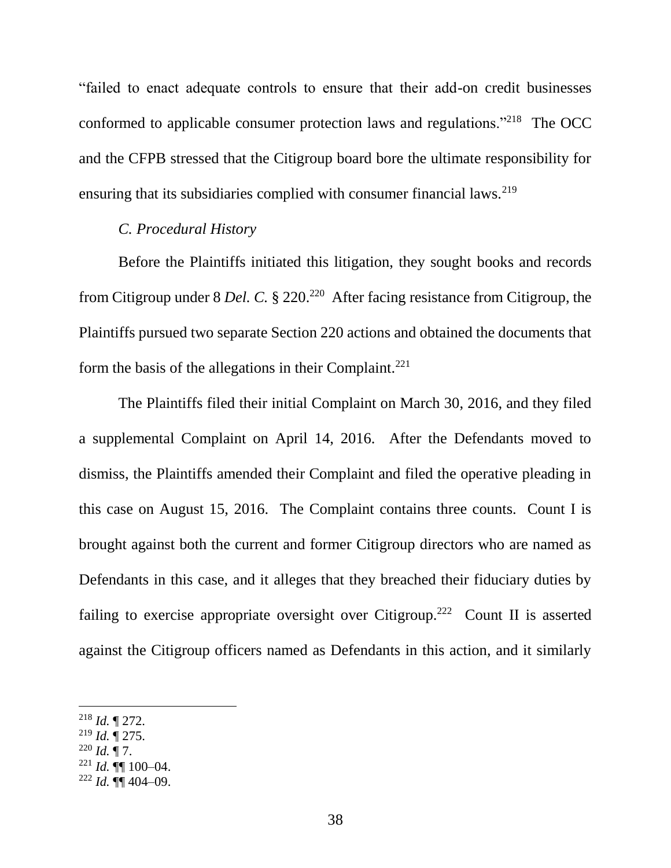"failed to enact adequate controls to ensure that their add-on credit businesses conformed to applicable consumer protection laws and regulations."<sup>218</sup> The OCC and the CFPB stressed that the Citigroup board bore the ultimate responsibility for ensuring that its subsidiaries complied with consumer financial laws.<sup>219</sup>

### *C. Procedural History*

Before the Plaintiffs initiated this litigation, they sought books and records from Citigroup under 8 *Del. C.* § 220.<sup>220</sup> After facing resistance from Citigroup, the Plaintiffs pursued two separate Section 220 actions and obtained the documents that form the basis of the allegations in their Complaint.<sup>221</sup>

The Plaintiffs filed their initial Complaint on March 30, 2016, and they filed a supplemental Complaint on April 14, 2016. After the Defendants moved to dismiss, the Plaintiffs amended their Complaint and filed the operative pleading in this case on August 15, 2016. The Complaint contains three counts. Count I is brought against both the current and former Citigroup directors who are named as Defendants in this case, and it alleges that they breached their fiduciary duties by failing to exercise appropriate oversight over Citigroup.<sup>222</sup> Count II is asserted against the Citigroup officers named as Defendants in this action, and it similarly

 $\overline{a}$ 

<sup>219</sup> *Id.* ¶ 275.

 $^{221}$  *Id.*  $\P\P$  100–04.

<sup>218</sup> *Id.* ¶ 272.

 $^{220}$  *Id.* ¶ 7.

 $^{222}$  *Id.*  $\P\P$  404–09.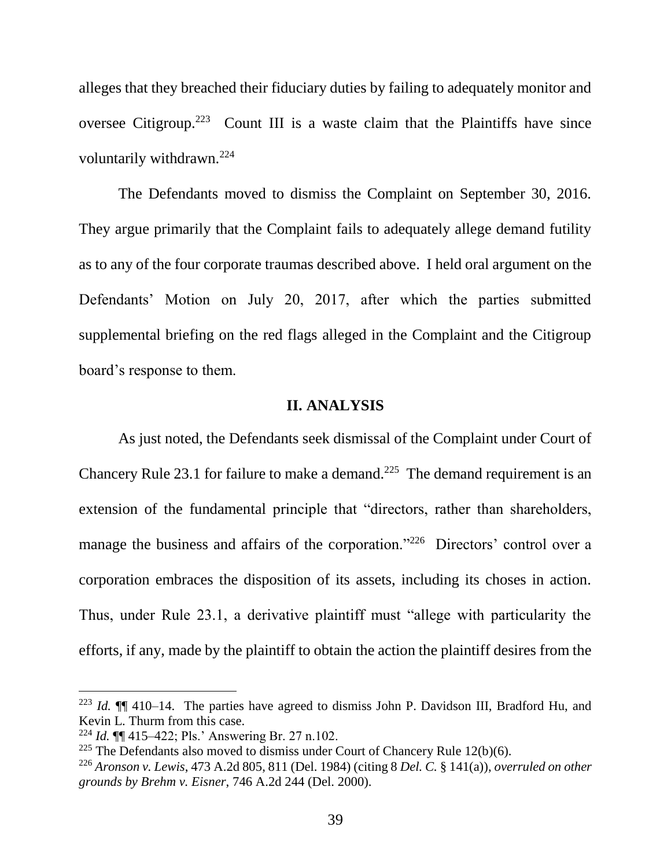alleges that they breached their fiduciary duties by failing to adequately monitor and oversee Citigroup.<sup>223</sup> Count III is a waste claim that the Plaintiffs have since voluntarily withdrawn.<sup>224</sup>

The Defendants moved to dismiss the Complaint on September 30, 2016. They argue primarily that the Complaint fails to adequately allege demand futility as to any of the four corporate traumas described above. I held oral argument on the Defendants' Motion on July 20, 2017, after which the parties submitted supplemental briefing on the red flags alleged in the Complaint and the Citigroup board's response to them.

#### **II. ANALYSIS**

As just noted, the Defendants seek dismissal of the Complaint under Court of Chancery Rule 23.1 for failure to make a demand.<sup>225</sup> The demand requirement is an extension of the fundamental principle that "directors, rather than shareholders, manage the business and affairs of the corporation."<sup>226</sup> Directors' control over a corporation embraces the disposition of its assets, including its choses in action. Thus, under Rule 23.1, a derivative plaintiff must "allege with particularity the efforts, if any, made by the plaintiff to obtain the action the plaintiff desires from the

<sup>223</sup> *Id.* ¶¶ 410–14. The parties have agreed to dismiss John P. Davidson III, Bradford Hu, and Kevin L. Thurm from this case.

<sup>224</sup> *Id.* ¶¶ 415–422; Pls.' Answering Br. 27 n.102.

<sup>&</sup>lt;sup>225</sup> The Defendants also moved to dismiss under Court of Chancery Rule 12(b)(6).

<sup>226</sup> *Aronson v. Lewis*, 473 A.2d 805, 811 (Del. 1984) (citing 8 *Del. C.* § 141(a)), *overruled on other grounds by Brehm v. Eisner*, 746 A.2d 244 (Del. 2000).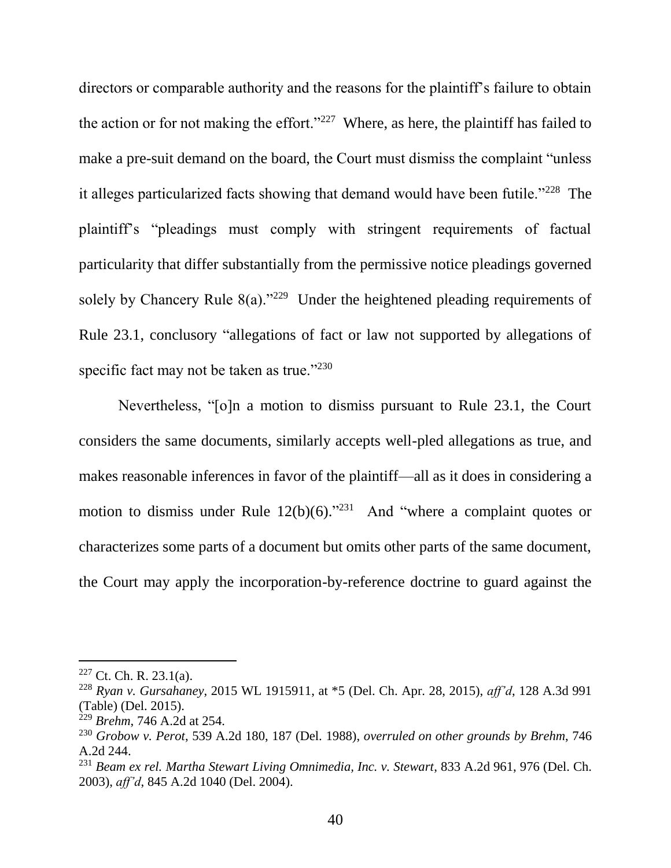directors or comparable authority and the reasons for the plaintiff's failure to obtain the action or for not making the effort." $227$  Where, as here, the plaintiff has failed to make a pre-suit demand on the board, the Court must dismiss the complaint "unless it alleges particularized facts showing that demand would have been futile."<sup>228</sup> The plaintiff's "pleadings must comply with stringent requirements of factual particularity that differ substantially from the permissive notice pleadings governed solely by Chancery Rule  $8(a)$ ."<sup>229</sup> Under the heightened pleading requirements of Rule 23.1, conclusory "allegations of fact or law not supported by allegations of specific fact may not be taken as true."<sup>230</sup>

Nevertheless, "[o]n a motion to dismiss pursuant to Rule 23.1, the Court considers the same documents, similarly accepts well-pled allegations as true, and makes reasonable inferences in favor of the plaintiff—all as it does in considering a motion to dismiss under Rule  $12(b)(6)$ ."<sup>231</sup> And "where a complaint quotes or characterizes some parts of a document but omits other parts of the same document, the Court may apply the incorporation-by-reference doctrine to guard against the

 $227$  Ct. Ch. R. 23.1(a).

<sup>228</sup> *Ryan v. Gursahaney*, 2015 WL 1915911, at \*5 (Del. Ch. Apr. 28, 2015), *aff'd*, 128 A.3d 991 (Table) (Del. 2015).

<sup>229</sup> *Brehm*, 746 A.2d at 254.

<sup>230</sup> *Grobow v. Perot*, 539 A.2d 180, 187 (Del. 1988), *overruled on other grounds by Brehm*, 746 A.2d 244.

<sup>231</sup> *Beam ex rel. Martha Stewart Living Omnimedia, Inc. v. Stewart*, 833 A.2d 961, 976 (Del. Ch. 2003), *aff'd*, 845 A.2d 1040 (Del. 2004).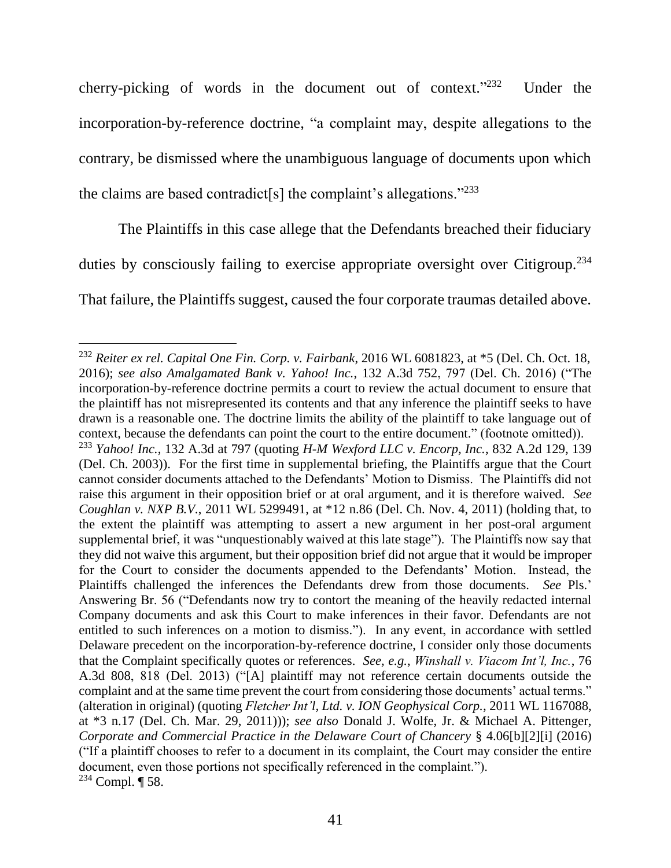cherry-picking of words in the document out of context."232 Under the incorporation-by-reference doctrine, "a complaint may, despite allegations to the contrary, be dismissed where the unambiguous language of documents upon which the claims are based contradict[s] the complaint's allegations."<sup>233</sup>

The Plaintiffs in this case allege that the Defendants breached their fiduciary duties by consciously failing to exercise appropriate oversight over Citigroup.<sup>234</sup> That failure, the Plaintiffs suggest, caused the four corporate traumas detailed above.

l <sup>232</sup> *Reiter ex rel. Capital One Fin. Corp. v. Fairbank*, 2016 WL 6081823, at \*5 (Del. Ch. Oct. 18, 2016); *see also Amalgamated Bank v. Yahoo! Inc.*, 132 A.3d 752, 797 (Del. Ch. 2016) ("The incorporation-by-reference doctrine permits a court to review the actual document to ensure that the plaintiff has not misrepresented its contents and that any inference the plaintiff seeks to have drawn is a reasonable one. The doctrine limits the ability of the plaintiff to take language out of context, because the defendants can point the court to the entire document." (footnote omitted)). <sup>233</sup> *Yahoo! Inc.*, 132 A.3d at 797 (quoting *H-M Wexford LLC v. Encorp, Inc.*, 832 A.2d 129, 139 (Del. Ch. 2003)). For the first time in supplemental briefing, the Plaintiffs argue that the Court cannot consider documents attached to the Defendants' Motion to Dismiss. The Plaintiffs did not raise this argument in their opposition brief or at oral argument, and it is therefore waived. *See Coughlan v. NXP B.V.*, 2011 WL 5299491, at \*12 n.86 (Del. Ch. Nov. 4, 2011) (holding that, to the extent the plaintiff was attempting to assert a new argument in her post-oral argument supplemental brief, it was "unquestionably waived at this late stage"). The Plaintiffs now say that they did not waive this argument, but their opposition brief did not argue that it would be improper for the Court to consider the documents appended to the Defendants' Motion. Instead, the Plaintiffs challenged the inferences the Defendants drew from those documents. *See* Pls.' Answering Br. 56 ("Defendants now try to contort the meaning of the heavily redacted internal Company documents and ask this Court to make inferences in their favor. Defendants are not entitled to such inferences on a motion to dismiss."). In any event, in accordance with settled Delaware precedent on the incorporation-by-reference doctrine, I consider only those documents that the Complaint specifically quotes or references. *See, e.g.*, *Winshall v. Viacom Int'l, Inc.*, 76 A.3d 808, 818 (Del. 2013) ("[A] plaintiff may not reference certain documents outside the complaint and at the same time prevent the court from considering those documents' actual terms." (alteration in original) (quoting *Fletcher Int'l, Ltd. v. ION Geophysical Corp.*, 2011 WL 1167088, at \*3 n.17 (Del. Ch. Mar. 29, 2011))); *see also* Donald J. Wolfe, Jr. & Michael A. Pittenger, *Corporate and Commercial Practice in the Delaware Court of Chancery* § 4.06[b][2][i] (2016) ("If a plaintiff chooses to refer to a document in its complaint, the Court may consider the entire document, even those portions not specifically referenced in the complaint.").  $234$  Compl.  $\P$  58.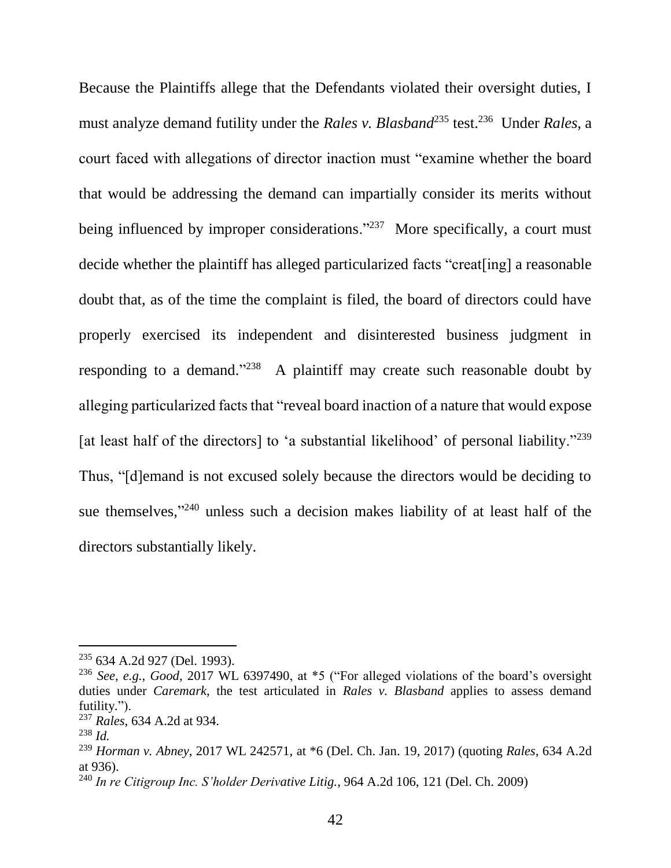Because the Plaintiffs allege that the Defendants violated their oversight duties, I must analyze demand futility under the *Rales v. Blasband*<sup>235</sup> test.<sup>236</sup> Under *Rales*, a court faced with allegations of director inaction must "examine whether the board that would be addressing the demand can impartially consider its merits without being influenced by improper considerations."<sup>237</sup> More specifically, a court must decide whether the plaintiff has alleged particularized facts "creat[ing] a reasonable doubt that, as of the time the complaint is filed, the board of directors could have properly exercised its independent and disinterested business judgment in responding to a demand." $238$  A plaintiff may create such reasonable doubt by alleging particularized facts that "reveal board inaction of a nature that would expose [at least half of the directors] to 'a substantial likelihood' of personal liability."<sup>239</sup> Thus, "[d]emand is not excused solely because the directors would be deciding to sue themselves,"<sup>240</sup> unless such a decision makes liability of at least half of the directors substantially likely.

<sup>235</sup> 634 A.2d 927 (Del. 1993).

<sup>236</sup> *See, e.g.*, *Good*, 2017 WL 6397490, at \*5 ("For alleged violations of the board's oversight duties under *Caremark*, the test articulated in *Rales v. Blasband* applies to assess demand futility.").

<sup>237</sup> *Rales*, 634 A.2d at 934.

<sup>238</sup> *Id.*

<sup>239</sup> *Horman v. Abney*, 2017 WL 242571, at \*6 (Del. Ch. Jan. 19, 2017) (quoting *Rales*, 634 A.2d at 936).

<sup>240</sup> *In re Citigroup Inc. S'holder Derivative Litig.*, 964 A.2d 106, 121 (Del. Ch. 2009)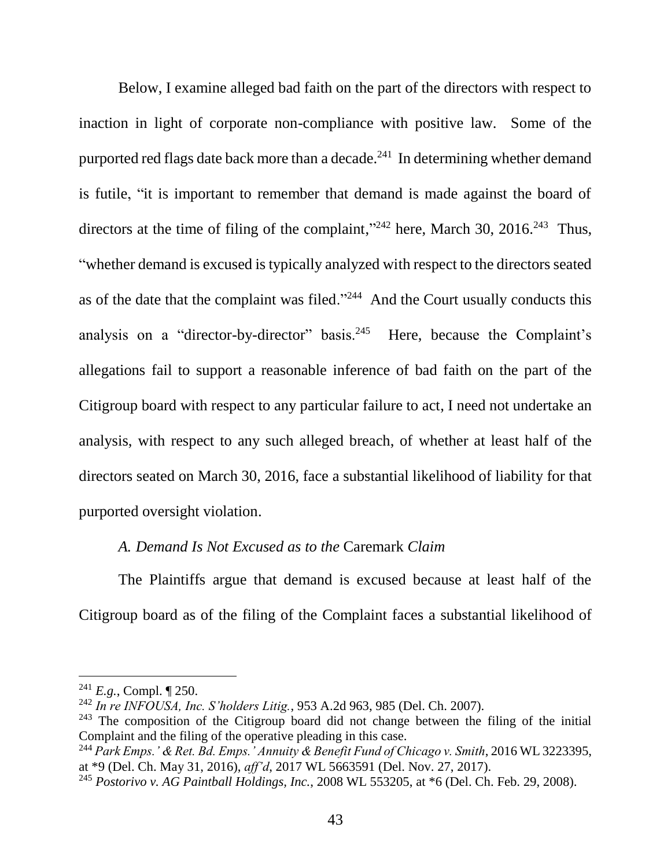Below, I examine alleged bad faith on the part of the directors with respect to inaction in light of corporate non-compliance with positive law. Some of the purported red flags date back more than a decade. $^{241}$  In determining whether demand is futile, "it is important to remember that demand is made against the board of directors at the time of filing of the complaint,"<sup>242</sup> here, March 30, 2016.<sup>243</sup> Thus, "whether demand is excused is typically analyzed with respect to the directors seated as of the date that the complaint was filed."<sup>244</sup> And the Court usually conducts this analysis on a "director-by-director" basis.<sup>245</sup> Here, because the Complaint's allegations fail to support a reasonable inference of bad faith on the part of the Citigroup board with respect to any particular failure to act, I need not undertake an analysis, with respect to any such alleged breach, of whether at least half of the directors seated on March 30, 2016, face a substantial likelihood of liability for that purported oversight violation.

### *A. Demand Is Not Excused as to the* Caremark *Claim*

The Plaintiffs argue that demand is excused because at least half of the Citigroup board as of the filing of the Complaint faces a substantial likelihood of

<sup>241</sup> *E.g.*, Compl. ¶ 250.

<sup>242</sup> *In re INFOUSA, Inc. S'holders Litig.*, 953 A.2d 963, 985 (Del. Ch. 2007).

 $243$  The composition of the Citigroup board did not change between the filing of the initial Complaint and the filing of the operative pleading in this case.

<sup>244</sup> *Park Emps.' & Ret. Bd. Emps.' Annuity & Benefit Fund of Chicago v. Smith*, 2016 WL 3223395, at \*9 (Del. Ch. May 31, 2016), *aff'd*, 2017 WL 5663591 (Del. Nov. 27, 2017).

<sup>245</sup> *Postorivo v. AG Paintball Holdings, Inc.*, 2008 WL 553205, at \*6 (Del. Ch. Feb. 29, 2008).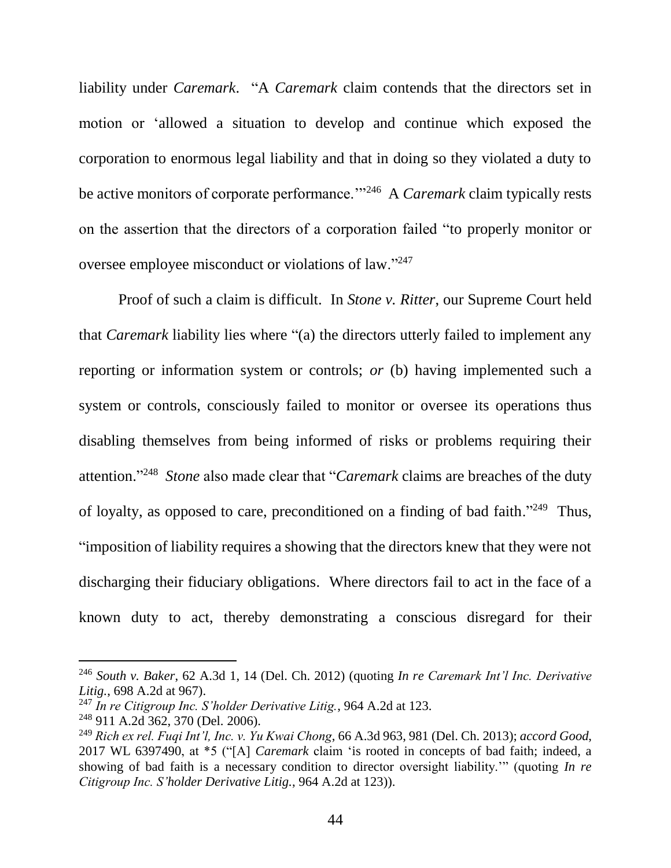liability under *Caremark*. "A *Caremark* claim contends that the directors set in motion or 'allowed a situation to develop and continue which exposed the corporation to enormous legal liability and that in doing so they violated a duty to be active monitors of corporate performance."<sup>246</sup> A *Caremark* claim typically rests on the assertion that the directors of a corporation failed "to properly monitor or oversee employee misconduct or violations of law."247

Proof of such a claim is difficult. In *Stone v. Ritter*, our Supreme Court held that *Caremark* liability lies where "(a) the directors utterly failed to implement any reporting or information system or controls; *or* (b) having implemented such a system or controls, consciously failed to monitor or oversee its operations thus disabling themselves from being informed of risks or problems requiring their attention." 248 *Stone* also made clear that "*Caremark* claims are breaches of the duty of loyalty, as opposed to care, preconditioned on a finding of bad faith."<sup>249</sup> Thus, "imposition of liability requires a showing that the directors knew that they were not discharging their fiduciary obligations. Where directors fail to act in the face of a known duty to act, thereby demonstrating a conscious disregard for their

<sup>246</sup> *South v. Baker*, 62 A.3d 1, 14 (Del. Ch. 2012) (quoting *In re Caremark Int'l Inc. Derivative Litig.*, 698 A.2d at 967).

<sup>247</sup> *In re Citigroup Inc. S'holder Derivative Litig.*, 964 A.2d at 123.

<sup>248</sup> 911 A.2d 362, 370 (Del. 2006).

<sup>249</sup> *Rich ex rel. Fuqi Int'l, Inc. v. Yu Kwai Chong*, 66 A.3d 963, 981 (Del. Ch. 2013); *accord Good*, 2017 WL 6397490, at \*5 ("[A] *Caremark* claim 'is rooted in concepts of bad faith; indeed, a showing of bad faith is a necessary condition to director oversight liability.'" (quoting *In re Citigroup Inc. S'holder Derivative Litig.*, 964 A.2d at 123)).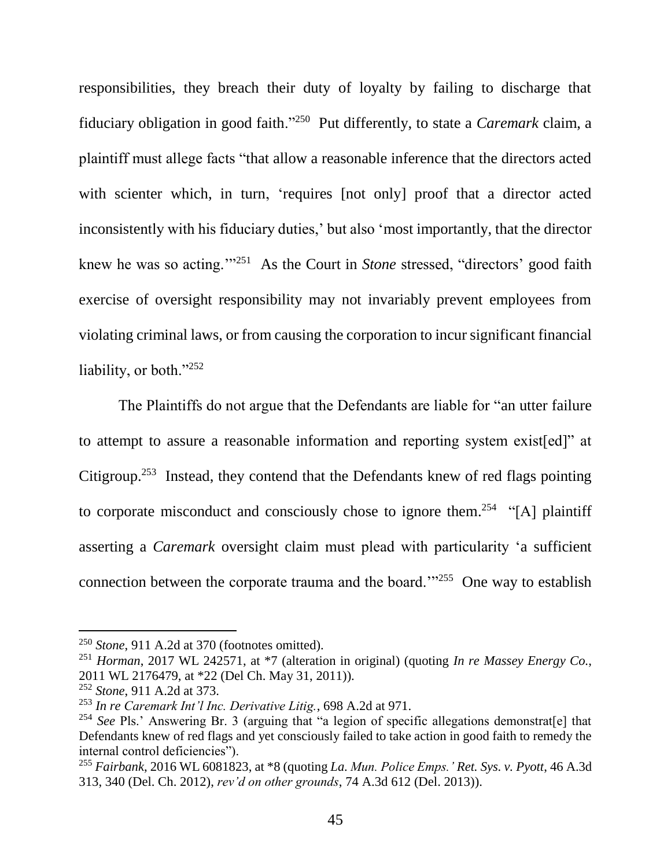responsibilities, they breach their duty of loyalty by failing to discharge that fiduciary obligation in good faith."<sup>250</sup> Put differently, to state a *Caremark* claim, a plaintiff must allege facts "that allow a reasonable inference that the directors acted with scienter which, in turn, 'requires [not only] proof that a director acted inconsistently with his fiduciary duties,' but also 'most importantly, that the director knew he was so acting.<sup>''251</sup> As the Court in *Stone* stressed, "directors' good faith exercise of oversight responsibility may not invariably prevent employees from violating criminal laws, or from causing the corporation to incur significant financial liability, or both."252

The Plaintiffs do not argue that the Defendants are liable for "an utter failure to attempt to assure a reasonable information and reporting system exist[ed]" at Citigroup.<sup>253</sup> Instead, they contend that the Defendants knew of red flags pointing to corporate misconduct and consciously chose to ignore them.<sup>254</sup> "[A] plaintiff asserting a *Caremark* oversight claim must plead with particularity 'a sufficient connection between the corporate trauma and the board."<sup>255</sup> One way to establish

<sup>250</sup> *Stone*, 911 A.2d at 370 (footnotes omitted).

<sup>251</sup> *Horman*, 2017 WL 242571, at \*7 (alteration in original) (quoting *In re Massey Energy Co.*, 2011 WL 2176479, at \*22 (Del Ch. May 31, 2011)).

<sup>252</sup> *Stone*, 911 A.2d at 373.

<sup>253</sup> *In re Caremark Int'l Inc. Derivative Litig.*, 698 A.2d at 971.

<sup>&</sup>lt;sup>254</sup> See Pls.' Answering Br. 3 (arguing that "a legion of specific allegations demonstrat[e] that Defendants knew of red flags and yet consciously failed to take action in good faith to remedy the internal control deficiencies").

<sup>255</sup> *Fairbank*, 2016 WL 6081823, at \*8 (quoting *La. Mun. Police Emps.' Ret. Sys. v. Pyott*, 46 A.3d 313, 340 (Del. Ch. 2012), *rev'd on other grounds*, 74 A.3d 612 (Del. 2013)).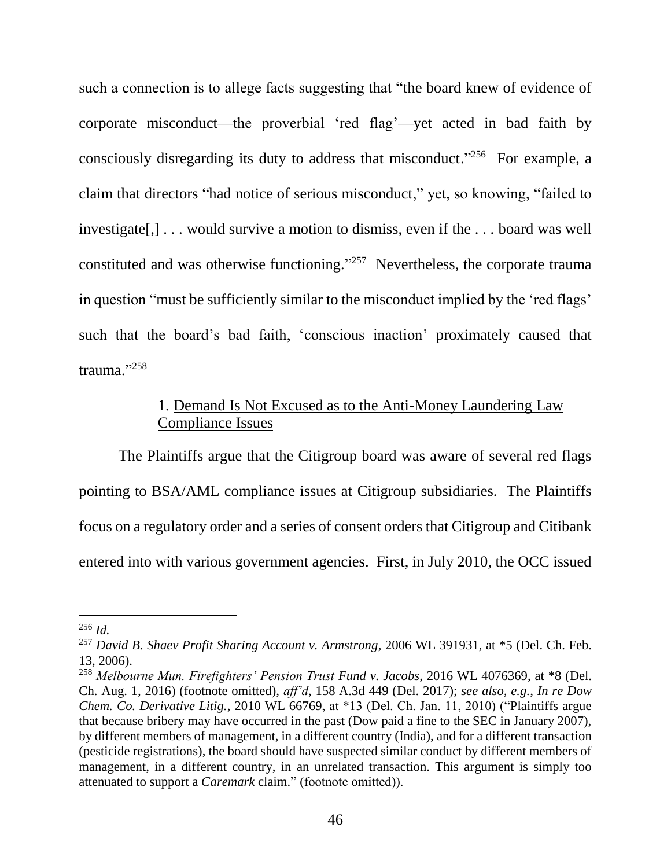such a connection is to allege facts suggesting that "the board knew of evidence of corporate misconduct—the proverbial 'red flag'—yet acted in bad faith by consciously disregarding its duty to address that misconduct."<sup>256</sup> For example, a claim that directors "had notice of serious misconduct," yet, so knowing, "failed to investigate[,] . . . would survive a motion to dismiss, even if the . . . board was well constituted and was otherwise functioning." 257 Nevertheless, the corporate trauma in question "must be sufficiently similar to the misconduct implied by the 'red flags' such that the board's bad faith, 'conscious inaction' proximately caused that trauma."<sup>258</sup>

### 1. Demand Is Not Excused as to the Anti-Money Laundering Law Compliance Issues

The Plaintiffs argue that the Citigroup board was aware of several red flags pointing to BSA/AML compliance issues at Citigroup subsidiaries. The Plaintiffs focus on a regulatory order and a series of consent orders that Citigroup and Citibank entered into with various government agencies. First, in July 2010, the OCC issued

<sup>256</sup> *Id.*

<sup>257</sup> *David B. Shaev Profit Sharing Account v. Armstrong*, 2006 WL 391931, at \*5 (Del. Ch. Feb. 13, 2006).

<sup>258</sup> *Melbourne Mun. Firefighters' Pension Trust Fund v. Jacobs*, 2016 WL 4076369, at \*8 (Del. Ch. Aug. 1, 2016) (footnote omitted), *aff'd*, 158 A.3d 449 (Del. 2017); *see also, e.g.*, *In re Dow Chem. Co. Derivative Litig.*, 2010 WL 66769, at \*13 (Del. Ch. Jan. 11, 2010) ("Plaintiffs argue that because bribery may have occurred in the past (Dow paid a fine to the SEC in January 2007), by different members of management, in a different country (India), and for a different transaction (pesticide registrations), the board should have suspected similar conduct by different members of management, in a different country, in an unrelated transaction. This argument is simply too attenuated to support a *Caremark* claim." (footnote omitted)).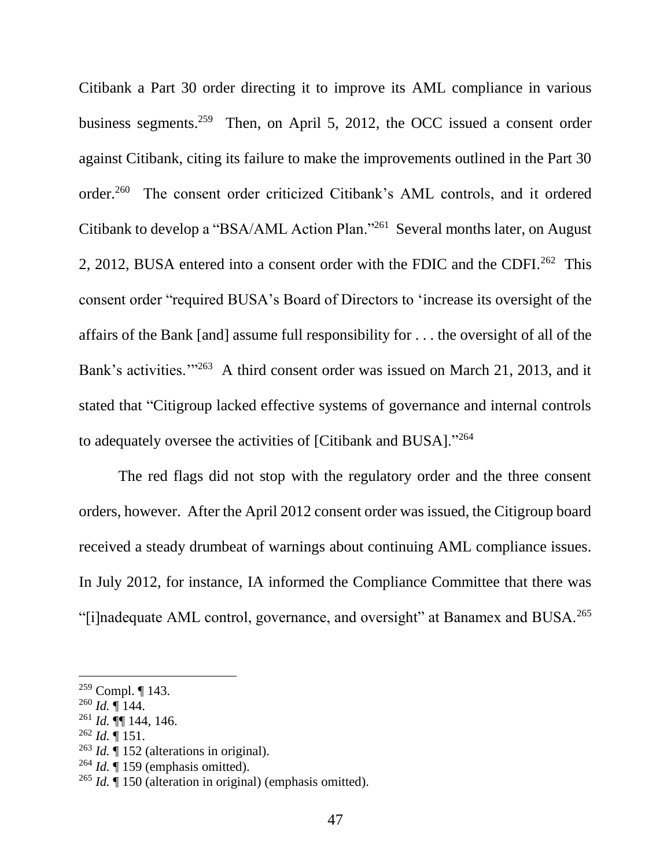Citibank a Part 30 order directing it to improve its AML compliance in various business segments.<sup>259</sup> Then, on April 5, 2012, the OCC issued a consent order against Citibank, citing its failure to make the improvements outlined in the Part 30 order.<sup>260</sup> The consent order criticized Citibank's AML controls, and it ordered Citibank to develop a "BSA/AML Action Plan."<sup>261</sup> Several months later, on August 2, 2012, BUSA entered into a consent order with the FDIC and the CDFI.<sup>262</sup> This consent order "required BUSA's Board of Directors to 'increase its oversight of the affairs of the Bank [and] assume full responsibility for . . . the oversight of all of the Bank's activities."<sup>263</sup> A third consent order was issued on March 21, 2013, and it stated that "Citigroup lacked effective systems of governance and internal controls to adequately oversee the activities of [Citibank and BUSA]."<sup>264</sup>

The red flags did not stop with the regulatory order and the three consent orders, however. After the April 2012 consent order was issued, the Citigroup board received a steady drumbeat of warnings about continuing AML compliance issues. In July 2012, for instance, IA informed the Compliance Committee that there was "[i]nadequate AML control, governance, and oversight" at Banamex and BUSA.<sup>265</sup>

l

 $^{262}$  *Id.*  $\overline{9}$  151.

<sup>264</sup> *Id.* ¶ 159 (emphasis omitted).

 $259$  Compl.  $\P$  143.

 $^{260}$  *Id.*  $\sqrt{144}$ .

<sup>261</sup> *Id.* ¶¶ 144, 146.

<sup>263</sup> *Id.* ¶ 152 (alterations in original).

<sup>265</sup> *Id.* ¶ 150 (alteration in original) (emphasis omitted).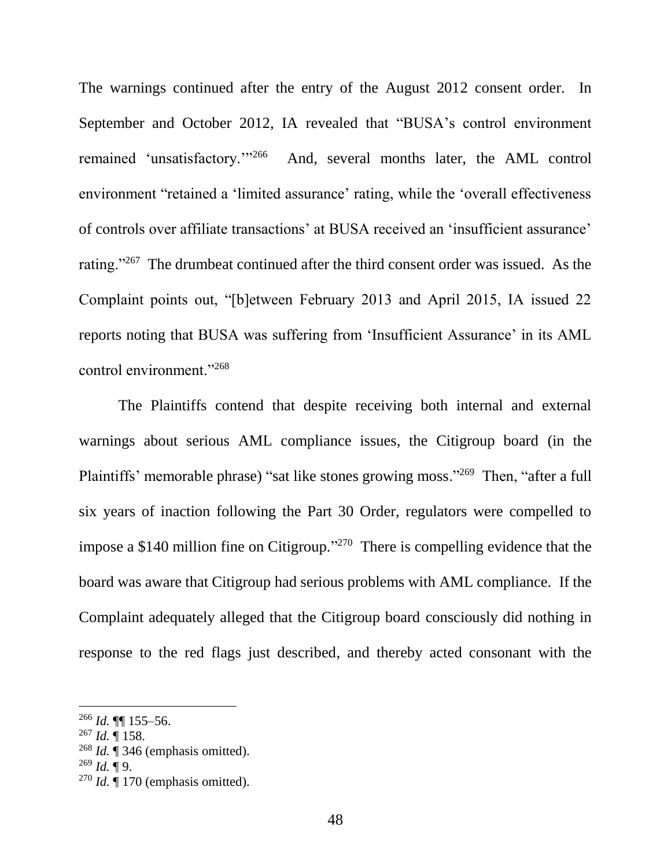The warnings continued after the entry of the August 2012 consent order. In September and October 2012, IA revealed that "BUSA's control environment remained 'unsatisfactory.'"<sup>266</sup> And, several months later, the AML control environment "retained a 'limited assurance' rating, while the 'overall effectiveness of controls over affiliate transactions' at BUSA received an 'insufficient assurance' rating."<sup>267</sup> The drumbeat continued after the third consent order was issued. As the Complaint points out, "[b]etween February 2013 and April 2015, IA issued 22 reports noting that BUSA was suffering from 'Insufficient Assurance' in its AML control environment."<sup>268</sup>

The Plaintiffs contend that despite receiving both internal and external warnings about serious AML compliance issues, the Citigroup board (in the Plaintiffs' memorable phrase) "sat like stones growing moss."<sup>269</sup> Then, "after a full six years of inaction following the Part 30 Order, regulators were compelled to impose a \$140 million fine on Citigroup."<sup>270</sup> There is compelling evidence that the board was aware that Citigroup had serious problems with AML compliance. If the Complaint adequately alleged that the Citigroup board consciously did nothing in response to the red flags just described, and thereby acted consonant with the

<sup>266</sup> *Id.* ¶¶ 155–56.

<sup>267</sup> *Id.* ¶ 158.

<sup>268</sup> *Id.* ¶ 346 (emphasis omitted).

 $^{269}$  *Id.* ¶ 9.

 $270$  *Id.*  $\hat{\mathbf{q}}$  170 (emphasis omitted).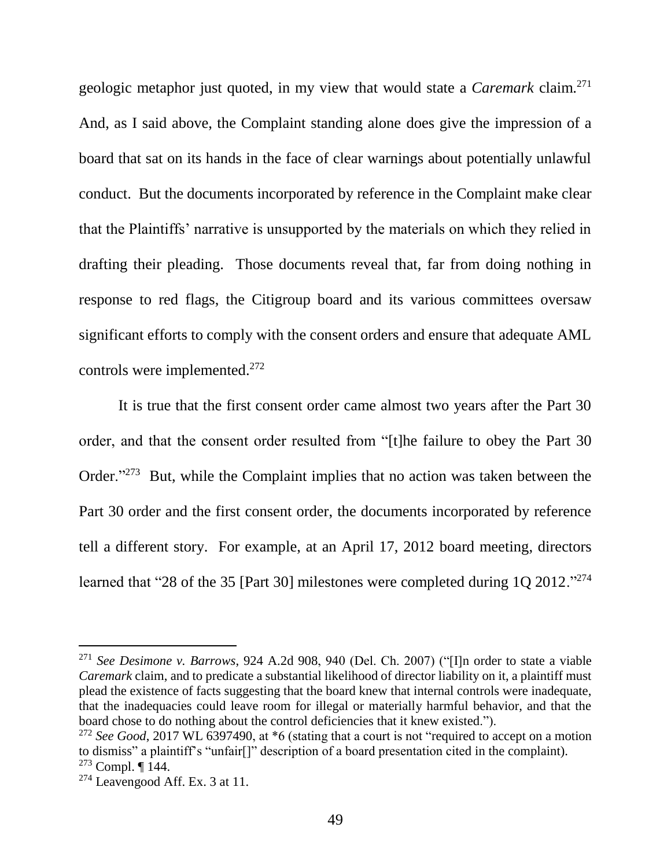geologic metaphor just quoted, in my view that would state a *Caremark* claim.<sup>271</sup> And, as I said above, the Complaint standing alone does give the impression of a board that sat on its hands in the face of clear warnings about potentially unlawful conduct. But the documents incorporated by reference in the Complaint make clear that the Plaintiffs' narrative is unsupported by the materials on which they relied in drafting their pleading. Those documents reveal that, far from doing nothing in response to red flags, the Citigroup board and its various committees oversaw significant efforts to comply with the consent orders and ensure that adequate AML controls were implemented.<sup>272</sup>

It is true that the first consent order came almost two years after the Part 30 order, and that the consent order resulted from "[t]he failure to obey the Part 30 Order."<sup>273</sup> But, while the Complaint implies that no action was taken between the Part 30 order and the first consent order, the documents incorporated by reference tell a different story. For example, at an April 17, 2012 board meeting, directors learned that "28 of the 35 [Part 30] milestones were completed during 1Q 2012."<sup>274</sup>

<sup>271</sup> *See Desimone v. Barrows*, 924 A.2d 908, 940 (Del. Ch. 2007) ("[I]n order to state a viable *Caremark* claim, and to predicate a substantial likelihood of director liability on it, a plaintiff must plead the existence of facts suggesting that the board knew that internal controls were inadequate, that the inadequacies could leave room for illegal or materially harmful behavior, and that the board chose to do nothing about the control deficiencies that it knew existed.").

<sup>272</sup> *See Good*, 2017 WL 6397490, at \*6 (stating that a court is not "required to accept on a motion to dismiss" a plaintiff's "unfair[]" description of a board presentation cited in the complaint).  $273$  Compl. ¶ 144.

 $274$  Leavengood Aff. Ex. 3 at 11.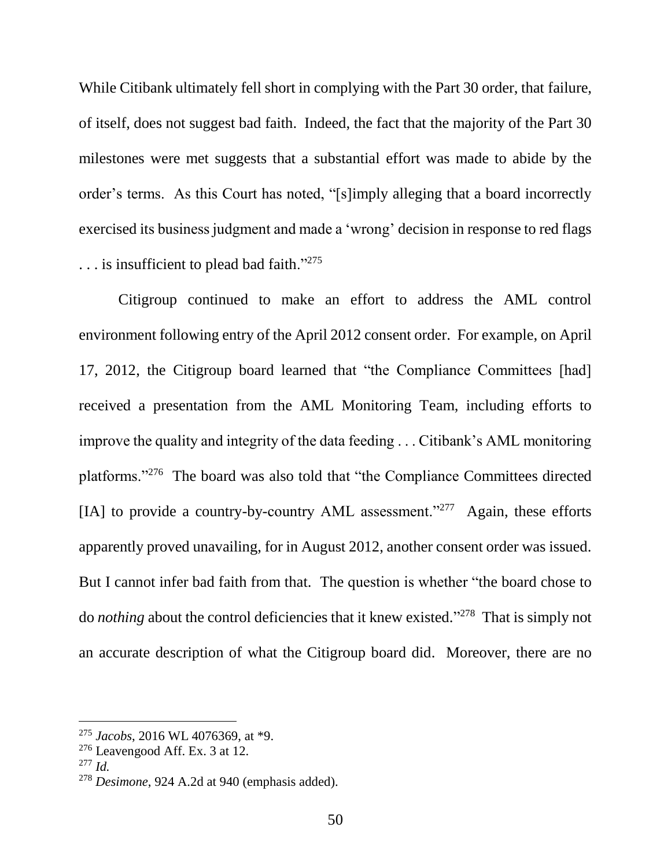While Citibank ultimately fell short in complying with the Part 30 order, that failure, of itself, does not suggest bad faith. Indeed, the fact that the majority of the Part 30 milestones were met suggests that a substantial effort was made to abide by the order's terms. As this Court has noted, "[s]imply alleging that a board incorrectly exercised its business judgment and made a 'wrong' decision in response to red flags . . . is insufficient to plead bad faith."<sup>275</sup>

Citigroup continued to make an effort to address the AML control environment following entry of the April 2012 consent order. For example, on April 17, 2012, the Citigroup board learned that "the Compliance Committees [had] received a presentation from the AML Monitoring Team, including efforts to improve the quality and integrity of the data feeding . . . Citibank's AML monitoring platforms."<sup>276</sup> The board was also told that "the Compliance Committees directed [IA] to provide a country-by-country AML assessment."<sup>277</sup> Again, these efforts apparently proved unavailing, for in August 2012, another consent order was issued. But I cannot infer bad faith from that. The question is whether "the board chose to do *nothing* about the control deficiencies that it knew existed." 278 That is simply not an accurate description of what the Citigroup board did. Moreover, there are no

<sup>275</sup> *Jacobs*, 2016 WL 4076369, at \*9.

 $276$  Leavengood Aff. Ex. 3 at 12.

<sup>277</sup> *Id.*

<sup>278</sup> *Desimone*, 924 A.2d at 940 (emphasis added).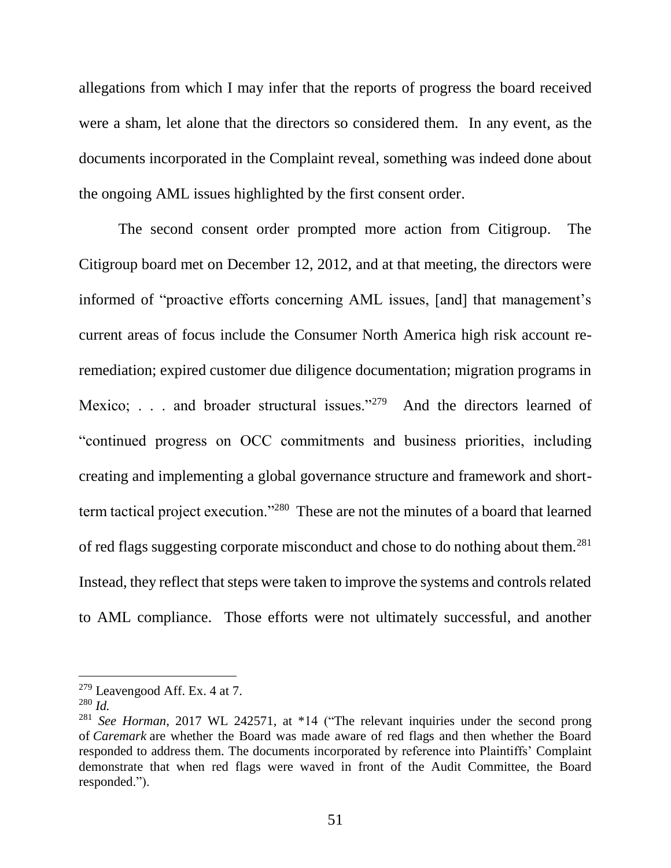allegations from which I may infer that the reports of progress the board received were a sham, let alone that the directors so considered them. In any event, as the documents incorporated in the Complaint reveal, something was indeed done about the ongoing AML issues highlighted by the first consent order.

The second consent order prompted more action from Citigroup. The Citigroup board met on December 12, 2012, and at that meeting, the directors were informed of "proactive efforts concerning AML issues, [and] that management's current areas of focus include the Consumer North America high risk account reremediation; expired customer due diligence documentation; migration programs in Mexico; . . . and broader structural issues."<sup>279</sup> And the directors learned of "continued progress on OCC commitments and business priorities, including creating and implementing a global governance structure and framework and shortterm tactical project execution."<sup>280</sup> These are not the minutes of a board that learned of red flags suggesting corporate misconduct and chose to do nothing about them.<sup>281</sup> Instead, they reflect that steps were taken to improve the systems and controls related to AML compliance. Those efforts were not ultimately successful, and another

 $279$  Leavengood Aff. Ex. 4 at 7.

<sup>280</sup> *Id.*

<sup>281</sup> *See Horman*, 2017 WL 242571, at \*14 ("The relevant inquiries under the second prong of *Caremark* are whether the Board was made aware of red flags and then whether the Board responded to address them. The documents incorporated by reference into Plaintiffs' Complaint demonstrate that when red flags were waved in front of the Audit Committee, the Board responded.").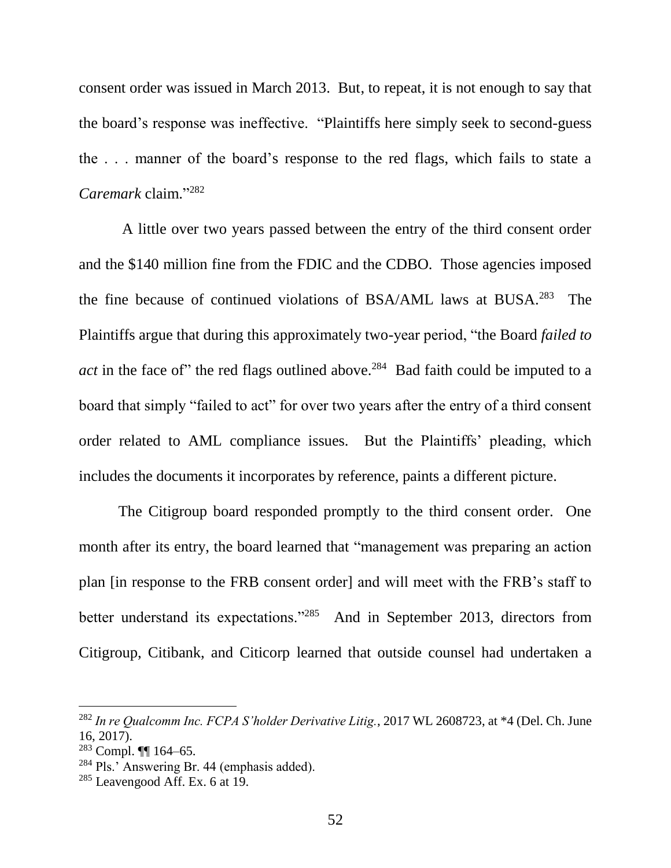consent order was issued in March 2013. But, to repeat, it is not enough to say that the board's response was ineffective. "Plaintiffs here simply seek to second-guess the . . . manner of the board's response to the red flags, which fails to state a *Caremark* claim." 282

A little over two years passed between the entry of the third consent order and the \$140 million fine from the FDIC and the CDBO. Those agencies imposed the fine because of continued violations of BSA/AML laws at BUSA. 283 The Plaintiffs argue that during this approximately two-year period, "the Board *failed to act* in the face of" the red flags outlined above.<sup>284</sup> Bad faith could be imputed to a board that simply "failed to act" for over two years after the entry of a third consent order related to AML compliance issues. But the Plaintiffs' pleading, which includes the documents it incorporates by reference, paints a different picture.

The Citigroup board responded promptly to the third consent order. One month after its entry, the board learned that "management was preparing an action plan [in response to the FRB consent order] and will meet with the FRB's staff to better understand its expectations."<sup>285</sup> And in September 2013, directors from Citigroup, Citibank, and Citicorp learned that outside counsel had undertaken a

<sup>282</sup> *In re Qualcomm Inc. FCPA S'holder Derivative Litig.*, 2017 WL 2608723, at \*4 (Del. Ch. June 16, 2017).

 $283$  Compl.  $\P\P$  164–65.

<sup>284</sup> Pls.' Answering Br. 44 (emphasis added).

 $285$  Leavengood Aff. Ex. 6 at 19.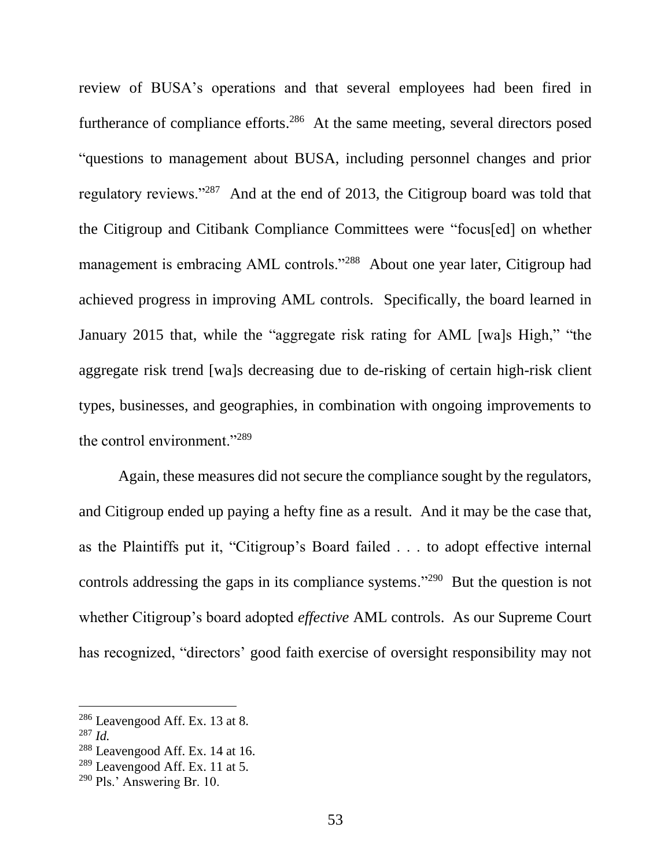review of BUSA's operations and that several employees had been fired in furtherance of compliance efforts.<sup>286</sup> At the same meeting, several directors posed "questions to management about BUSA, including personnel changes and prior regulatory reviews."<sup>287</sup> And at the end of 2013, the Citigroup board was told that the Citigroup and Citibank Compliance Committees were "focus[ed] on whether management is embracing AML controls."<sup>288</sup> About one year later, Citigroup had achieved progress in improving AML controls. Specifically, the board learned in January 2015 that, while the "aggregate risk rating for AML [wa]s High," "the aggregate risk trend [wa]s decreasing due to de-risking of certain high-risk client types, businesses, and geographies, in combination with ongoing improvements to the control environment."<sup>289</sup>

Again, these measures did not secure the compliance sought by the regulators, and Citigroup ended up paying a hefty fine as a result. And it may be the case that, as the Plaintiffs put it, "Citigroup's Board failed . . . to adopt effective internal controls addressing the gaps in its compliance systems."<sup>290</sup> But the question is not whether Citigroup's board adopted *effective* AML controls. As our Supreme Court has recognized, "directors' good faith exercise of oversight responsibility may not

<sup>286</sup> Leavengood Aff. Ex. 13 at 8.

<sup>287</sup> *Id.*

<sup>288</sup> Leavengood Aff. Ex. 14 at 16.

 $289$  Leavengood Aff. Ex. 11 at 5.

<sup>290</sup> Pls.' Answering Br. 10.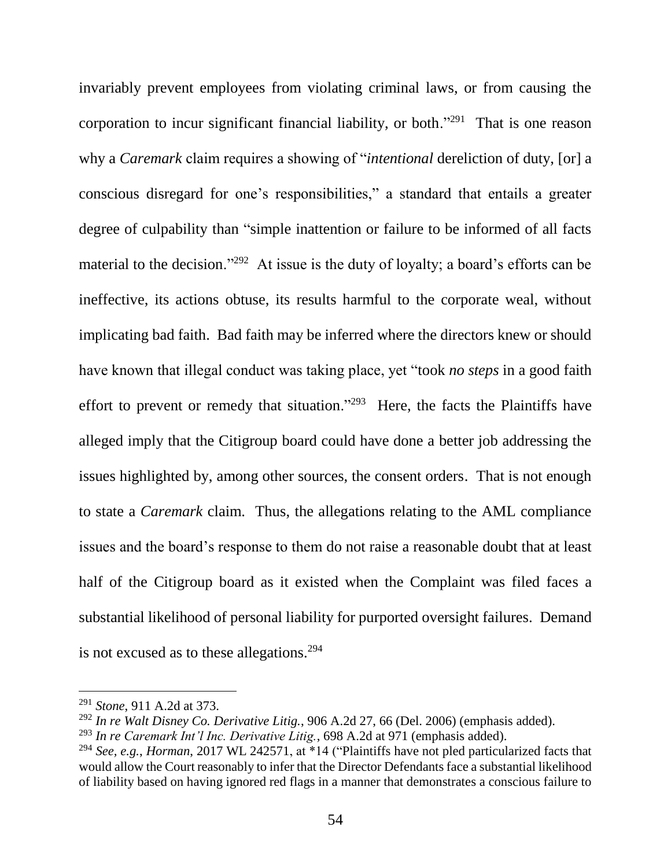invariably prevent employees from violating criminal laws, or from causing the corporation to incur significant financial liability, or both."<sup>291</sup> That is one reason why a *Caremark* claim requires a showing of "*intentional* dereliction of duty, [or] a conscious disregard for one's responsibilities," a standard that entails a greater degree of culpability than "simple inattention or failure to be informed of all facts material to the decision."<sup>292</sup> At issue is the duty of loyalty; a board's efforts can be ineffective, its actions obtuse, its results harmful to the corporate weal, without implicating bad faith. Bad faith may be inferred where the directors knew or should have known that illegal conduct was taking place, yet "took *no steps* in a good faith effort to prevent or remedy that situation."<sup>293</sup> Here, the facts the Plaintiffs have alleged imply that the Citigroup board could have done a better job addressing the issues highlighted by, among other sources, the consent orders. That is not enough to state a *Caremark* claim. Thus, the allegations relating to the AML compliance issues and the board's response to them do not raise a reasonable doubt that at least half of the Citigroup board as it existed when the Complaint was filed faces a substantial likelihood of personal liability for purported oversight failures. Demand is not excused as to these allegations.<sup>294</sup>

<sup>291</sup> *Stone*, 911 A.2d at 373.

<sup>292</sup> *In re Walt Disney Co. Derivative Litig.*, 906 A.2d 27, 66 (Del. 2006) (emphasis added).

<sup>293</sup> *In re Caremark Int'l Inc. Derivative Litig.*, 698 A.2d at 971 (emphasis added).

<sup>294</sup> *See, e.g.*, *Horman*, 2017 WL 242571, at \*14 ("Plaintiffs have not pled particularized facts that would allow the Court reasonably to infer that the Director Defendants face a substantial likelihood of liability based on having ignored red flags in a manner that demonstrates a conscious failure to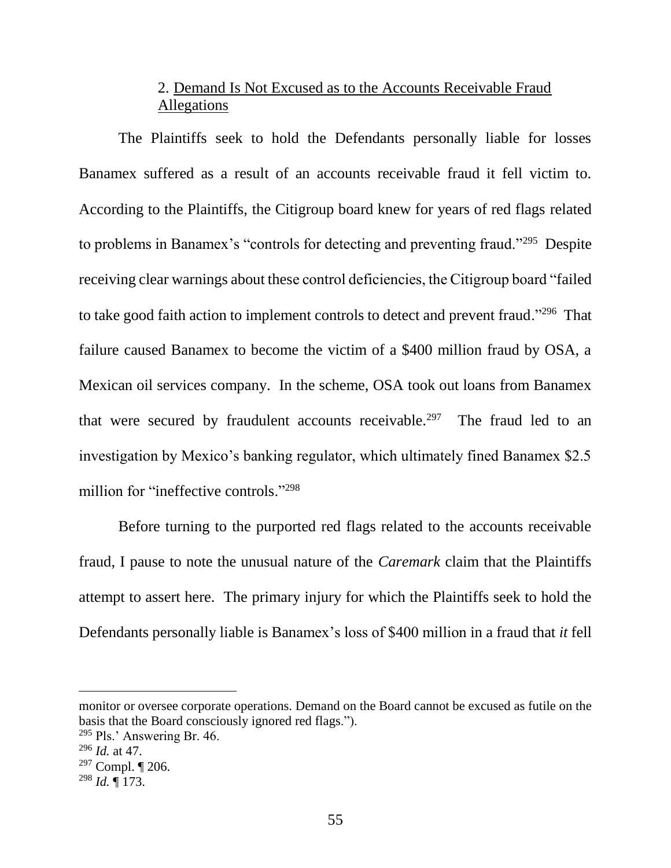# 2. Demand Is Not Excused as to the Accounts Receivable Fraud Allegations

The Plaintiffs seek to hold the Defendants personally liable for losses Banamex suffered as a result of an accounts receivable fraud it fell victim to. According to the Plaintiffs, the Citigroup board knew for years of red flags related to problems in Banamex's "controls for detecting and preventing fraud."<sup>295</sup> Despite receiving clear warnings about these control deficiencies, the Citigroup board "failed to take good faith action to implement controls to detect and prevent fraud."<sup>296</sup> That failure caused Banamex to become the victim of a \$400 million fraud by OSA, a Mexican oil services company. In the scheme, OSA took out loans from Banamex that were secured by fraudulent accounts receivable.<sup>297</sup> The fraud led to an investigation by Mexico's banking regulator, which ultimately fined Banamex \$2.5 million for "ineffective controls."<sup>298</sup>

Before turning to the purported red flags related to the accounts receivable fraud, I pause to note the unusual nature of the *Caremark* claim that the Plaintiffs attempt to assert here. The primary injury for which the Plaintiffs seek to hold the Defendants personally liable is Banamex's loss of \$400 million in a fraud that *it* fell

monitor or oversee corporate operations. Demand on the Board cannot be excused as futile on the basis that the Board consciously ignored red flags.").

<sup>295</sup> Pls.' Answering Br. 46.

<sup>296</sup> *Id.* at 47.

 $297$  Compl.  $\P$  206.

<sup>298</sup> *Id.* ¶ 173.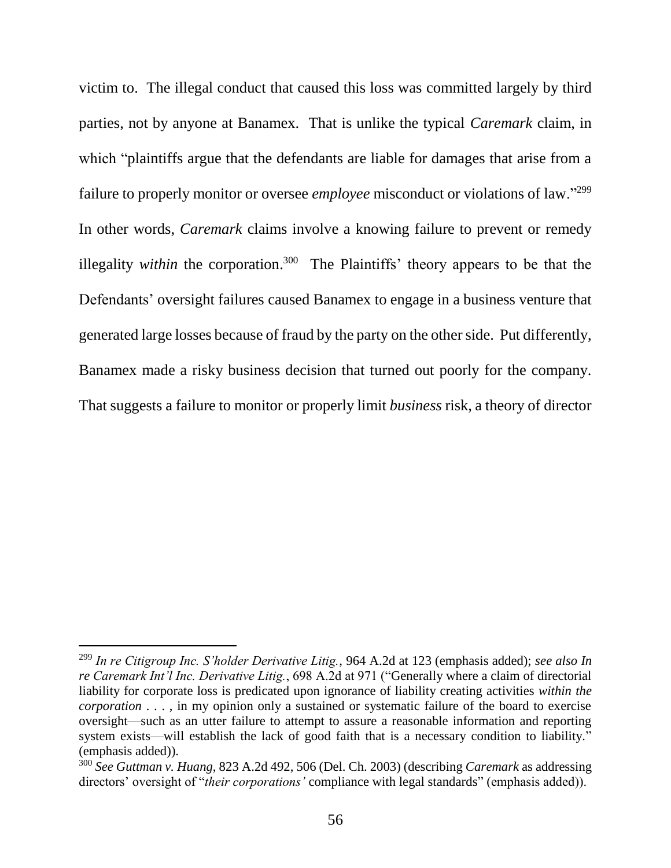victim to. The illegal conduct that caused this loss was committed largely by third parties, not by anyone at Banamex. That is unlike the typical *Caremark* claim, in which "plaintiffs argue that the defendants are liable for damages that arise from a failure to properly monitor or oversee *employee* misconduct or violations of law."<sup>299</sup> In other words, *Caremark* claims involve a knowing failure to prevent or remedy illegality *within* the corporation.<sup>300</sup> The Plaintiffs' theory appears to be that the Defendants' oversight failures caused Banamex to engage in a business venture that generated large losses because of fraud by the party on the other side. Put differently, Banamex made a risky business decision that turned out poorly for the company. That suggests a failure to monitor or properly limit *business* risk, a theory of director

<sup>299</sup> *In re Citigroup Inc. S'holder Derivative Litig.*, 964 A.2d at 123 (emphasis added); *see also In re Caremark Int'l Inc. Derivative Litig.*, 698 A.2d at 971 ("Generally where a claim of directorial liability for corporate loss is predicated upon ignorance of liability creating activities *within the corporation* . . . , in my opinion only a sustained or systematic failure of the board to exercise oversight—such as an utter failure to attempt to assure a reasonable information and reporting system exists—will establish the lack of good faith that is a necessary condition to liability." (emphasis added)).

<sup>300</sup> *See Guttman v. Huang*, 823 A.2d 492, 506 (Del. Ch. 2003) (describing *Caremark* as addressing directors' oversight of "*their corporations'* compliance with legal standards" (emphasis added)).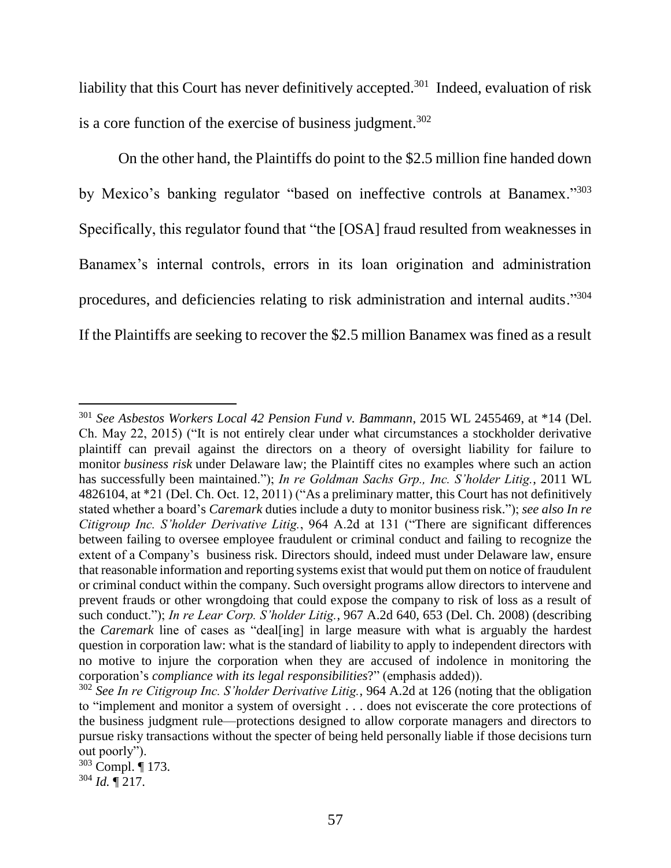liability that this Court has never definitively accepted.<sup>301</sup> Indeed, evaluation of risk is a core function of the exercise of business judgment. $302$ 

On the other hand, the Plaintiffs do point to the \$2.5 million fine handed down by Mexico's banking regulator "based on ineffective controls at Banamex."<sup>303</sup> Specifically, this regulator found that "the [OSA] fraud resulted from weaknesses in Banamex's internal controls, errors in its loan origination and administration procedures, and deficiencies relating to risk administration and internal audits."304 If the Plaintiffs are seeking to recover the \$2.5 million Banamex was fined as a result

<sup>303</sup> Compl. ¶ 173.  $304$  *Id.*  $\sqrt{217}$ .

<sup>301</sup> *See Asbestos Workers Local 42 Pension Fund v. Bammann*, 2015 WL 2455469, at \*14 (Del. Ch. May 22, 2015) ("It is not entirely clear under what circumstances a stockholder derivative plaintiff can prevail against the directors on a theory of oversight liability for failure to monitor *business risk* under Delaware law; the Plaintiff cites no examples where such an action has successfully been maintained."); *In re Goldman Sachs Grp., Inc. S'holder Litig.*, 2011 WL 4826104, at \*21 (Del. Ch. Oct. 12, 2011) ("As a preliminary matter, this Court has not definitively stated whether a board's *Caremark* duties include a duty to monitor business risk."); *see also In re Citigroup Inc. S'holder Derivative Litig.*, 964 A.2d at 131 ("There are significant differences between failing to oversee employee fraudulent or criminal conduct and failing to recognize the extent of a Company's business risk. Directors should, indeed must under Delaware law, ensure that reasonable information and reporting systems exist that would put them on notice of fraudulent or criminal conduct within the company. Such oversight programs allow directors to intervene and prevent frauds or other wrongdoing that could expose the company to risk of loss as a result of such conduct."); *In re Lear Corp. S'holder Litig.*, 967 A.2d 640, 653 (Del. Ch. 2008) (describing the *Caremark* line of cases as "deal[ing] in large measure with what is arguably the hardest question in corporation law: what is the standard of liability to apply to independent directors with no motive to injure the corporation when they are accused of indolence in monitoring the corporation's *compliance with its legal responsibilities*?" (emphasis added)).

<sup>302</sup> *See In re Citigroup Inc. S'holder Derivative Litig.*, 964 A.2d at 126 (noting that the obligation to "implement and monitor a system of oversight . . . does not eviscerate the core protections of the business judgment rule—protections designed to allow corporate managers and directors to pursue risky transactions without the specter of being held personally liable if those decisions turn out poorly").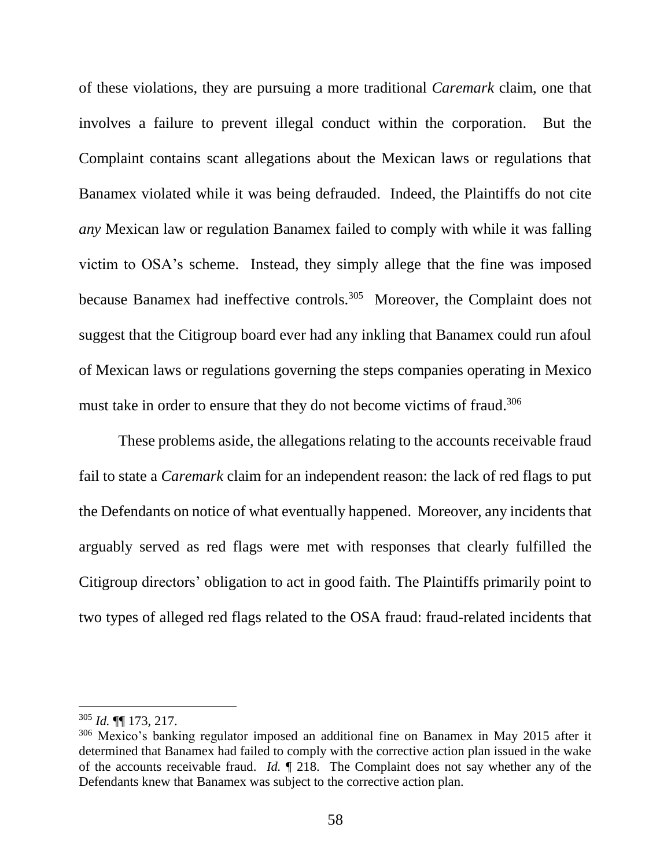of these violations, they are pursuing a more traditional *Caremark* claim, one that involves a failure to prevent illegal conduct within the corporation. But the Complaint contains scant allegations about the Mexican laws or regulations that Banamex violated while it was being defrauded. Indeed, the Plaintiffs do not cite *any* Mexican law or regulation Banamex failed to comply with while it was falling victim to OSA's scheme. Instead, they simply allege that the fine was imposed because Banamex had ineffective controls.<sup>305</sup> Moreover, the Complaint does not suggest that the Citigroup board ever had any inkling that Banamex could run afoul of Mexican laws or regulations governing the steps companies operating in Mexico must take in order to ensure that they do not become victims of fraud.<sup>306</sup>

These problems aside, the allegations relating to the accounts receivable fraud fail to state a *Caremark* claim for an independent reason: the lack of red flags to put the Defendants on notice of what eventually happened. Moreover, any incidents that arguably served as red flags were met with responses that clearly fulfilled the Citigroup directors' obligation to act in good faith. The Plaintiffs primarily point to two types of alleged red flags related to the OSA fraud: fraud-related incidents that

<sup>305</sup> *Id.* ¶¶ 173, 217.

<sup>306</sup> Mexico's banking regulator imposed an additional fine on Banamex in May 2015 after it determined that Banamex had failed to comply with the corrective action plan issued in the wake of the accounts receivable fraud. *Id.* ¶ 218. The Complaint does not say whether any of the Defendants knew that Banamex was subject to the corrective action plan.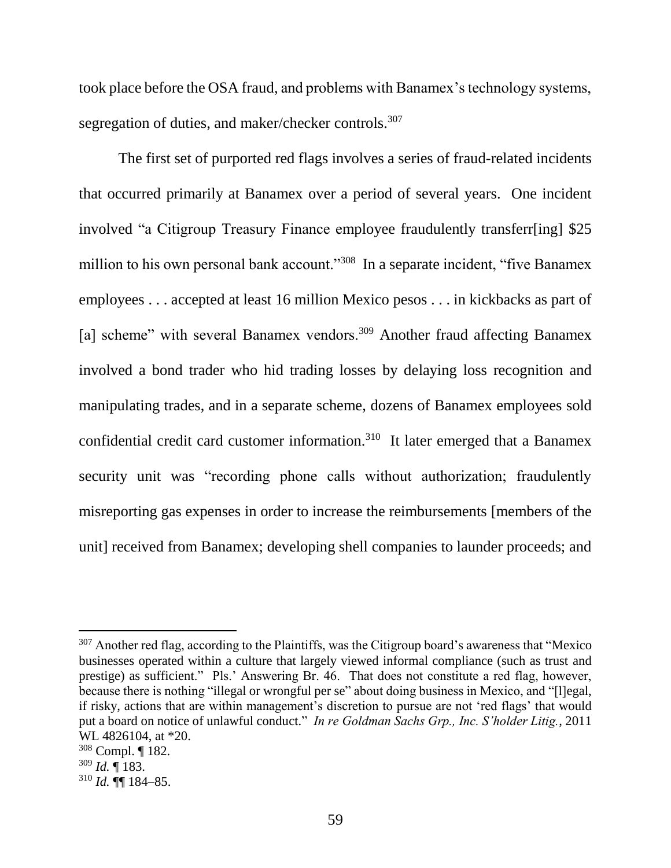took place before the OSA fraud, and problems with Banamex's technology systems, segregation of duties, and maker/checker controls.<sup>307</sup>

The first set of purported red flags involves a series of fraud-related incidents that occurred primarily at Banamex over a period of several years. One incident involved "a Citigroup Treasury Finance employee fraudulently transferr[ing] \$25 million to his own personal bank account."<sup>308</sup> In a separate incident, "five Banamex employees . . . accepted at least 16 million Mexico pesos . . . in kickbacks as part of [a] scheme" with several Banamex vendors.<sup>309</sup> Another fraud affecting Banamex involved a bond trader who hid trading losses by delaying loss recognition and manipulating trades, and in a separate scheme, dozens of Banamex employees sold confidential credit card customer information.<sup>310</sup> It later emerged that a Banamex security unit was "recording phone calls without authorization; fraudulently misreporting gas expenses in order to increase the reimbursements [members of the unit] received from Banamex; developing shell companies to launder proceeds; and

 $307$  Another red flag, according to the Plaintiffs, was the Citigroup board's awareness that "Mexico" businesses operated within a culture that largely viewed informal compliance (such as trust and prestige) as sufficient." Pls.' Answering Br. 46. That does not constitute a red flag, however, because there is nothing "illegal or wrongful per se" about doing business in Mexico, and "[l]egal, if risky, actions that are within management's discretion to pursue are not 'red flags' that would put a board on notice of unlawful conduct." *In re Goldman Sachs Grp., Inc. S'holder Litig.*, 2011 WL 4826104, at \*20.

<sup>308</sup> Compl. ¶ 182.

<sup>309</sup> *Id.* ¶ 183.

 $310$  *Id.*  $\P\P$  184–85.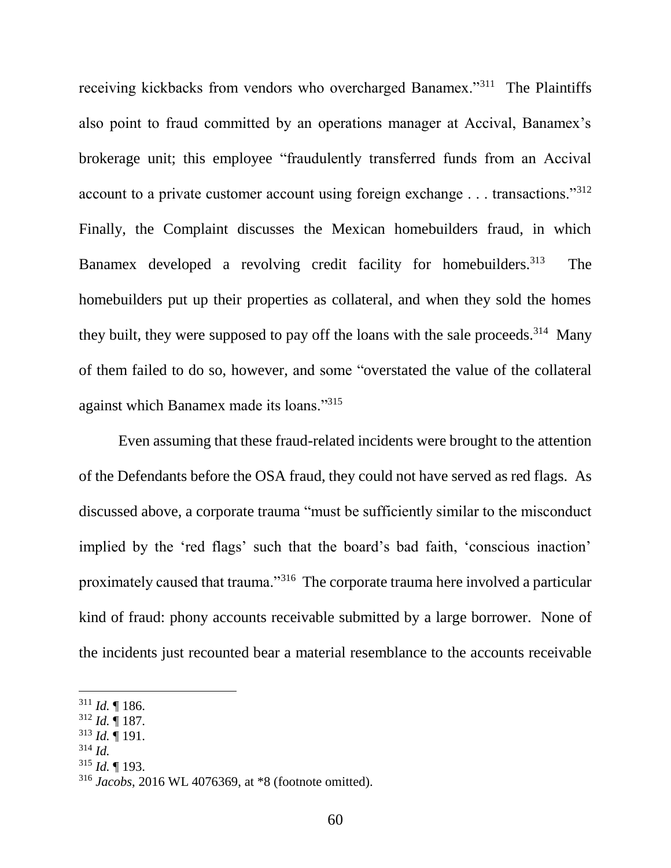receiving kickbacks from vendors who overcharged Banamex."<sup>311</sup> The Plaintiffs also point to fraud committed by an operations manager at Accival, Banamex's brokerage unit; this employee "fraudulently transferred funds from an Accival account to a private customer account using foreign exchange  $\dots$  transactions."<sup>312</sup> Finally, the Complaint discusses the Mexican homebuilders fraud, in which Banamex developed a revolving credit facility for homebuilders.<sup>313</sup> The homebuilders put up their properties as collateral, and when they sold the homes they built, they were supposed to pay off the loans with the sale proceeds.<sup>314</sup> Many of them failed to do so, however, and some "overstated the value of the collateral against which Banamex made its loans."<sup>315</sup>

Even assuming that these fraud-related incidents were brought to the attention of the Defendants before the OSA fraud, they could not have served as red flags. As discussed above, a corporate trauma "must be sufficiently similar to the misconduct implied by the 'red flags' such that the board's bad faith, 'conscious inaction' proximately caused that trauma."<sup>316</sup> The corporate trauma here involved a particular kind of fraud: phony accounts receivable submitted by a large borrower. None of the incidents just recounted bear a material resemblance to the accounts receivable

- <sup>313</sup> *Id.* ¶ 191.
- <sup>314</sup> *Id.*

 $\overline{a}$ 

<sup>315</sup> *Id.* ¶ 193.

<sup>311</sup> *Id.* ¶ 186.

<sup>312</sup> *Id.* ¶ 187.

<sup>316</sup> *Jacobs*, 2016 WL 4076369, at \*8 (footnote omitted).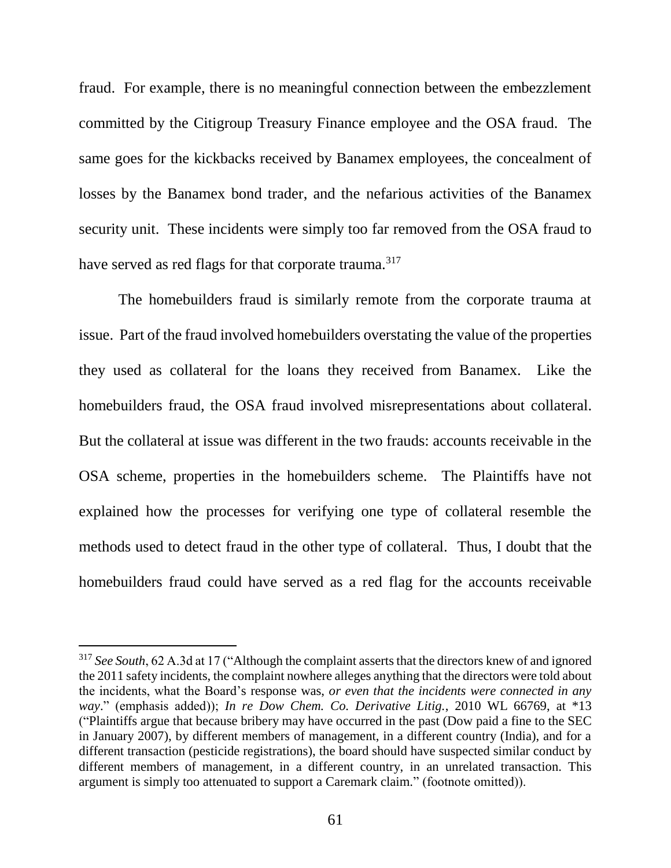fraud. For example, there is no meaningful connection between the embezzlement committed by the Citigroup Treasury Finance employee and the OSA fraud. The same goes for the kickbacks received by Banamex employees, the concealment of losses by the Banamex bond trader, and the nefarious activities of the Banamex security unit. These incidents were simply too far removed from the OSA fraud to have served as red flags for that corporate trauma.<sup>317</sup>

The homebuilders fraud is similarly remote from the corporate trauma at issue. Part of the fraud involved homebuilders overstating the value of the properties they used as collateral for the loans they received from Banamex. Like the homebuilders fraud, the OSA fraud involved misrepresentations about collateral. But the collateral at issue was different in the two frauds: accounts receivable in the OSA scheme, properties in the homebuilders scheme. The Plaintiffs have not explained how the processes for verifying one type of collateral resemble the methods used to detect fraud in the other type of collateral. Thus, I doubt that the homebuilders fraud could have served as a red flag for the accounts receivable

<sup>317</sup> *See South*, 62 A.3d at 17 ("Although the complaint asserts that the directors knew of and ignored the 2011 safety incidents, the complaint nowhere alleges anything that the directors were told about the incidents, what the Board's response was, *or even that the incidents were connected in any way*." (emphasis added)); *In re Dow Chem. Co. Derivative Litig.*, 2010 WL 66769, at \*13 ("Plaintiffs argue that because bribery may have occurred in the past (Dow paid a fine to the SEC in January 2007), by different members of management, in a different country (India), and for a different transaction (pesticide registrations), the board should have suspected similar conduct by different members of management, in a different country, in an unrelated transaction. This argument is simply too attenuated to support a Caremark claim." (footnote omitted)).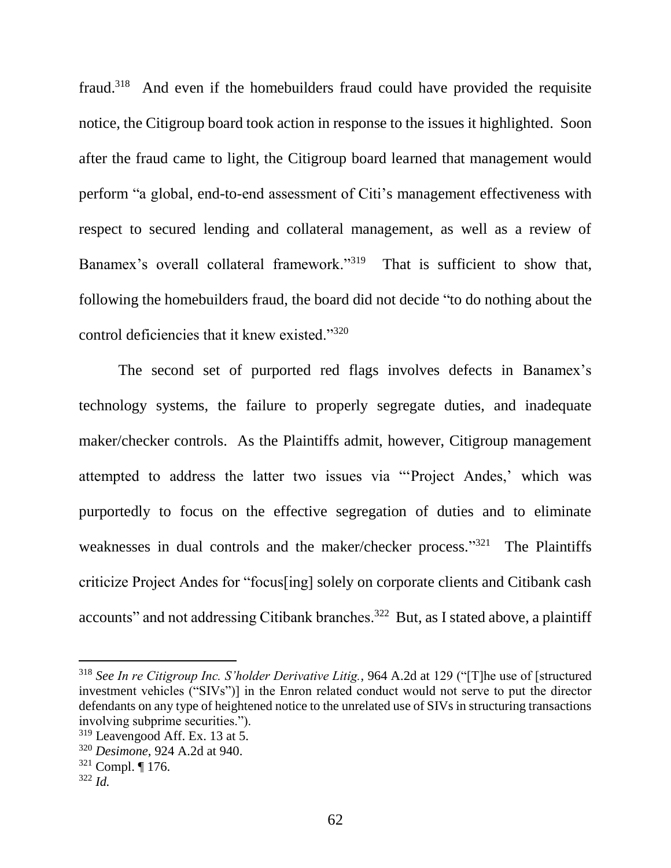fraud.<sup>318</sup> And even if the homebuilders fraud could have provided the requisite notice, the Citigroup board took action in response to the issues it highlighted. Soon after the fraud came to light, the Citigroup board learned that management would perform "a global, end-to-end assessment of Citi's management effectiveness with respect to secured lending and collateral management, as well as a review of Banamex's overall collateral framework."<sup>319</sup> That is sufficient to show that, following the homebuilders fraud, the board did not decide "to do nothing about the control deficiencies that it knew existed."<sup>320</sup>

The second set of purported red flags involves defects in Banamex's technology systems, the failure to properly segregate duties, and inadequate maker/checker controls. As the Plaintiffs admit, however, Citigroup management attempted to address the latter two issues via "'Project Andes,' which was purportedly to focus on the effective segregation of duties and to eliminate weaknesses in dual controls and the maker/checker process."<sup>321</sup> The Plaintiffs criticize Project Andes for "focus[ing] solely on corporate clients and Citibank cash accounts" and not addressing Citibank branches.<sup>322</sup> But, as I stated above, a plaintiff

<sup>318</sup> *See In re Citigroup Inc. S'holder Derivative Litig.*, 964 A.2d at 129 ("[T]he use of [structured investment vehicles ("SIVs")] in the Enron related conduct would not serve to put the director defendants on any type of heightened notice to the unrelated use of SIVs in structuring transactions involving subprime securities.").

<sup>319</sup> Leavengood Aff. Ex. 13 at 5.

<sup>320</sup> *Desimone*, 924 A.2d at 940.

 $321$  Compl. ¶ 176.

<sup>322</sup> *Id.*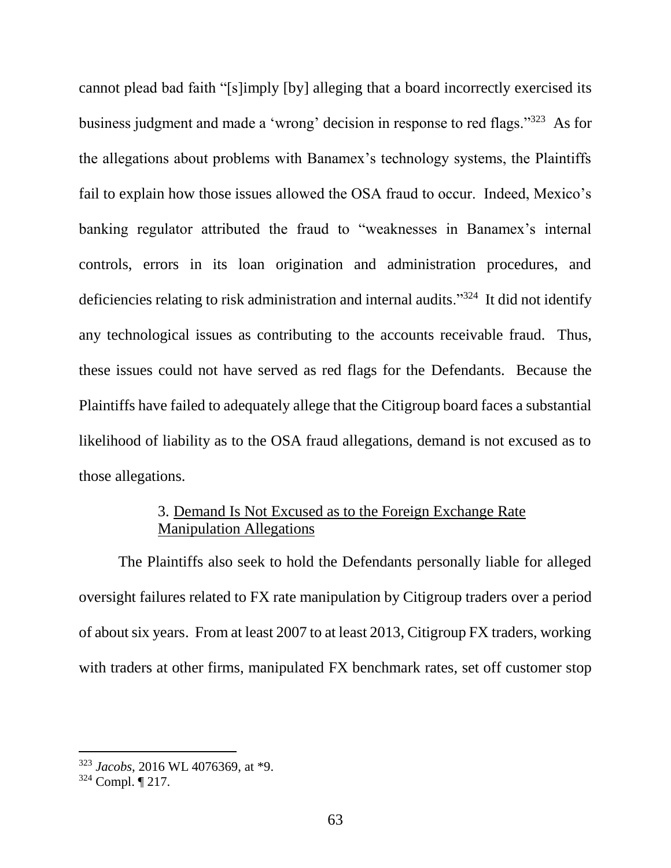cannot plead bad faith "[s]imply [by] alleging that a board incorrectly exercised its business judgment and made a 'wrong' decision in response to red flags."<sup>323</sup> As for the allegations about problems with Banamex's technology systems, the Plaintiffs fail to explain how those issues allowed the OSA fraud to occur. Indeed, Mexico's banking regulator attributed the fraud to "weaknesses in Banamex's internal controls, errors in its loan origination and administration procedures, and deficiencies relating to risk administration and internal audits."<sup>324</sup> It did not identify any technological issues as contributing to the accounts receivable fraud. Thus, these issues could not have served as red flags for the Defendants. Because the Plaintiffs have failed to adequately allege that the Citigroup board faces a substantial likelihood of liability as to the OSA fraud allegations, demand is not excused as to those allegations.

# 3. Demand Is Not Excused as to the Foreign Exchange Rate Manipulation Allegations

The Plaintiffs also seek to hold the Defendants personally liable for alleged oversight failures related to FX rate manipulation by Citigroup traders over a period of about six years. From at least 2007 to at least 2013, Citigroup FX traders, working with traders at other firms, manipulated FX benchmark rates, set off customer stop

<sup>323</sup> *Jacobs*, 2016 WL 4076369, at \*9.

<sup>324</sup> Compl. ¶ 217.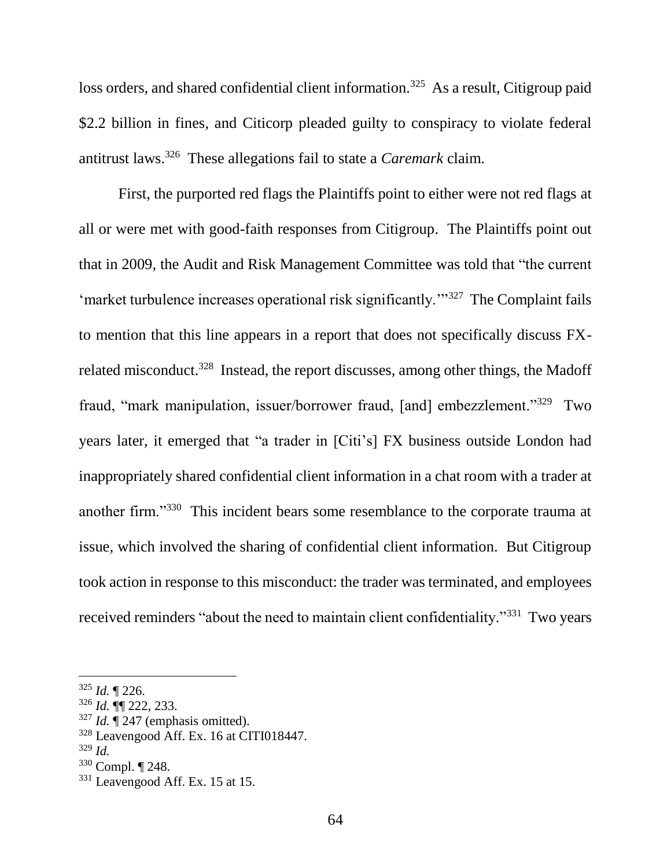loss orders, and shared confidential client information.<sup>325</sup> As a result, Citigroup paid \$2.2 billion in fines, and Citicorp pleaded guilty to conspiracy to violate federal antitrust laws.<sup>326</sup> These allegations fail to state a *Caremark* claim.

First, the purported red flags the Plaintiffs point to either were not red flags at all or were met with good-faith responses from Citigroup. The Plaintiffs point out that in 2009, the Audit and Risk Management Committee was told that "the current 'market turbulence increases operational risk significantly.'"<sup>327</sup> The Complaint fails to mention that this line appears in a report that does not specifically discuss FXrelated misconduct.<sup>328</sup> Instead, the report discusses, among other things, the Madoff fraud, "mark manipulation, issuer/borrower fraud, [and] embezzlement."<sup>329</sup> Two years later, it emerged that "a trader in [Citi's] FX business outside London had inappropriately shared confidential client information in a chat room with a trader at another firm."<sup>330</sup> This incident bears some resemblance to the corporate trauma at issue, which involved the sharing of confidential client information. But Citigroup took action in response to this misconduct: the trader was terminated, and employees received reminders "about the need to maintain client confidentiality."<sup>331</sup> Two years

<sup>325</sup> *Id.* ¶ 226.

<sup>326</sup> *Id.* ¶¶ 222, 233.

 $327$  *Id.*  $\sqrt{247}$  (emphasis omitted).

<sup>328</sup> Leavengood Aff. Ex. 16 at CITI018447.

<sup>329</sup> *Id.*

<sup>330</sup> Compl. ¶ 248.

<sup>331</sup> Leavengood Aff. Ex. 15 at 15.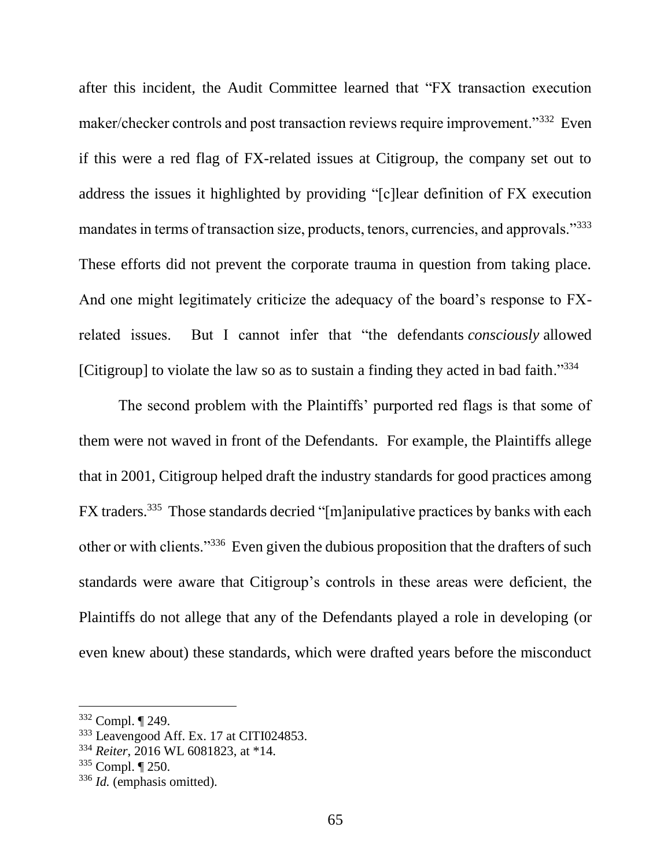after this incident, the Audit Committee learned that "FX transaction execution maker/checker controls and post transaction reviews require improvement."<sup>332</sup> Even if this were a red flag of FX-related issues at Citigroup, the company set out to address the issues it highlighted by providing "[c]lear definition of FX execution mandates in terms of transaction size, products, tenors, currencies, and approvals."<sup>333</sup> These efforts did not prevent the corporate trauma in question from taking place. And one might legitimately criticize the adequacy of the board's response to FXrelated issues. But I cannot infer that "the defendants *consciously* allowed [Citigroup] to violate the law so as to sustain a finding they acted in bad faith."<sup>334</sup>

The second problem with the Plaintiffs' purported red flags is that some of them were not waved in front of the Defendants. For example, the Plaintiffs allege that in 2001, Citigroup helped draft the industry standards for good practices among FX traders.<sup>335</sup> Those standards decried "[m]anipulative practices by banks with each other or with clients."<sup>336</sup> Even given the dubious proposition that the drafters of such standards were aware that Citigroup's controls in these areas were deficient, the Plaintiffs do not allege that any of the Defendants played a role in developing (or even knew about) these standards, which were drafted years before the misconduct

<sup>332</sup> Compl. ¶ 249.

<sup>333</sup> Leavengood Aff. Ex. 17 at CITI024853.

<sup>334</sup> *Reiter*, 2016 WL 6081823, at \*14.

<sup>335</sup> Compl. ¶ 250.

<sup>336</sup> *Id.* (emphasis omitted).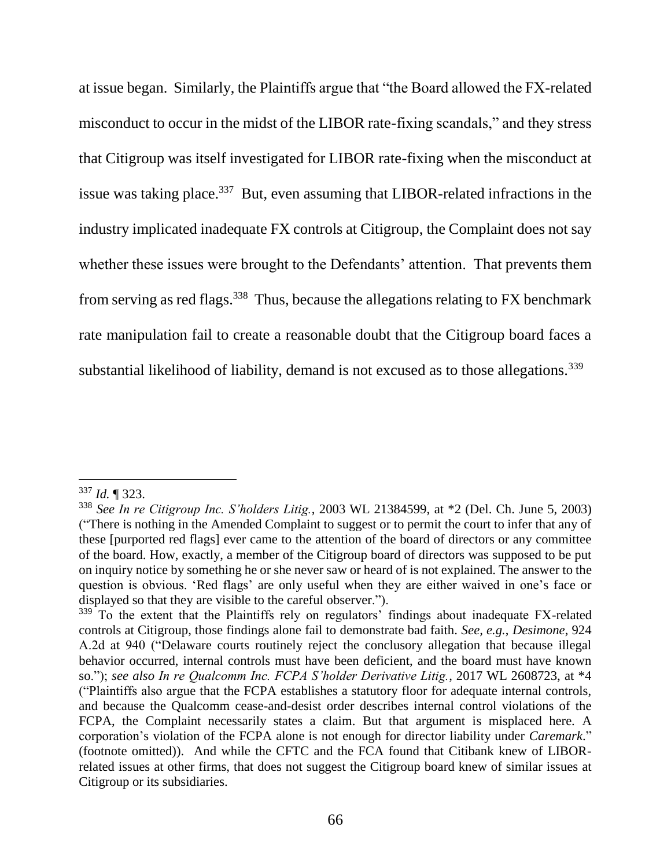at issue began. Similarly, the Plaintiffs argue that "the Board allowed the FX-related misconduct to occur in the midst of the LIBOR rate-fixing scandals," and they stress that Citigroup was itself investigated for LIBOR rate-fixing when the misconduct at issue was taking place.<sup>337</sup> But, even assuming that LIBOR-related infractions in the industry implicated inadequate FX controls at Citigroup, the Complaint does not say whether these issues were brought to the Defendants' attention. That prevents them from serving as red flags.<sup>338</sup> Thus, because the allegations relating to FX benchmark rate manipulation fail to create a reasonable doubt that the Citigroup board faces a substantial likelihood of liability, demand is not excused as to those allegations.<sup>339</sup>

<sup>337</sup> *Id.* ¶ 323.

<sup>338</sup> *See In re Citigroup Inc. S'holders Litig.*, 2003 WL 21384599, at \*2 (Del. Ch. June 5, 2003) ("There is nothing in the Amended Complaint to suggest or to permit the court to infer that any of these [purported red flags] ever came to the attention of the board of directors or any committee of the board. How, exactly, a member of the Citigroup board of directors was supposed to be put on inquiry notice by something he or she never saw or heard of is not explained. The answer to the question is obvious. 'Red flags' are only useful when they are either waived in one's face or displayed so that they are visible to the careful observer.").

<sup>&</sup>lt;sup>339</sup> To the extent that the Plaintiffs rely on regulators' findings about inadequate FX-related controls at Citigroup, those findings alone fail to demonstrate bad faith. *See, e.g.*, *Desimone*, 924 A.2d at 940 ("Delaware courts routinely reject the conclusory allegation that because illegal behavior occurred, internal controls must have been deficient, and the board must have known so."); *see also In re Qualcomm Inc. FCPA S'holder Derivative Litig.*, 2017 WL 2608723, at \*4 ("Plaintiffs also argue that the FCPA establishes a statutory floor for adequate internal controls, and because the Qualcomm cease-and-desist order describes internal control violations of the FCPA, the Complaint necessarily states a claim. But that argument is misplaced here. A corporation's violation of the FCPA alone is not enough for director liability under *Caremark*." (footnote omitted)). And while the CFTC and the FCA found that Citibank knew of LIBORrelated issues at other firms, that does not suggest the Citigroup board knew of similar issues at Citigroup or its subsidiaries.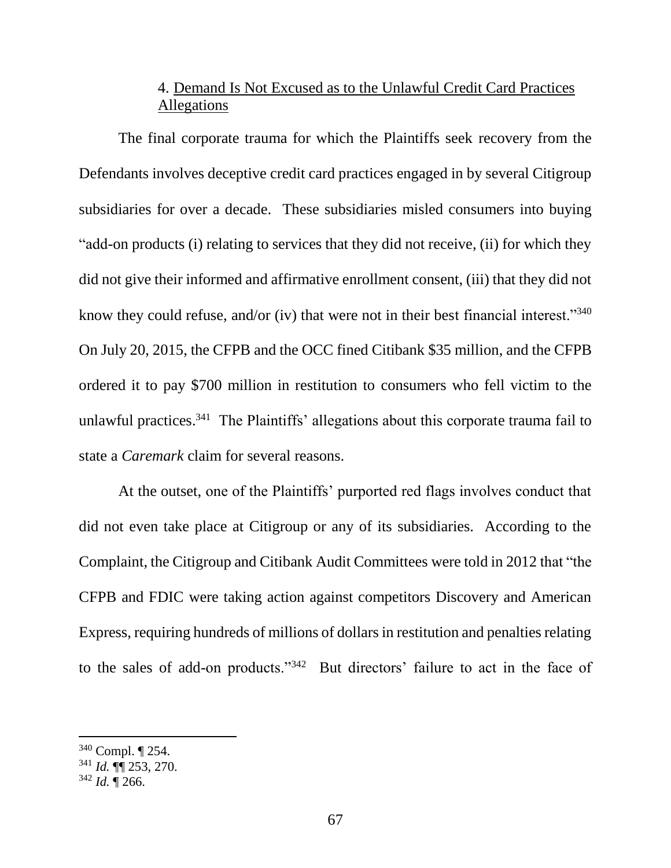# 4. Demand Is Not Excused as to the Unlawful Credit Card Practices Allegations

The final corporate trauma for which the Plaintiffs seek recovery from the Defendants involves deceptive credit card practices engaged in by several Citigroup subsidiaries for over a decade. These subsidiaries misled consumers into buying "add-on products (i) relating to services that they did not receive, (ii) for which they did not give their informed and affirmative enrollment consent, (iii) that they did not know they could refuse, and/or (iv) that were not in their best financial interest."<sup>340</sup> On July 20, 2015, the CFPB and the OCC fined Citibank \$35 million, and the CFPB ordered it to pay \$700 million in restitution to consumers who fell victim to the unlawful practices.<sup>341</sup> The Plaintiffs' allegations about this corporate trauma fail to state a *Caremark* claim for several reasons.

At the outset, one of the Plaintiffs' purported red flags involves conduct that did not even take place at Citigroup or any of its subsidiaries. According to the Complaint, the Citigroup and Citibank Audit Committees were told in 2012 that "the CFPB and FDIC were taking action against competitors Discovery and American Express, requiring hundreds of millions of dollars in restitution and penalties relating to the sales of add-on products."<sup>342</sup> But directors' failure to act in the face of

<sup>340</sup> Compl. ¶ 254.

<sup>341</sup> *Id.* ¶¶ 253, 270.

 $342$  *Id.*  $\sqrt{266}$ .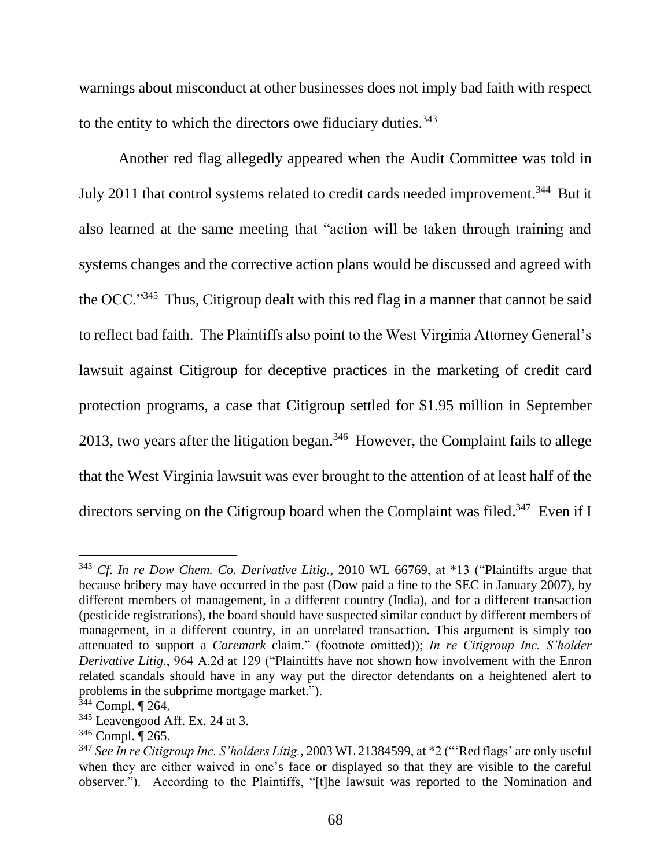warnings about misconduct at other businesses does not imply bad faith with respect to the entity to which the directors owe fiduciary duties. $343$ 

Another red flag allegedly appeared when the Audit Committee was told in July 2011 that control systems related to credit cards needed improvement.<sup>344</sup> But it also learned at the same meeting that "action will be taken through training and systems changes and the corrective action plans would be discussed and agreed with the OCC."<sup>345</sup> Thus, Citigroup dealt with this red flag in a manner that cannot be said to reflect bad faith. The Plaintiffs also point to the West Virginia Attorney General's lawsuit against Citigroup for deceptive practices in the marketing of credit card protection programs, a case that Citigroup settled for \$1.95 million in September 2013, two years after the litigation began.<sup>346</sup> However, the Complaint fails to allege that the West Virginia lawsuit was ever brought to the attention of at least half of the directors serving on the Citigroup board when the Complaint was filed.<sup>347</sup> Even if I

<sup>343</sup> *Cf. In re Dow Chem. Co. Derivative Litig.*, 2010 WL 66769, at \*13 ("Plaintiffs argue that because bribery may have occurred in the past (Dow paid a fine to the SEC in January 2007), by different members of management, in a different country (India), and for a different transaction (pesticide registrations), the board should have suspected similar conduct by different members of management, in a different country, in an unrelated transaction. This argument is simply too attenuated to support a *Caremark* claim." (footnote omitted)); *In re Citigroup Inc. S'holder Derivative Litig.*, 964 A.2d at 129 ("Plaintiffs have not shown how involvement with the Enron related scandals should have in any way put the director defendants on a heightened alert to problems in the subprime mortgage market.").

<sup>344</sup> Compl. ¶ 264.

<sup>&</sup>lt;sup>345</sup> Leavengood Aff. Ex. 24 at 3.

<sup>346</sup> Compl. ¶ 265.

<sup>347</sup> *See In re Citigroup Inc. S'holders Litig.*, 2003 WL 21384599, at \*2 ("'Red flags' are only useful when they are either waived in one's face or displayed so that they are visible to the careful observer."). According to the Plaintiffs, "[t]he lawsuit was reported to the Nomination and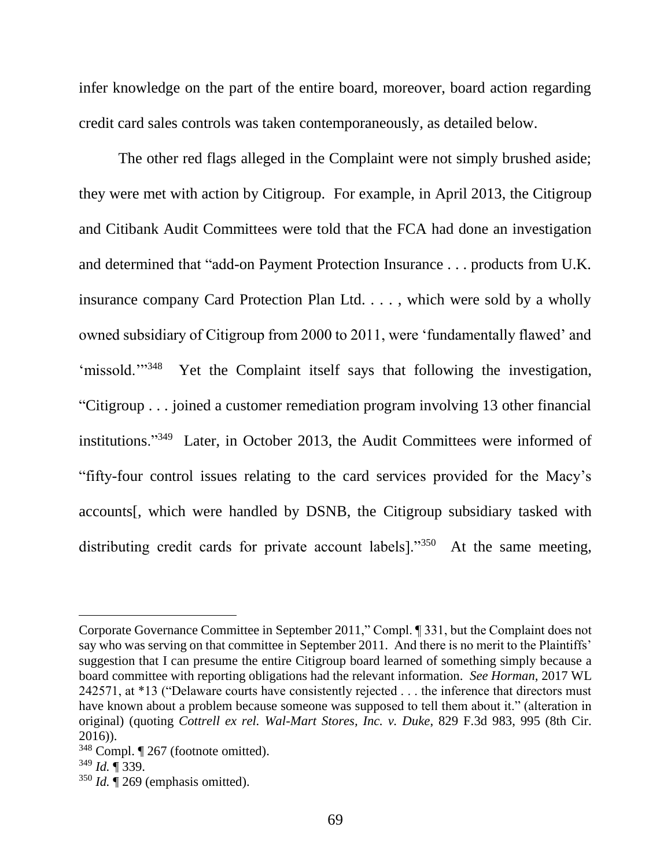infer knowledge on the part of the entire board, moreover, board action regarding credit card sales controls was taken contemporaneously, as detailed below.

The other red flags alleged in the Complaint were not simply brushed aside; they were met with action by Citigroup. For example, in April 2013, the Citigroup and Citibank Audit Committees were told that the FCA had done an investigation and determined that "add-on Payment Protection Insurance . . . products from U.K. insurance company Card Protection Plan Ltd. . . . , which were sold by a wholly owned subsidiary of Citigroup from 2000 to 2011, were 'fundamentally flawed' and 'missold."<sup>348</sup> Yet the Complaint itself says that following the investigation, "Citigroup . . . joined a customer remediation program involving 13 other financial institutions."<sup>349</sup> Later, in October 2013, the Audit Committees were informed of "fifty-four control issues relating to the card services provided for the Macy's accounts[, which were handled by DSNB, the Citigroup subsidiary tasked with distributing credit cards for private account labels]."<sup>350</sup> At the same meeting,

Corporate Governance Committee in September 2011," Compl. ¶ 331, but the Complaint does not say who was serving on that committee in September 2011. And there is no merit to the Plaintiffs' suggestion that I can presume the entire Citigroup board learned of something simply because a board committee with reporting obligations had the relevant information. *See Horman*, 2017 WL 242571, at \*13 ("Delaware courts have consistently rejected . . . the inference that directors must have known about a problem because someone was supposed to tell them about it." (alteration in original) (quoting *Cottrell ex rel. Wal-Mart Stores, Inc. v. Duke*, 829 F.3d 983, 995 (8th Cir. 2016)).

<sup>348</sup> Compl. ¶ 267 (footnote omitted).

<sup>349</sup> *Id.* ¶ 339.

 $350$  *Id.*  $\sqrt{269}$  (emphasis omitted).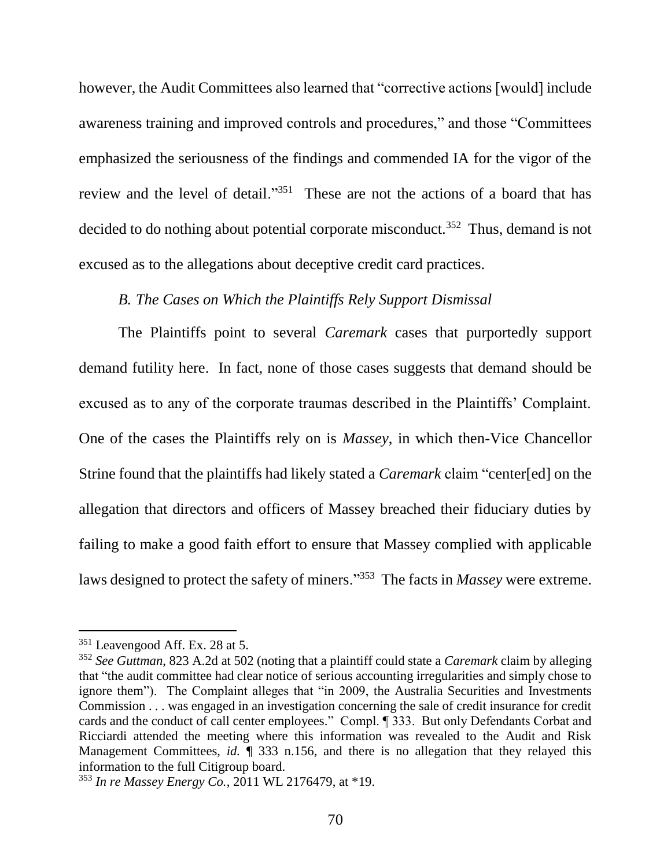however, the Audit Committees also learned that "corrective actions [would] include awareness training and improved controls and procedures," and those "Committees emphasized the seriousness of the findings and commended IA for the vigor of the review and the level of detail."<sup>351</sup> These are not the actions of a board that has decided to do nothing about potential corporate misconduct.<sup>352</sup> Thus, demand is not excused as to the allegations about deceptive credit card practices.

#### *B. The Cases on Which the Plaintiffs Rely Support Dismissal*

The Plaintiffs point to several *Caremark* cases that purportedly support demand futility here. In fact, none of those cases suggests that demand should be excused as to any of the corporate traumas described in the Plaintiffs' Complaint. One of the cases the Plaintiffs rely on is *Massey*, in which then-Vice Chancellor Strine found that the plaintiffs had likely stated a *Caremark* claim "center[ed] on the allegation that directors and officers of Massey breached their fiduciary duties by failing to make a good faith effort to ensure that Massey complied with applicable laws designed to protect the safety of miners."<sup>353</sup> The facts in *Massey* were extreme.

<sup>351</sup> Leavengood Aff. Ex. 28 at 5.

<sup>352</sup> *See Guttman*, 823 A.2d at 502 (noting that a plaintiff could state a *Caremark* claim by alleging that "the audit committee had clear notice of serious accounting irregularities and simply chose to ignore them"). The Complaint alleges that "in 2009, the Australia Securities and Investments Commission . . . was engaged in an investigation concerning the sale of credit insurance for credit cards and the conduct of call center employees." Compl. ¶ 333. But only Defendants Corbat and Ricciardi attended the meeting where this information was revealed to the Audit and Risk Management Committees, *id.*  $\parallel$  333 n.156, and there is no allegation that they relayed this information to the full Citigroup board.

<sup>353</sup> *In re Massey Energy Co.*, 2011 WL 2176479, at \*19.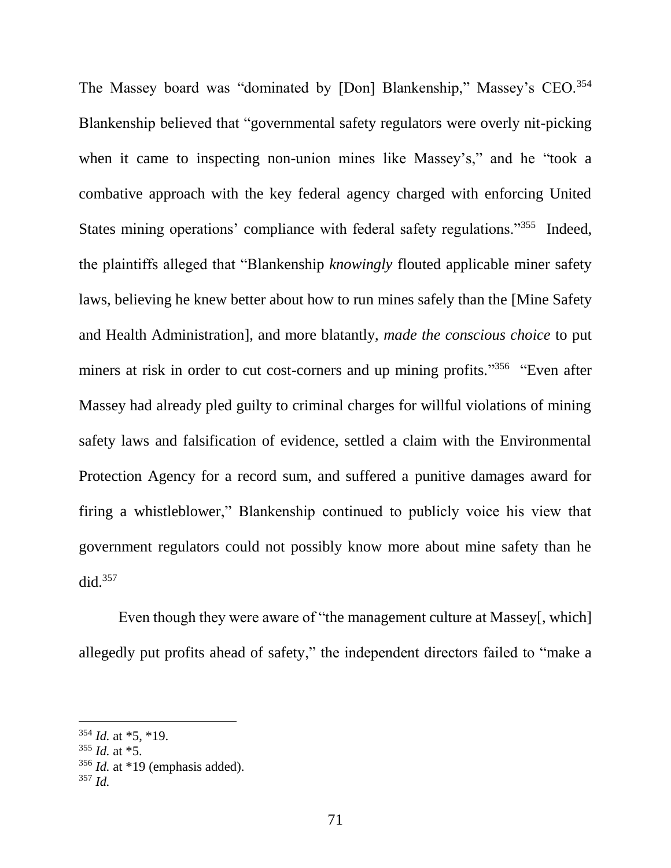The Massey board was "dominated by [Don] Blankenship," Massey's CEO.<sup>354</sup> Blankenship believed that "governmental safety regulators were overly nit-picking when it came to inspecting non-union mines like Massey's," and he "took a combative approach with the key federal agency charged with enforcing United States mining operations' compliance with federal safety regulations."<sup>355</sup> Indeed, the plaintiffs alleged that "Blankenship *knowingly* flouted applicable miner safety laws, believing he knew better about how to run mines safely than the [Mine Safety and Health Administration], and more blatantly, *made the conscious choice* to put miners at risk in order to cut cost-corners and up mining profits."<sup>356</sup> "Even after Massey had already pled guilty to criminal charges for willful violations of mining safety laws and falsification of evidence, settled a claim with the Environmental Protection Agency for a record sum, and suffered a punitive damages award for firing a whistleblower," Blankenship continued to publicly voice his view that government regulators could not possibly know more about mine safety than he did.<sup>357</sup>

Even though they were aware of "the management culture at Massey[, which] allegedly put profits ahead of safety," the independent directors failed to "make a

<sup>354</sup> *Id.* at \*5, \*19.

 $355$  *Id.* at  $*5$ .

<sup>356</sup> *Id.* at \*19 (emphasis added).

<sup>357</sup> *Id.*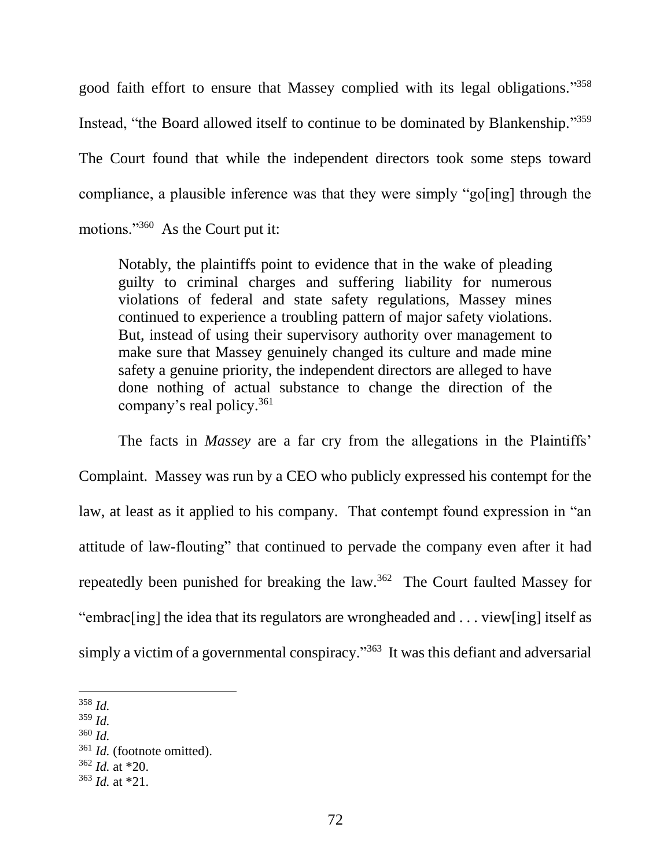good faith effort to ensure that Massey complied with its legal obligations." 358 Instead, "the Board allowed itself to continue to be dominated by Blankenship."<sup>359</sup> The Court found that while the independent directors took some steps toward compliance, a plausible inference was that they were simply "go[ing] through the motions."<sup>360</sup> As the Court put it:

Notably, the plaintiffs point to evidence that in the wake of pleading guilty to criminal charges and suffering liability for numerous violations of federal and state safety regulations, Massey mines continued to experience a troubling pattern of major safety violations. But, instead of using their supervisory authority over management to make sure that Massey genuinely changed its culture and made mine safety a genuine priority, the independent directors are alleged to have done nothing of actual substance to change the direction of the company's real policy. 361

The facts in *Massey* are a far cry from the allegations in the Plaintiffs' Complaint. Massey was run by a CEO who publicly expressed his contempt for the law, at least as it applied to his company. That contempt found expression in "an attitude of law-flouting" that continued to pervade the company even after it had repeatedly been punished for breaking the law.<sup>362</sup> The Court faulted Massey for "embrac[ing] the idea that its regulators are wrongheaded and . . . view[ing] itself as simply a victim of a governmental conspiracy."<sup>363</sup> It was this defiant and adversarial

- <sup>359</sup> *Id.*
- <sup>360</sup> *Id.*
- <sup>361</sup> *Id.* (footnote omitted).
- <sup>362</sup> *Id.* at \*20.

 $\overline{a}$ <sup>358</sup> *Id.*

<sup>363</sup> *Id.* at \*21.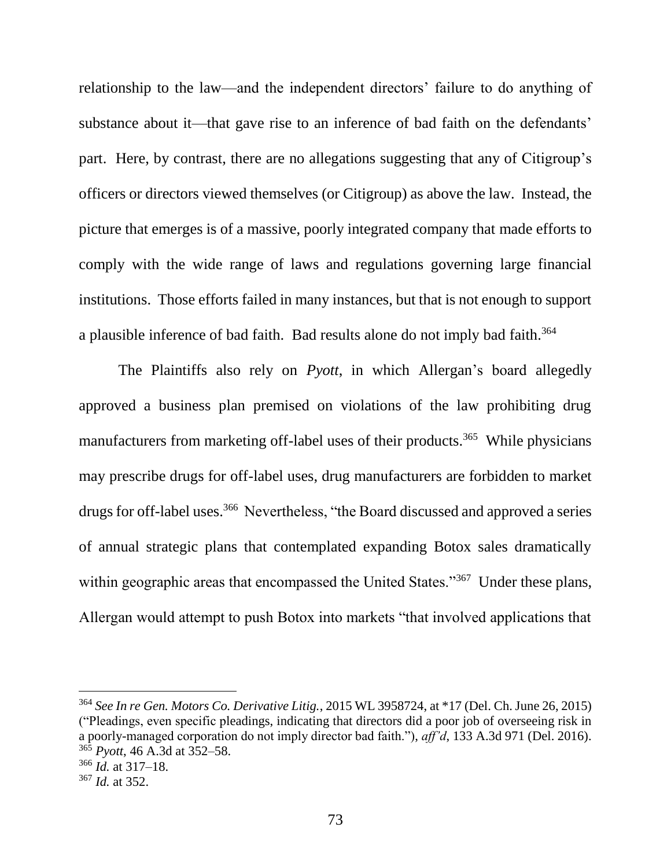relationship to the law—and the independent directors' failure to do anything of substance about it—that gave rise to an inference of bad faith on the defendants' part. Here, by contrast, there are no allegations suggesting that any of Citigroup's officers or directors viewed themselves (or Citigroup) as above the law. Instead, the picture that emerges is of a massive, poorly integrated company that made efforts to comply with the wide range of laws and regulations governing large financial institutions. Those efforts failed in many instances, but that is not enough to support a plausible inference of bad faith. Bad results alone do not imply bad faith.<sup>364</sup>

The Plaintiffs also rely on *Pyott*, in which Allergan's board allegedly approved a business plan premised on violations of the law prohibiting drug manufacturers from marketing off-label uses of their products.<sup>365</sup> While physicians may prescribe drugs for off-label uses, drug manufacturers are forbidden to market drugs for off-label uses.<sup>366</sup> Nevertheless, "the Board discussed and approved a series of annual strategic plans that contemplated expanding Botox sales dramatically within geographic areas that encompassed the United States."<sup>367</sup> Under these plans, Allergan would attempt to push Botox into markets "that involved applications that

 $\overline{a}$ 

<sup>364</sup> *See In re Gen. Motors Co. Derivative Litig.*, 2015 WL 3958724, at \*17 (Del. Ch. June 26, 2015) ("Pleadings, even specific pleadings, indicating that directors did a poor job of overseeing risk in a poorly-managed corporation do not imply director bad faith."), *aff'd*, 133 A.3d 971 (Del. 2016). <sup>365</sup> *Pyott*, 46 A.3d at 352–58.

<sup>366</sup> *Id.* at 317–18.

<sup>367</sup> *Id.* at 352.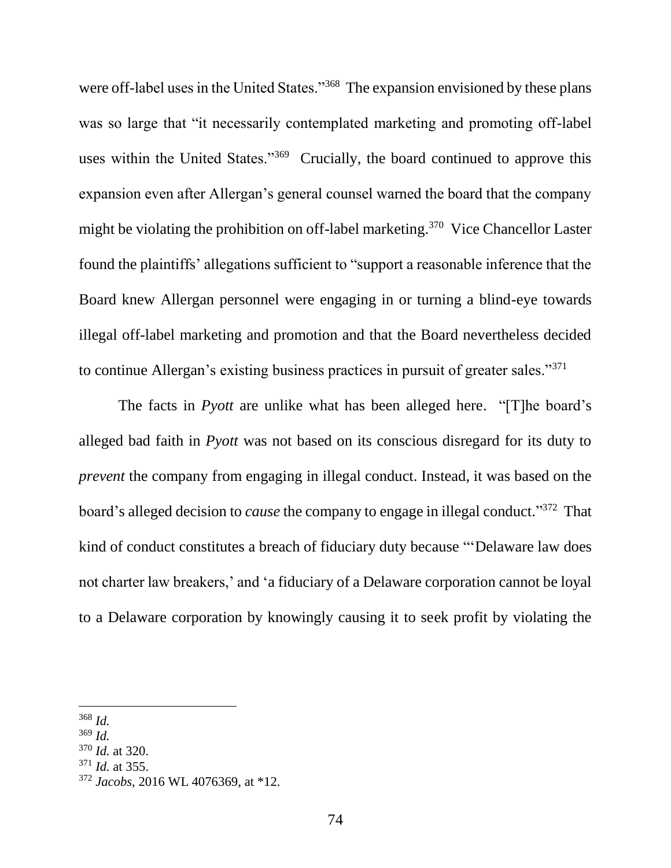were off-label uses in the United States."<sup>368</sup> The expansion envisioned by these plans was so large that "it necessarily contemplated marketing and promoting off-label uses within the United States."<sup>369</sup> Crucially, the board continued to approve this expansion even after Allergan's general counsel warned the board that the company might be violating the prohibition on off-label marketing.<sup>370</sup> Vice Chancellor Laster found the plaintiffs' allegations sufficient to "support a reasonable inference that the Board knew Allergan personnel were engaging in or turning a blind-eye towards illegal off-label marketing and promotion and that the Board nevertheless decided to continue Allergan's existing business practices in pursuit of greater sales."<sup>371</sup>

The facts in *Pyott* are unlike what has been alleged here. "[T]he board's alleged bad faith in *Pyott* was not based on its conscious disregard for its duty to *prevent* the company from engaging in illegal conduct. Instead, it was based on the board's alleged decision to *cause* the company to engage in illegal conduct." 372 That kind of conduct constitutes a breach of fiduciary duty because "'Delaware law does not charter law breakers,' and 'a fiduciary of a Delaware corporation cannot be loyal to a Delaware corporation by knowingly causing it to seek profit by violating the

- <sup>369</sup> *Id.*
- <sup>370</sup> *Id.* at 320.
- <sup>371</sup> *Id.* at 355.

 $\overline{a}$ <sup>368</sup> *Id.*

<sup>372</sup> *Jacobs*, 2016 WL 4076369, at \*12.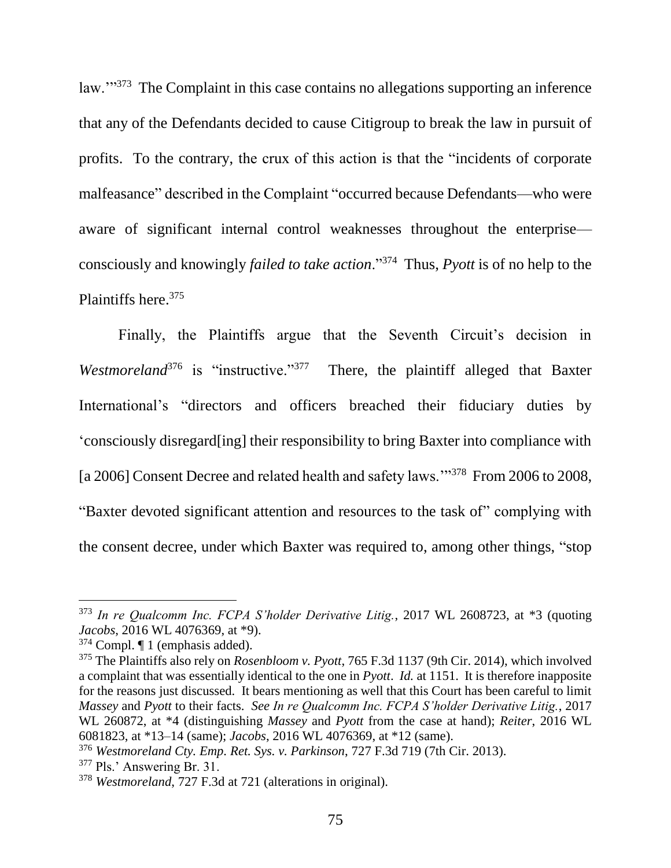law."<sup>373</sup> The Complaint in this case contains no allegations supporting an inference that any of the Defendants decided to cause Citigroup to break the law in pursuit of profits. To the contrary, the crux of this action is that the "incidents of corporate malfeasance" described in the Complaint "occurred because Defendants—who were aware of significant internal control weaknesses throughout the enterprise consciously and knowingly *failed to take action*."<sup>374</sup> Thus, *Pyott* is of no help to the Plaintiffs here.<sup>375</sup>

Finally, the Plaintiffs argue that the Seventh Circuit's decision in *Westmoreland*<sup>376</sup> is "instructive."<sup>377</sup> There, the plaintiff alleged that Baxter International's "directors and officers breached their fiduciary duties by 'consciously disregard[ing] their responsibility to bring Baxter into compliance with [a 2006] Consent Decree and related health and safety laws."<sup>378</sup> From 2006 to 2008, "Baxter devoted significant attention and resources to the task of" complying with the consent decree, under which Baxter was required to, among other things, "stop

 $\overline{a}$ 

<sup>373</sup> *In re Qualcomm Inc. FCPA S'holder Derivative Litig.*, 2017 WL 2608723, at \*3 (quoting *Jacobs*, 2016 WL 4076369, at \*9).

<sup>374</sup> Compl. ¶ 1 (emphasis added).

<sup>375</sup> The Plaintiffs also rely on *Rosenbloom v. Pyott*, 765 F.3d 1137 (9th Cir. 2014), which involved a complaint that was essentially identical to the one in *Pyott*. *Id.* at 1151. It is therefore inapposite for the reasons just discussed. It bears mentioning as well that this Court has been careful to limit *Massey* and *Pyott* to their facts. *See In re Qualcomm Inc. FCPA S'holder Derivative Litig.*, 2017 WL 260872, at \*4 (distinguishing *Massey* and *Pyott* from the case at hand); *Reiter*, 2016 WL 6081823, at \*13–14 (same); *Jacobs*, 2016 WL 4076369, at \*12 (same).

<sup>376</sup> *Westmoreland Cty. Emp. Ret. Sys. v. Parkinson*, 727 F.3d 719 (7th Cir. 2013).

<sup>377</sup> Pls.' Answering Br. 31.

<sup>378</sup> *Westmoreland*, 727 F.3d at 721 (alterations in original).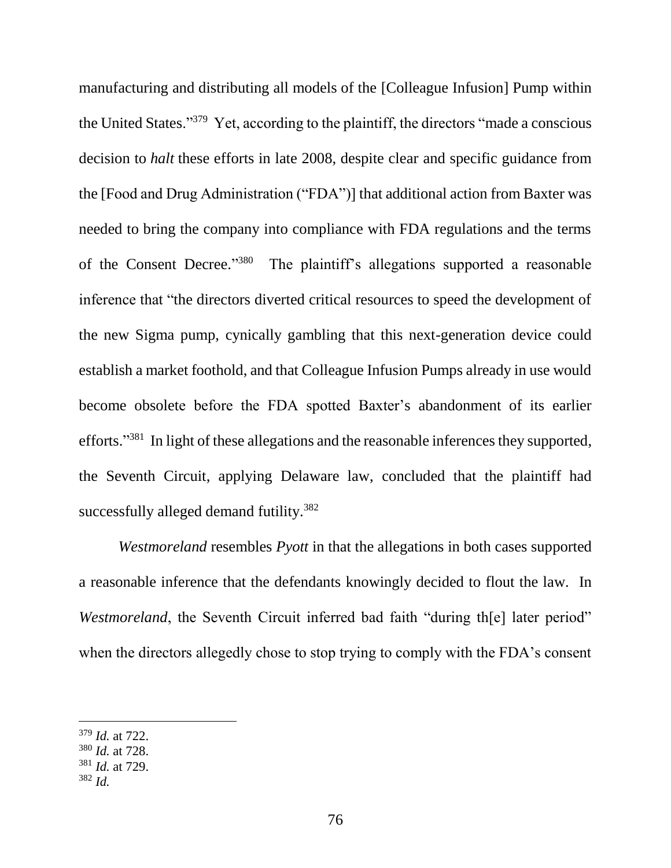manufacturing and distributing all models of the [Colleague Infusion] Pump within the United States."<sup>379</sup> Yet, according to the plaintiff, the directors "made a conscious decision to *halt* these efforts in late 2008, despite clear and specific guidance from the [Food and Drug Administration ("FDA")] that additional action from Baxter was needed to bring the company into compliance with FDA regulations and the terms of the Consent Decree."380 The plaintiff's allegations supported a reasonable inference that "the directors diverted critical resources to speed the development of the new Sigma pump, cynically gambling that this next-generation device could establish a market foothold, and that Colleague Infusion Pumps already in use would become obsolete before the FDA spotted Baxter's abandonment of its earlier efforts."<sup>381</sup> In light of these allegations and the reasonable inferences they supported, the Seventh Circuit, applying Delaware law, concluded that the plaintiff had successfully alleged demand futility.<sup>382</sup>

*Westmoreland* resembles *Pyott* in that the allegations in both cases supported a reasonable inference that the defendants knowingly decided to flout the law. In *Westmoreland*, the Seventh Circuit inferred bad faith "during the later period" when the directors allegedly chose to stop trying to comply with the FDA's consent

<sup>379</sup> *Id.* at 722.

<sup>380</sup> *Id.* at 728.

<sup>381</sup> *Id.* at 729.

<sup>382</sup> *Id.*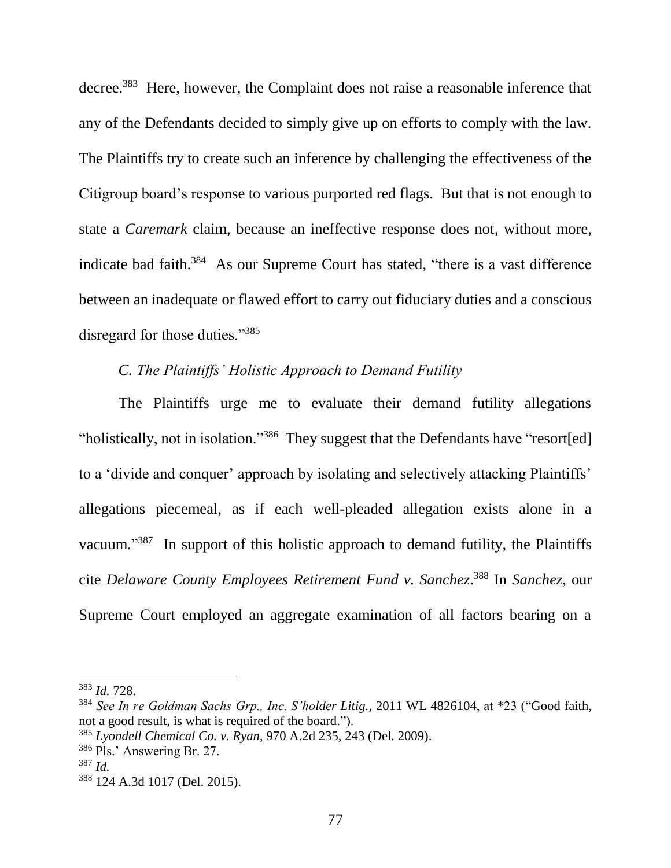decree.<sup>383</sup> Here, however, the Complaint does not raise a reasonable inference that any of the Defendants decided to simply give up on efforts to comply with the law. The Plaintiffs try to create such an inference by challenging the effectiveness of the Citigroup board's response to various purported red flags. But that is not enough to state a *Caremark* claim, because an ineffective response does not, without more, indicate bad faith.<sup>384</sup> As our Supreme Court has stated, "there is a vast difference between an inadequate or flawed effort to carry out fiduciary duties and a conscious disregard for those duties."<sup>385</sup>

## *C. The Plaintiffs' Holistic Approach to Demand Futility*

The Plaintiffs urge me to evaluate their demand futility allegations "holistically, not in isolation."<sup>386</sup> They suggest that the Defendants have "resort[ed] to a 'divide and conquer' approach by isolating and selectively attacking Plaintiffs' allegations piecemeal, as if each well-pleaded allegation exists alone in a vacuum."<sup>387</sup> In support of this holistic approach to demand futility, the Plaintiffs cite *Delaware County Employees Retirement Fund v. Sanchez*. <sup>388</sup> In *Sanchez,* our Supreme Court employed an aggregate examination of all factors bearing on a

<sup>383</sup> *Id.* 728.

<sup>384</sup> *See In re Goldman Sachs Grp., Inc. S'holder Litig.*, 2011 WL 4826104, at \*23 ("Good faith, not a good result, is what is required of the board.").

<sup>385</sup> *Lyondell Chemical Co. v. Ryan*, 970 A.2d 235, 243 (Del. 2009).

<sup>386</sup> Pls.' Answering Br. 27.

<sup>387</sup> *Id.*

<sup>388</sup> 124 A.3d 1017 (Del. 2015).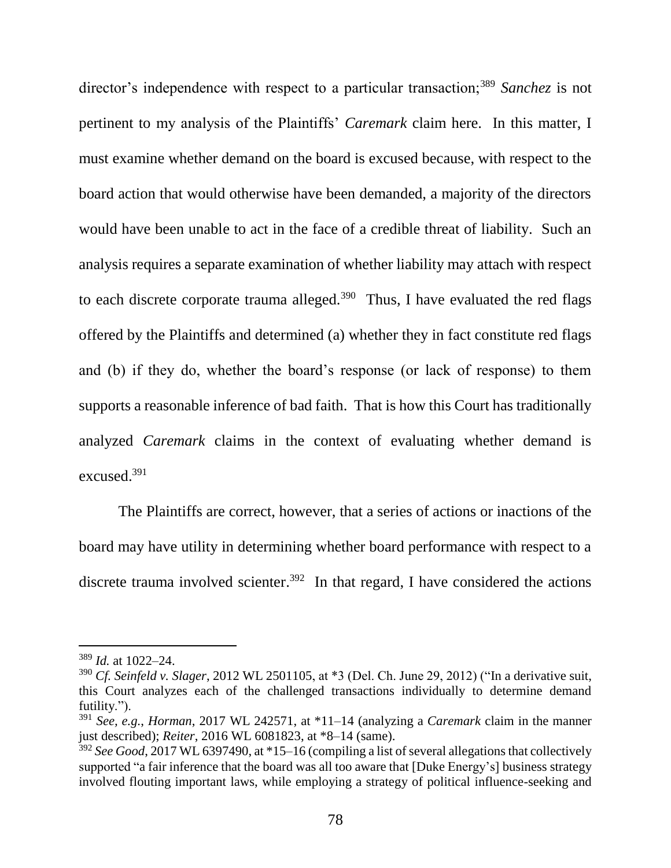director's independence with respect to a particular transaction;<sup>389</sup> *Sanchez* is not pertinent to my analysis of the Plaintiffs' *Caremark* claim here. In this matter, I must examine whether demand on the board is excused because, with respect to the board action that would otherwise have been demanded, a majority of the directors would have been unable to act in the face of a credible threat of liability. Such an analysis requires a separate examination of whether liability may attach with respect to each discrete corporate trauma alleged.<sup>390</sup> Thus, I have evaluated the red flags offered by the Plaintiffs and determined (a) whether they in fact constitute red flags and (b) if they do, whether the board's response (or lack of response) to them supports a reasonable inference of bad faith. That is how this Court has traditionally analyzed *Caremark* claims in the context of evaluating whether demand is excused.<sup>391</sup>

The Plaintiffs are correct, however, that a series of actions or inactions of the board may have utility in determining whether board performance with respect to a discrete trauma involved scienter.<sup>392</sup> In that regard, I have considered the actions

<sup>389</sup> *Id.* at 1022–24.

<sup>390</sup> *Cf. Seinfeld v. Slager*, 2012 WL 2501105, at \*3 (Del. Ch. June 29, 2012) ("In a derivative suit, this Court analyzes each of the challenged transactions individually to determine demand futility.").

<sup>391</sup> *See, e.g.*, *Horman*, 2017 WL 242571, at \*11–14 (analyzing a *Caremark* claim in the manner just described); *Reiter*, 2016 WL 6081823, at \*8–14 (same).

<sup>392</sup> *See Good*, 2017 WL 6397490, at \*15–16 (compiling a list of several allegations that collectively supported "a fair inference that the board was all too aware that [Duke Energy's] business strategy involved flouting important laws, while employing a strategy of political influence-seeking and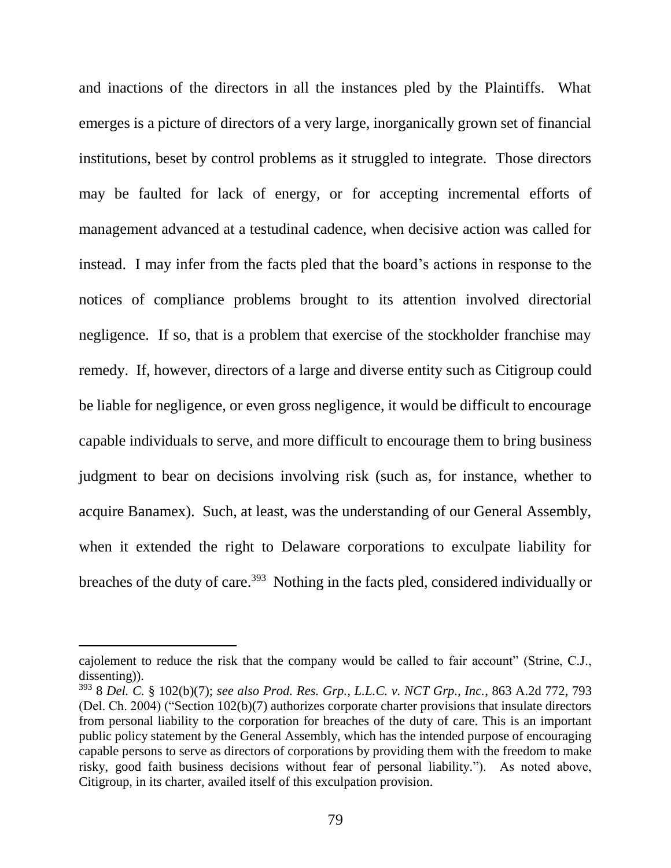and inactions of the directors in all the instances pled by the Plaintiffs. What emerges is a picture of directors of a very large, inorganically grown set of financial institutions, beset by control problems as it struggled to integrate. Those directors may be faulted for lack of energy, or for accepting incremental efforts of management advanced at a testudinal cadence, when decisive action was called for instead. I may infer from the facts pled that the board's actions in response to the notices of compliance problems brought to its attention involved directorial negligence. If so, that is a problem that exercise of the stockholder franchise may remedy. If, however, directors of a large and diverse entity such as Citigroup could be liable for negligence, or even gross negligence, it would be difficult to encourage capable individuals to serve, and more difficult to encourage them to bring business judgment to bear on decisions involving risk (such as, for instance, whether to acquire Banamex). Such, at least, was the understanding of our General Assembly, when it extended the right to Delaware corporations to exculpate liability for breaches of the duty of care.<sup>393</sup> Nothing in the facts pled, considered individually or

cajolement to reduce the risk that the company would be called to fair account" (Strine, C.J., dissenting)).

<sup>393</sup> 8 *Del. C.* § 102(b)(7); *see also Prod. Res. Grp., L.L.C. v. NCT Grp., Inc.*, 863 A.2d 772, 793 (Del. Ch. 2004) ("Section 102(b)(7) authorizes corporate charter provisions that insulate directors from personal liability to the corporation for breaches of the duty of care. This is an important public policy statement by the General Assembly, which has the intended purpose of encouraging capable persons to serve as directors of corporations by providing them with the freedom to make risky, good faith business decisions without fear of personal liability."). As noted above, Citigroup, in its charter, availed itself of this exculpation provision.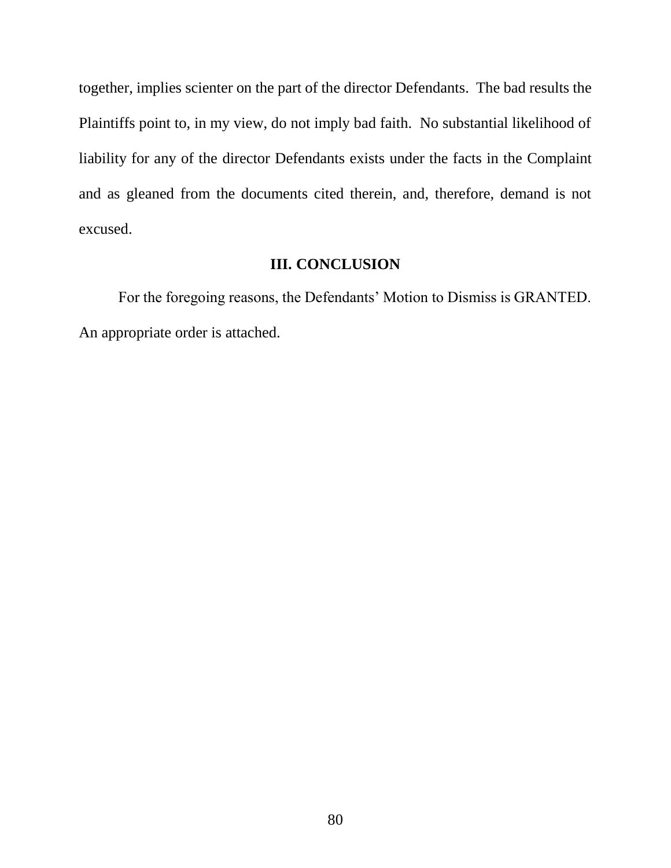together, implies scienter on the part of the director Defendants. The bad results the Plaintiffs point to, in my view, do not imply bad faith. No substantial likelihood of liability for any of the director Defendants exists under the facts in the Complaint and as gleaned from the documents cited therein, and, therefore, demand is not excused.

## **III. CONCLUSION**

For the foregoing reasons, the Defendants' Motion to Dismiss is GRANTED. An appropriate order is attached.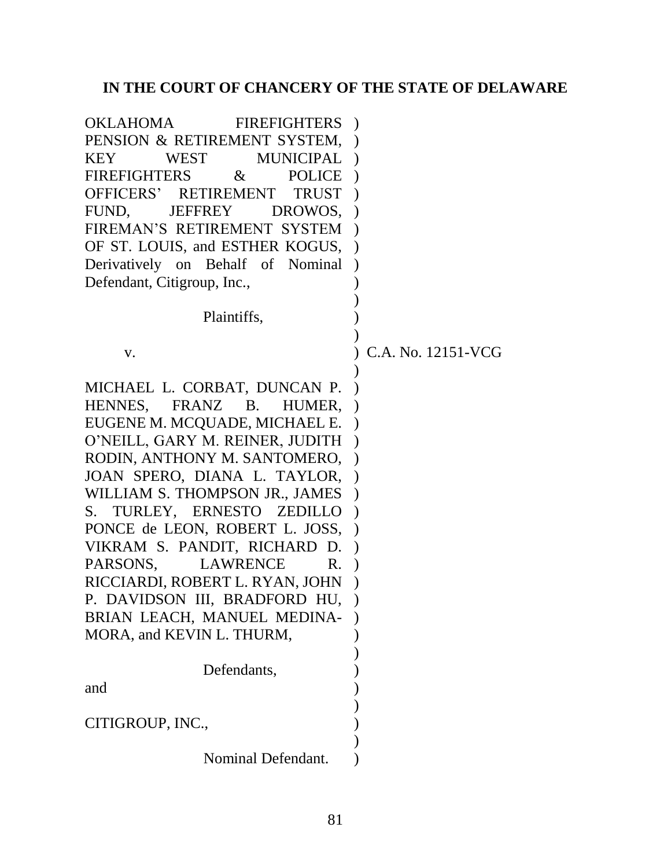## **IN THE COURT OF CHANCERY OF THE STATE OF DELAWARE**

OKLAHOMA FIREFIGHTERS ) PENSION & RETIREMENT SYSTEM, KEY WEST MUNICIPAL )  $FIREFIGHTERS$  & OFFICERS' RETIREMENT FUND, JEFFREY DROWOS, ) FIREMAN'S RETIREMENT SYSTEM ) OF ST. LOUIS, and ESTHER KOGUS, ) Derivatively on Behalf of Nominal ) Defendant, Citigroup, Inc., Plaintiffs, POLICE ) TRUST) ) ) ) v. ) ) ) C.A. No. 12151-VCG MICHAEL L. CORBAT, DUNCAN P. HENNES, FRANZ B. HUMER, EUGENE M. MCQUADE, MICHAEL E. ) O'NEILL, GARY M. REINER, JUDITH ) RODIN, ANTHONY M. SANTOMERO, ) JOAN SPERO, DIANA L. TAYLOR, ) WILLIAM S. THOMPSON JR., JAMES ) S. TURLEY, ERNESTO ZEDILLO ) PONCE de LEON, ROBERT L. JOSS, ) VIKRAM S. PANDIT, RICHARD D. ) PARSONS, LAWRENCE R. RICCIARDI, ROBERT L. RYAN, JOHN ) P. DAVIDSON III, BRADFORD HU, ) BRIAN LEACH, MANUEL MEDINA-MORA, and KEVIN L. THURM, Defendants, and CITIGROUP, INC., Nominal Defendant. )  $\lambda$ )  $\lambda$ ) ) ) ) ) ) )  $\lambda$